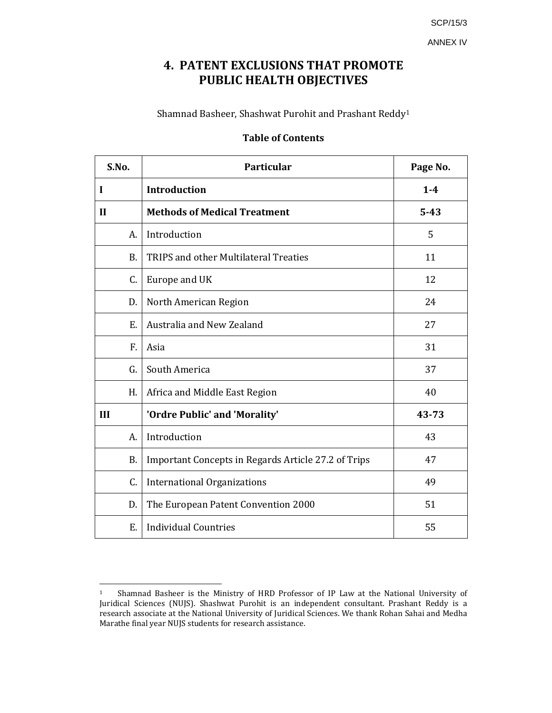SCP/15/3

ANNEX IV

# **4. PATENT EXCLUSIONS THAT PROMOTE PUBLIC HEALTH OBJECTIVES**

Shamnad Basheer, Shashwat Purohit and Prashant Reddy1

# **Table of Contents**

| S.No.        | <b>Particular</b>                                   | Page No. |
|--------------|-----------------------------------------------------|----------|
| I            | <b>Introduction</b>                                 | $1-4$    |
| $\mathbf{H}$ | <b>Methods of Medical Treatment</b>                 | $5 - 43$ |
| A.           | Introduction                                        | 5        |
| <b>B.</b>    | <b>TRIPS and other Multilateral Treaties</b>        | 11       |
| C.           | Europe and UK                                       | 12       |
| D.           | North American Region                               | 24       |
| Ε.           | Australia and New Zealand                           | 27       |
| F.           | Asia                                                | 31       |
| G.           | South America                                       | 37       |
| H.           | Africa and Middle East Region                       | 40       |
| III          | 'Ordre Public' and 'Morality'                       | 43-73    |
| A.           | Introduction                                        | 43       |
| <b>B.</b>    | Important Concepts in Regards Article 27.2 of Trips | 47       |
| C.           | <b>International Organizations</b>                  | 49       |
| D.           | The European Patent Convention 2000                 | 51       |
| E.           | <b>Individual Countries</b>                         | 55       |

<sup>&</sup>lt;sup>1</sup> Shamnad Basheer is the Ministry of HRD Professor of IP Law at the National University of Juridical Sciences (NUJS). Shashwat Purohit is an independent consultant. Prashant Reddy is a research associate at the National University of Juridical Sciences. We thank Rohan Sahai and Medha Marathe final year NUJS students for research assistance.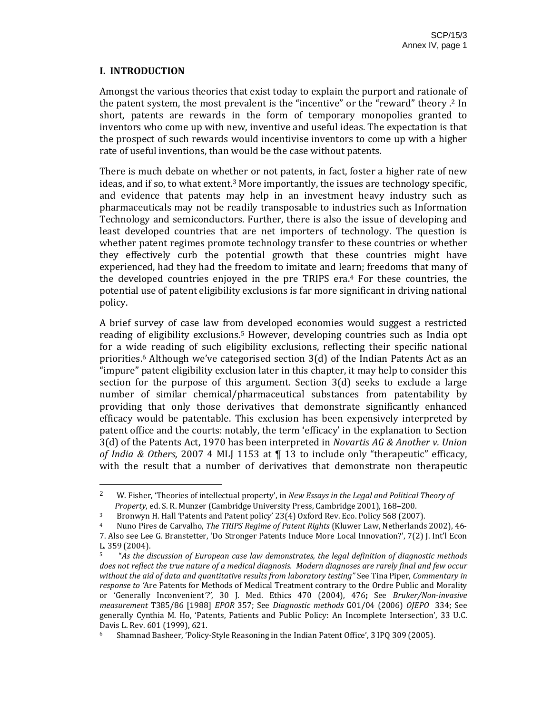## **I. INTRODUCTION**

Amongst the various theories that exist today to explain the purport and rationale of the patent system, the most prevalent is the "incentive" or the "reward" theory .2 In short, patents are rewards in the form of temporary monopolies granted to inventors who come up with new, inventive and useful ideas. The expectation is that the prospect of such rewards would incentivise inventors to come up with a higher rate of useful inventions, than would be the case without patents.

There is much debate on whether or not patents, in fact, foster a higher rate of new ideas, and if so, to what extent.3 More importantly, the issues are technology specific, and evidence that patents may help in an investment heavy industry such as pharmaceuticals may not be readily transposable to industries such as Information Technology and semiconductors. Further, there is also the issue of developing and least developed countries that are net importers of technology. The question is whether patent regimes promote technology transfer to these countries or whether they effectively curb the potential growth that these countries might have experienced, had they had the freedom to imitate and learn; freedoms that many of the developed countries enjoyed in the pre TRIPS era.<sup>4</sup> For these countries, the potential use of patent eligibility exclusions is far more significant in driving national policy.

A brief survey of case law from developed economies would suggest a restricted reading of eligibility exclusions.<sup>5</sup> However, developing countries such as India opt for a wide reading of such eligibility exclusions, reflecting their specific national priorities.6 Although we've categorised section 3(d) of the Indian Patents Act as an "impure" patent eligibility exclusion later in this chapter, it may help to consider this section for the purpose of this argument. Section 3(d) seeks to exclude a large number of similar chemical/pharmaceutical substances from patentability by providing that only those derivatives that demonstrate significantly enhanced efficacy would be patentable. This exclusion has been expensively interpreted by patent office and the courts: notably, the term 'efficacy' in the explanation to Section 3(d) of the Patents Act, 1970 has been interpreted in *Novartis AG & Another v. Union of India & Others*, 2007 4 MLJ 1153 at ¶ 13 to include only "therapeutic" efficacy, with the result that a number of derivatives that demonstrate non therapeutic

<sup>2</sup> W. Fisher, 'Theories of intellectual property', in *New Essays in the Legal and Political Theory of Property*, ed. S. R. Munzer (Cambridge University Press, Cambridge 2001), 168–200.

<sup>&</sup>lt;sup>3</sup> Bronwyn H. Hall 'Patents and Patent policy' 23(4) Oxford Rev. Eco. Policy 568 (2007).

<sup>4</sup> Nuno Pires de Carvalho, *The TRIPS Regime of Patent Rights* (Kluwer Law, Netherlands 2002), 46‐ 7. Also see Lee G. Branstetter, 'Do Stronger Patents Induce More Local Innovation?', 7(2) J. Int'l Econ L. 359 (2004).

<sup>5</sup>  "*As the discussion of European case law demonstrates, the legal definition of diagnostic methods* does not reflect the true nature of a medical diagnosis. Modern diagnoses are rarely final and few occur *without the aid of data and quantitative results from laboratory testing"* See Tina Piper, *Commentary in response to '*Are Patents for Methods of Medical Treatment contrary to the Ordre Public and Morality or 'Generally Inconvenient*'?'*, 30 J. Med. Ethics 470 (2004), 476**;** See *Bruker/Noninvasive measurement* T385/86 [1988] *EPOR* 357; See *Diagnostic methods* G01/04 (2006) *OJEPO* 334; See generally Cynthia M. Ho, 'Patents, Patients and Public Policy: An Incomplete Intersection', 33 U.C. Davis L. Rev. 601 (1999), 621.

<sup>6</sup> Shamnad Basheer, 'Policy‐Style Reasoning in the Indian Patent Office', 3 IPQ 309 (2005).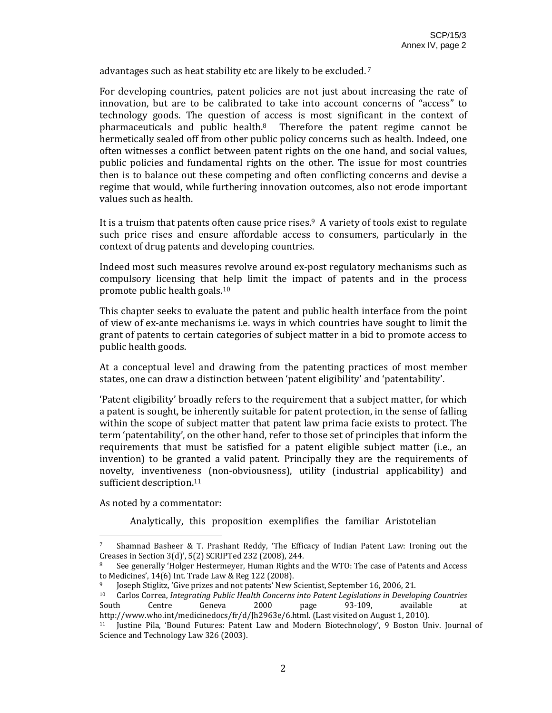advantages such as heat stability etc are likely to be excluded.<sup>7</sup>

For developing countries, patent policies are not just about increasing the rate of innovation, but are to be calibrated to take into account concerns of "access" to technology goods. The question of access is most significant in the context of pharmaceuticals and public health.8 Therefore the patent regime cannot be hermetically sealed off from other public policy concerns such as health. Indeed, one often witnesses a conflict between patent rights on the one hand, and social values, public policies and fundamental rights on the other. The issue for most countries then is to balance out these competing and often conflicting concerns and devise a regime that would, while furthering innovation outcomes, also not erode important values such as health.

It is a truism that patents often cause price rises.<sup>9</sup> A variety of tools exist to regulate such price rises and ensure affordable access to consumers, particularly in the context of drug patents and developing countries.

Indeed most such measures revolve around ex‐post regulatory mechanisms such as compulsory licensing that help limit the impact of patents and in the process promote public health goals.10

This chapter seeks to evaluate the patent and public health interface from the point of view of ex‐ante mechanisms i.e. ways in which countries have sought to limit the grant of patents to certain categories of subject matter in a bid to promote access to public health goods.

At a conceptual level and drawing from the patenting practices of most member states, one can draw a distinction between 'patent eligibility' and 'patentability'.

'Patent eligibility' broadly refers to the requirement that a subject matter, for which a patent is sought, be inherently suitable for patent protection, in the sense of falling within the scope of subject matter that patent law prima facie exists to protect. The term 'patentability', on the other hand, refer to those set of principles that inform the requirements that must be satisfied for a patent eligible subject matter (i.e., an invention) to be granted a valid patent. Principally they are the requirements of novelty, inventiveness (non-obviousness), utility (industrial applicability) and sufficient description.<sup>11</sup>

As noted by a commentator:

Analytically, this proposition exemplifies the familiar Aristotelian

<sup>&</sup>lt;sup>7</sup> Shamnad Basheer & T. Prashant Reddy, 'The Efficacy of Indian Patent Law: Ironing out the Creases in Section 3(d)', 5(2) SCRIPTed 232 (2008), 244.

<sup>8</sup> See generally 'Holger Hestermeyer, Human Rights and the WTO: The case of Patents and Access to Medicines', 14(6) Int. Trade Law & Reg 122 (2008).

<sup>9</sup> Joseph Stiglitz, 'Give prizes and not patents' New Scientist, September 16, 2006, 21.

<sup>10</sup> Carlos Correa, *Integrating Public Health Concerns into Patent Legislations in Developing Countries* South Centre Geneva 2000 page 93-109, available at http://www.who.int/medicinedocs/fr/d/Jh2963e/6.html. (Last visited on August 1, 2010).

<sup>11</sup> Justine Pila, 'Bound Futures: Patent Law and Modern Biotechnology', 9 Boston Univ. Journal of Science and Technology Law 326 (2003).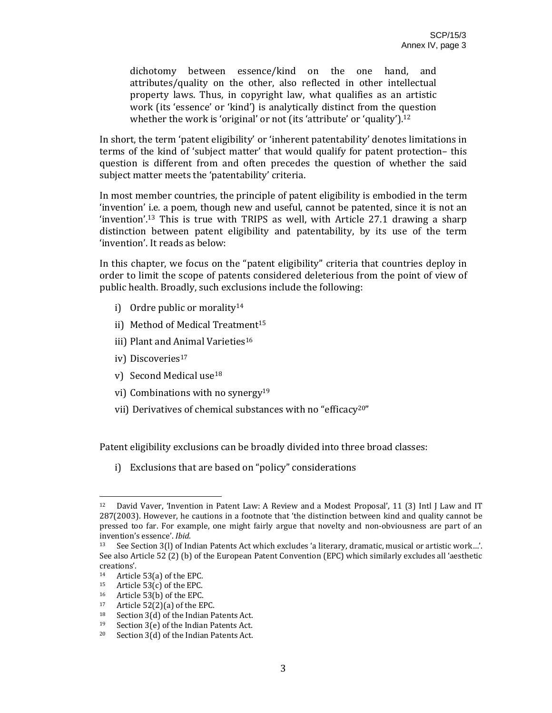dichotomy between essence/kind on the one hand, and attributes/quality on the other, also reflected in other intellectual property laws. Thus, in copyright law, what qualifies as an artistic work (its 'essence' or 'kind') is analytically distinct from the question whether the work is 'original' or not (its 'attribute' or 'quality').<sup>12</sup>

In short, the term 'patent eligibility' or 'inherent patentability' denotes limitations in terms of the kind of 'subject matter' that would qualify for patent protection– this question is different from and often precedes the question of whether the said subject matter meets the 'patentability' criteria.

In most member countries, the principle of patent eligibility is embodied in the term 'invention' i.e. a poem, though new and useful, cannot be patented, since it is not an 'invention'.13 This is true with TRIPS as well, with Article 27.1 drawing a sharp distinction between patent eligibility and patentability, by its use of the term 'invention'. It reads as below:

In this chapter, we focus on the "patent eligibility" criteria that countries deploy in order to limit the scope of patents considered deleterious from the point of view of public health. Broadly, such exclusions include the following:

- i) Ordre public or morality<sup>14</sup>
- ii) Method of Medical Treatment<sup>15</sup>
- iii) Plant and Animal Varieties<sup>16</sup>
- iv) Discoveries<sup>17</sup>
- v) Second Medical use18
- vi) Combinations with no synergy19
- vii) Derivatives of chemical substances with no "efficacy20"

Patent eligibility exclusions can be broadly divided into three broad classes:

i) Exclusions that are based on "policy" considerations

<sup>&</sup>lt;sup>12</sup> David Vaver, 'Invention in Patent Law: A Review and a Modest Proposal', 11 (3) Intl J Law and IT 287(2003). However, he cautions in a footnote that 'the distinction between kind and quality cannot be pressed too far. For example, one might fairly argue that novelty and non‐obviousness are part of an invention's essence'. *Ibid*.

<sup>13</sup> See Section 3(l) of Indian Patents Act which excludes 'a literary, dramatic, musical or artistic work…'. See also Article 52 (2) (b) of the European Patent Convention (EPC) which similarly excludes all 'aesthetic creations'.

<sup>&</sup>lt;sup>14</sup> Article 53(a) of the EPC.<br><sup>15</sup> Article 53(c) of the EPC.

Article  $53(c)$  of the EPC.

<sup>16</sup> Article 53(b) of the EPC.

<sup>&</sup>lt;sup>17</sup> Article 52(2)(a) of the EPC.<br><sup>18</sup> Section 3(d) of the Indian P

Section 3(d) of the Indian Patents Act.

<sup>19</sup> Section 3(e) of the Indian Patents Act.

<sup>20</sup> Section 3(d) of the Indian Patents Act.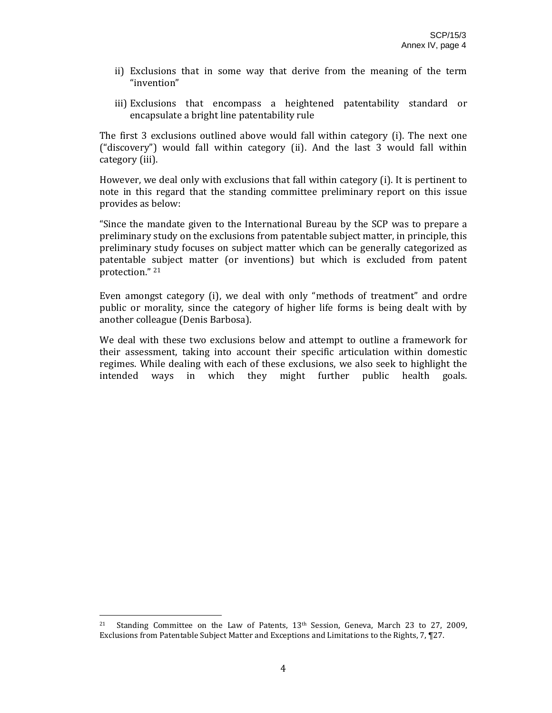- ii) Exclusions that in some way that derive from the meaning of the term "invention"
- iii) Exclusions that encompass a heightened patentability standard or encapsulate a bright line patentability rule

The first 3 exclusions outlined above would fall within category (i). The next one ("discovery") would fall within category (ii). And the last 3 would fall within category (iii).

However, we deal only with exclusions that fall within category (i). It is pertinent to note in this regard that the standing committee preliminary report on this issue provides as below:

"Since the mandate given to the International Bureau by the SCP was to prepare a preliminary study on the exclusions from patentable subject matter, in principle, this preliminary study focuses on subject matter which can be generally categorized as patentable subject matter (or inventions) but which is excluded from patent protection." 21

Even amongst category (i), we deal with only "methods of treatment" and ordre public or morality, since the category of higher life forms is being dealt with by another colleague (Denis Barbosa).

We deal with these two exclusions below and attempt to outline a framework for their assessment, taking into account their specific articulation within domestic regimes. While dealing with each of these exclusions, we also seek to highlight the intended ways in which they might further public health goals.

<sup>&</sup>lt;sup>21</sup> Standing Committee on the Law of Patents, 13<sup>th</sup> Session, Geneva, March 23 to 27, 2009, Exclusions from Patentable Subject Matter and Exceptions and Limitations to the Rights, 7, ¶27.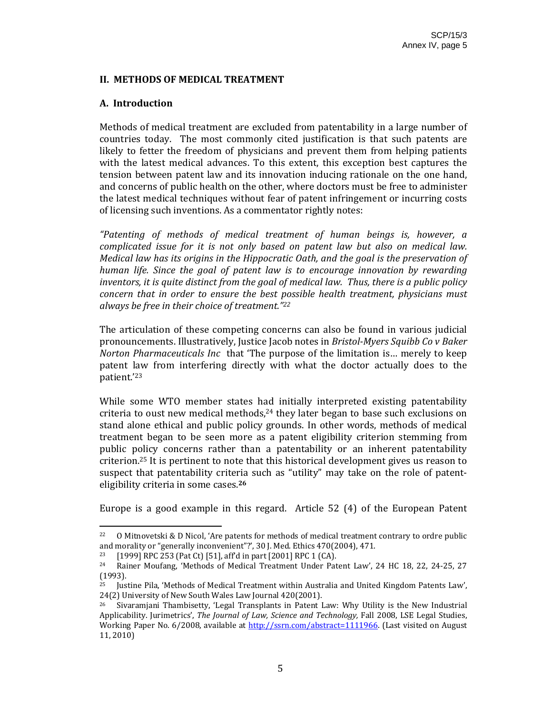#### **II. METHODS OF MEDICAL TREATMENT**

## **A. Introduction**

Methods of medical treatment are excluded from patentability in a large number of countries today. The most commonly cited justification is that such patents are likely to fetter the freedom of physicians and prevent them from helping patients with the latest medical advances. To this extent, this exception best captures the tension between patent law and its innovation inducing rationale on the one hand, and concerns of public health on the other, where doctors must be free to administer the latest medical techniques without fear of patent infringement or incurring costs of licensing such inventions. As a commentator rightly notes:

*"Patenting of methods of medical treatment of human beings is, however, a complicated issue for it is not only based on patent law but also on medical law. Medical law has its origins in the Hippocratic Oath, and the goal is the preservation of human life. Since the goal of patent law is to encourage innovation by rewarding inventors, it is quite distinct from the goal of medical law. Thus, there is a public policy concern that in order to ensure the best possible health treatment, physicians must always be free in their choice of treatment."22*

The articulation of these competing concerns can also be found in various judicial pronouncements. Illustratively, Justice Jacob notes in *BristolMyers Squibb Co v Baker Norton Pharmaceuticals Inc* that 'The purpose of the limitation is… merely to keep patent law from interfering directly with what the doctor actually does to the patient.'23

While some WTO member states had initially interpreted existing patentability criteria to oust new medical methods, $24$  they later began to base such exclusions on stand alone ethical and public policy grounds. In other words, methods of medical treatment began to be seen more as a patent eligibility criterion stemming from public policy concerns rather than a patentability or an inherent patentability criterion.25 It is pertinent to note that this historical development gives us reason to suspect that patentability criteria such as "utility" may take on the role of patenteligibility criteria in some cases.**<sup>26</sup>**

Europe is a good example in this regard. Article 52 (4) of the European Patent

<sup>&</sup>lt;sup>22</sup> O Mitnovetski & D Nicol, 'Are patents for methods of medical treatment contrary to ordre public and morality or "generally inconvenient"?', 30 J. Med. Ethics 470(2004), 471.

<sup>23 [1999]</sup> RPC 253 (Pat Ct) [51], aff'd in part [2001] RPC 1 (CA).

<sup>&</sup>lt;sup>24</sup> Rainer Moufang, 'Methods of Medical Treatment Under Patent Law', 24 HC 18, 22, 24-25, 27  $(1993)$ .<br><sup>25</sup> Ius<sup>1</sup>

<sup>25</sup> Justine Pila, 'Methods of Medical Treatment within Australia and United Kingdom Patents Law', 24(2) University of New South Wales Law Journal 420(2001).

 $26$  Sivaramjani Thambisetty, 'Legal Transplants in Patent Law: Why Utility is the New Industrial Applicability. Jurimetrics', *The Journal of Law, Science and Technology,* Fall 2008, LSE Legal Studies, Working Paper No. 6/2008, available at http://ssrn.com/abstract=1111966. (Last visited on August 11, 2010)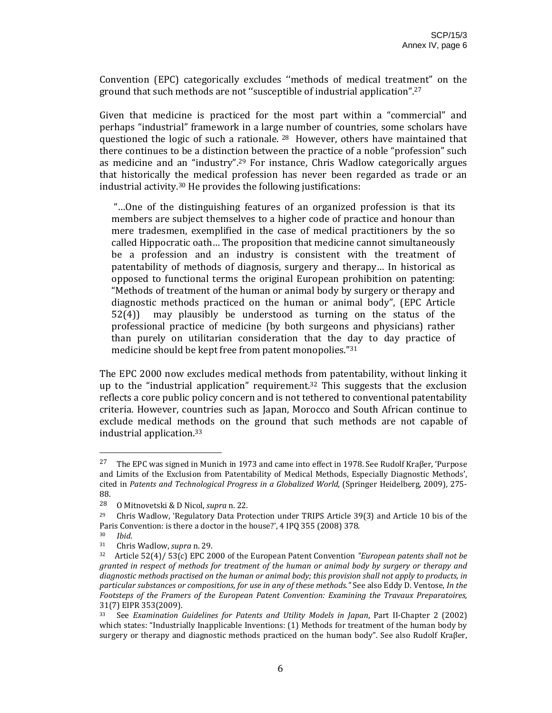Convention (EPC) categorically excludes ''methods of medical treatment" on the ground that such methods are not ''susceptible of industrial application".27

Given that medicine is practiced for the most part within a "commercial" and perhaps "industrial" framework in a large number of countries, some scholars have questioned the logic of such a rationale. <sup>28</sup> However, others have maintained that there continues to be a distinction between the practice of a noble "profession" such as medicine and an "industry".<sup>29</sup> For instance, Chris Wadlow categorically argues that historically the medical profession has never been regarded as trade or an industrial activity.30 He provides the following justifications:

 "…One of the distinguishing features of an organized profession is that its members are subject themselves to a higher code of practice and honour than mere tradesmen, exemplified in the case of medical practitioners by the so called Hippocratic oath… The proposition that medicine cannot simultaneously be a profession and an industry is consistent with the treatment of patentability of methods of diagnosis, surgery and therapy… In historical as opposed to functional terms the original European prohibition on patenting: "Methods of treatment of the human or animal body by surgery or therapy and diagnostic methods practiced on the human or animal body", (EPC Article  $52(4)$  may plausibly be understood as turning on the status of the professional practice of medicine (by both surgeons and physicians) rather than purely on utilitarian consideration that the day to day practice of medicine should be kept free from patent monopolies."31

The EPC 2000 now excludes medical methods from patentability, without linking it up to the "industrial application" requirement.<sup>32</sup> This suggests that the exclusion reflects a core public policy concern and is not tethered to conventional patentability criteria. However, countries such as Japan, Morocco and South African continue to exclude medical methods on the ground that such methods are not capable of industrial application.33

<sup>&</sup>lt;sup>27</sup> The EPC was signed in Munich in 1973 and came into effect in 1978. See Rudolf Kraßer, 'Purpose and Limits of the Exclusion from Patentability of Medical Methods, Especially Diagnostic Methods', cited in *Patents and Technological Progress in a Globalized World*, (Springer Heidelberg, 2009), 275‐ 88.

<sup>28</sup> O Mitnovetski & D Nicol, *supra* n. 22.

<sup>&</sup>lt;sup>29</sup> Chris Wadlow, 'Regulatory Data Protection under TRIPS Article 39(3) and Article 10 bis of the Paris Convention: is there a doctor in the house?', 4 IPQ 355 (2008) 378.

<sup>30</sup> *Ibid*.

<sup>31</sup> Chris Wadlow, *supra* n. 29.

<sup>32</sup> Article 52(4)/ 53(c) EPC 2000 of the European Patent Convention *"European patents shall not be granted in respect of methods for treatment of the human or animal body by surgery or therapy and diagnostic methods practised on the human or animal body; this provision shall not apply to products, in particular substances or compositions, for use in any of these methods."* See also Eddy D. Ventose, *In the Footsteps of the Framers of the European Patent Convention: Examining the Travaux Preparatoires,* 31(7) EIPR 353(2009).<br>33 See Examination (

<sup>33</sup> See *Examination Guidelines for Patents and Utility Models in Japan*, Part II‐Chapter 2 (2002) which states: "Industrially Inapplicable Inventions: (1) Methods for treatment of the human body by surgery or therapy and diagnostic methods practiced on the human body". See also Rudolf Kraβer,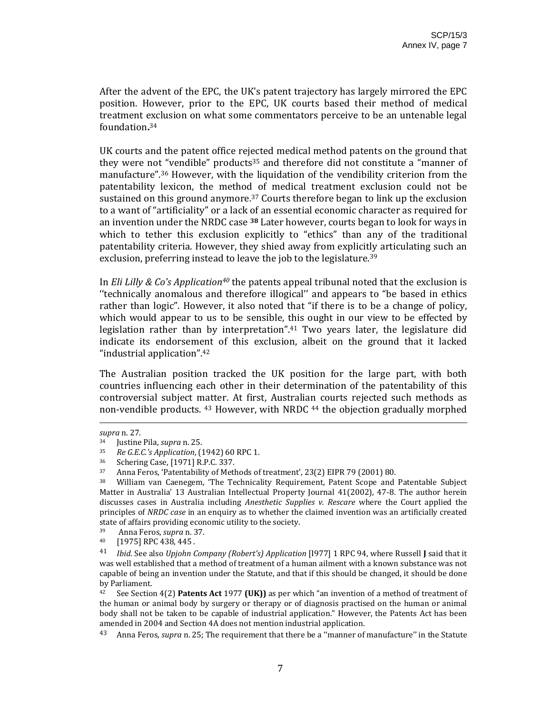After the advent of the EPC, the UK's patent trajectory has largely mirrored the EPC position. However, prior to the EPC, UK courts based their method of medical treatment exclusion on what some commentators perceive to be an untenable legal foundation**.** 34

UK courts and the patent office rejected medical method patents on the ground that they were not "vendible" products<sup>35</sup> and therefore did not constitute a "manner of manufacture".<sup>36</sup> However, with the liquidation of the vendibility criterion from the patentability lexicon, the method of medical treatment exclusion could not be sustained on this ground anymore.<sup>37</sup> Courts therefore began to link up the exclusion to a want of "artificiality" or a lack of an essential economic character as required for an invention under the NRDC case **<sup>38</sup>** Later however, courts began to look for ways in which to tether this exclusion explicitly to "ethics" than any of the traditional patentability criteria. However, they shied away from explicitly articulating such an exclusion, preferring instead to leave the job to the legislature.<sup>39</sup>

In *Eli Lilly & Co's Application40* the patents appeal tribunal noted that the exclusion is ''technically anomalous and therefore illogical'' and appears to "be based in ethics rather than logic". However, it also noted that "if there is to be a change of policy, which would appear to us to be sensible, this ought in our view to be effected by legislation rather than by interpretation".<sup>41</sup> Two years later, the legislature did indicate its endorsement of this exclusion, albeit on the ground that it lacked "industrial application".42

The Australian position tracked the UK position for the large part, with both countries influencing each other in their determination of the patentability of this controversial subject matter. At first, Australian courts rejected such methods as non-vendible products. <sup>43</sup> However, with NRDC <sup>44</sup> the objection gradually morphed

<u> 2000 - Andrea Andrew Maria (h. 1888).</u><br>2001 - Andrew Maria (h. 1888).

*supra* n. 27.

<sup>34</sup> Justine Pila, *supra* n. 25.

<sup>35</sup> *Re G.E.C.'s Application*, (1942) 60 RPC 1.

<sup>36</sup> Schering Case, [1971] R.P.C. 337.

<sup>&</sup>lt;sup>37</sup> Anna Feros, 'Patentability of Methods of treatment', 23(2) EIPR 79 (2001) 80.<br><sup>38</sup> William van Gaonogom, 'The Technicality Boquiroment, Patent Scope and

<sup>38</sup> William van Caenegem, 'The Technicality Requirement, Patent Scope and Patentable Subject Matter in Australia' 13 Australian Intellectual Property Journal 41(2002), 47-8. The author herein discusses cases in Australia including *Anesthetic Supplies v. Rescare* where the Court applied the principles of *NRDC case* in an enquiry as to whether the claimed invention was an artificially created state of affairs providing economic utility to the society.

<sup>39</sup> Anna Feros, *supra* n. 37.

<sup>40 [1975]</sup> RPC 438, 445 .

<sup>41</sup> *Ibid*. See also *Upjohn Company (Robert's) Application* [I977] 1 RPC 94, where Russell **J** said that it was well established that a method of treatment of a human ailment with a known substance was not capable of being an invention under the Statute, and that if this should be changed, it should be done by Parliament.

<sup>42</sup> See Section 4(2) **Patents Act** 1977 **(UK))** as per which "an invention of a method of treatment of the human or animal body by surgery or therapy or of diagnosis practised on the human or animal body shall not be taken to be capable of industrial application." However, the Patents Act has been amended in 2004 and Section 4A does not mention industrial application.

<sup>43</sup> Anna Feros, *supra* n. 25; The requirement that there be a ''manner of manufacture'' in the Statute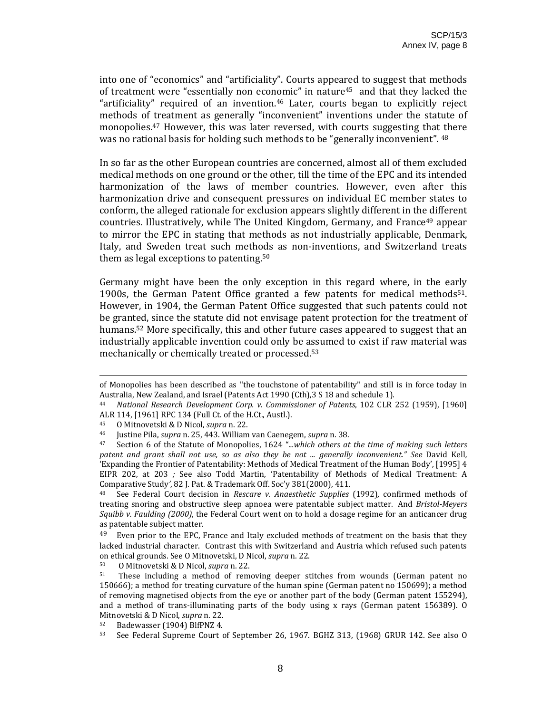into one of "economics" and "artificiality". Courts appeared to suggest that methods of treatment were "essentially non economic" in nature45 and that they lacked the "artificiality" required of an invention.<sup>46</sup> Later, courts began to explicitly reject methods of treatment as generally "inconvenient" inventions under the statute of monopolies.<sup>47</sup> However, this was later reversed, with courts suggesting that there was no rational basis for holding such methods to be "generally inconvenient". <sup>48</sup>

In so far as the other European countries are concerned, almost all of them excluded medical methods on one ground or the other, till the time of the EPC and its intended harmonization of the laws of member countries. However, even after this harmonization drive and consequent pressures on individual EC member states to conform, the alleged rationale for exclusion appears slightly different in the different countries. Illustratively, while The United Kingdom, Germany, and France<sup>49</sup> appear to mirror the EPC in stating that methods as not industrially applicable, Denmark, Italy, and Sweden treat such methods as non‐inventions, and Switzerland treats them as legal exceptions to patenting.50

Germany might have been the only exception in this regard where, in the early 1900s, the German Patent Office granted a few patents for medical methods<sup>51</sup>. However, in 1904, the German Patent Office suggested that such patents could not be granted, since the statute did not envisage patent protection for the treatment of humans.52 More specifically, this and other future cases appeared to suggest that an industrially applicable invention could only be assumed to exist if raw material was mechanically or chemically treated or processed.53

50 O Mitnovetski & D Nicol, *supra* n. 22.

<sup>&</sup>lt;u> Alexandro Alexandro Alexandro Alexandro Alexandro Alexandro Alexandro Alexandro Alexandro Alexandro Alexandro </u> of Monopolies has been described as ''the touchstone of patentability'' and still is in force today in Australia, New Zealand, and Israel (Patents Act 1990 (Cth),3 S 18 and schedule 1).

<sup>44</sup> *National Research Development Corp. v. Commissioner of Patents*, 102 CLR 252 (1959), [1960] ALR 114, [1961] RPC 134 (Full Ct. of the H.Ct., Austl.).

<sup>45</sup> O Mitnovetski & D Nicol, *supra* n. 22.

<sup>46</sup> Justine Pila, *supra* n. 25, 443. William van Caenegem, *supra* n. 38.

<sup>47</sup> Section 6 of the Statute of Monopolies, 1624 "*...which others at the time of making such letters patent and grant shall not use, so as also they be not ... generally inconvenient." See* David Kell*,* 'Expanding the Frontier of Patentability: Methods of Medical Treatment of the Human Body', [1995] 4 EIPR 202, at 203 *;* See also Todd Martin, 'Patentability of Methods of Medical Treatment: A Comparative Study*'*, 82 J. Pat. & Trademark Off. Soc'y 381(2000), 411.

<sup>48</sup> See Federal Court decision in *Rescare v. Anaesthetic Supplies* (1992)*,* confirmed methods of treating snoring and obstructive sleep apnoea were patentable subject matter. And *BristolMeyers Squibb v. Faulding (2000)*, the Federal Court went on to hold a dosage regime for an anticancer drug as patentable subject matter.

 $49$  Even prior to the EPC, France and Italy excluded methods of treatment on the basis that they lacked industrial character. Contrast this with Switzerland and Austria which refused such patents on ethical grounds. See O Mitnovetski, D Nicol, *supra* n. 22.

<sup>&</sup>lt;sup>51</sup> These including a method of removing deeper stitches from wounds (German patent no 150666); a method for treating curvature of the human spine (German patent no 150699); a method of removing magnetised objects from the eye or another part of the body (German patent 155294), and a method of trans-illuminating parts of the body using x rays (German patent 156389). O Mitnovetski & D Nicol, *supra* n. 22.

<sup>52</sup> Badewasser (1904) BlfPNZ 4.

<sup>53</sup> See Federal Supreme Court of September 26, 1967. BGHZ 313, (1968) GRUR 142. See also O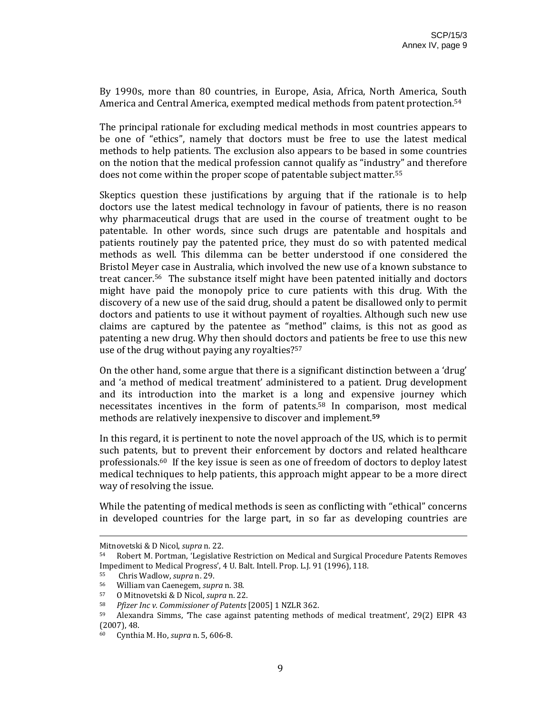By 1990s, more than 80 countries, in Europe, Asia, Africa, North America, South America and Central America, exempted medical methods from patent protection.54

The principal rationale for excluding medical methods in most countries appears to be one of "ethics", namely that doctors must be free to use the latest medical methods to help patients. The exclusion also appears to be based in some countries on the notion that the medical profession cannot qualify as "industry" and therefore does not come within the proper scope of patentable subject matter.55 

Skeptics question these justifications by arguing that if the rationale is to help doctors use the latest medical technology in favour of patients, there is no reason why pharmaceutical drugs that are used in the course of treatment ought to be patentable. In other words, since such drugs are patentable and hospitals and patients routinely pay the patented price, they must do so with patented medical methods as well. This dilemma can be better understood if one considered the Bristol Meyer case in Australia, which involved the new use of a known substance to treat cancer.56 The substance itself might have been patented initially and doctors might have paid the monopoly price to cure patients with this drug. With the discovery of a new use of the said drug, should a patent be disallowed only to permit doctors and patients to use it without payment of royalties. Although such new use claims are captured by the patentee as "method" claims, is this not as good as patenting a new drug. Why then should doctors and patients be free to use this new use of the drug without paying any royalties?57

On the other hand, some argue that there is a significant distinction between a 'drug' and 'a method of medical treatment' administered to a patient. Drug development and its introduction into the market is a long and expensive journey which necessitates incentives in the form of patents.58 In comparison, most medical methods are relatively inexpensive to discover and implement.**<sup>59</sup>**

In this regard, it is pertinent to note the novel approach of the US, which is to permit such patents, but to prevent their enforcement by doctors and related healthcare professionals.60 If the key issue is seen as one of freedom of doctors to deploy latest medical techniques to help patients, this approach might appear to be a more direct way of resolving the issue.

While the patenting of medical methods is seen as conflicting with "ethical" concerns in developed countries for the large part, in so far as developing countries are

<u> 2002 - Andrea San Andrew Maria (h. 1888).</u><br>2003 - Andrew Maria (h. 1882).

Mitnovetski & D Nicol, *supra* n. 22.

<sup>54</sup> Robert M. Portman, 'Legislative Restriction on Medical and Surgical Procedure Patents Removes Impediment to Medical Progress', 4 U. Balt. Intell. Prop. L.J. 91 (1996), 118.

<sup>55</sup> Chris Wadlow, *supra* n. 29.

<sup>56</sup> William van Caenegem, *supra* n. 38.

<sup>57</sup> O Mitnovetski & D Nicol, *supra* n. 22.

<sup>58</sup> *Pfizer Inc v. Commissioner of Patents* [2005] 1 NZLR 362.

Alexandra Simms, 'The case against patenting methods of medical treatment', 29(2) EIPR 43 (2007), 48.

<sup>60</sup> Cynthia M. Ho, *supra* n. 5, 606‐8.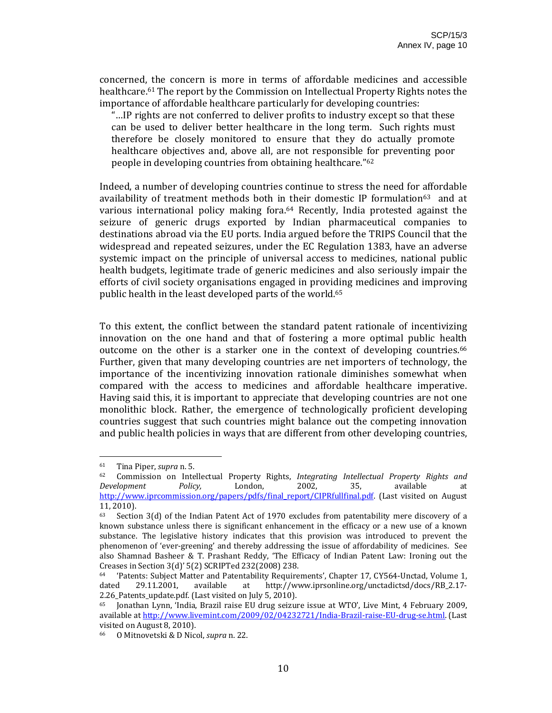concerned, the concern is more in terms of affordable medicines and accessible healthcare.61 The report by the Commission on Intellectual Property Rights notes the importance of affordable healthcare particularly for developing countries:

"…IP rights are not conferred to deliver profits to industry except so that these can be used to deliver better healthcare in the long term. Such rights must therefore be closely monitored to ensure that they do actually promote healthcare objectives and, above all, are not responsible for preventing poor people in developing countries from obtaining healthcare."62

Indeed, a number of developing countries continue to stress the need for affordable availability of treatment methods both in their domestic IP formulation<sup>63</sup> and at various international policy making fora.<sup>64</sup> Recently, India protested against the seizure of generic drugs exported by Indian pharmaceutical companies to destinations abroad via the EU ports. India argued before the TRIPS Council that the widespread and repeated seizures, under the EC Regulation 1383, have an adverse systemic impact on the principle of universal access to medicines, national public health budgets, legitimate trade of generic medicines and also seriously impair the efforts of civil society organisations engaged in providing medicines and improving public health in the least developed parts of the world.65

To this extent, the conflict between the standard patent rationale of incentivizing innovation on the one hand and that of fostering a more optimal public health outcome on the other is a starker one in the context of developing countries.<sup>66</sup> Further, given that many developing countries are net importers of technology, the importance of the incentivizing innovation rationale diminishes somewhat when compared with the access to medicines and affordable healthcare imperative. Having said this, it is important to appreciate that developing countries are not one monolithic block. Rather, the emergence of technologically proficient developing countries suggest that such countries might balance out the competing innovation and public health policies in ways that are different from other developing countries,

<sup>61</sup> Tina Piper, *supra* n. 5.

<sup>62</sup> Commission on Intellectual Property Rights, *Integrating Intellectual Property Rights and Development Policy,* London, 2002, 35, available at http://www.iprcommission.org/papers/pdfs/final\_report/CIPRfullfinal.pdf. (Last visited on August 11, 2010).

 $63$  Section 3(d) of the Indian Patent Act of 1970 excludes from patentability mere discovery of a known substance unless there is significant enhancement in the efficacy or a new use of a known substance. The legislative history indicates that this provision was introduced to prevent the phenomenon of 'ever-greening' and thereby addressing the issue of affordability of medicines. See also Shamnad Basheer & T. Prashant Reddy, 'The Efficacy of Indian Patent Law: Ironing out the Creases in Section 3(d)' 5(2) SCRIPTed 232(2008) 238.

<sup>64 &#</sup>x27;Patents: Subject Matter and Patentability Requirements', Chapter 17, CY564‐Unctad, Volume 1, dated 29.11.2001, available at http://www.iprsonline.org/unctadictsd/docs/RB\_2.17‐ 2.26\_Patents\_update.pdf. (Last visited on July 5, 2010).

<sup>65</sup> Jonathan Lynn, 'India, Brazil raise EU drug seizure issue at WTO', Live Mint, 4 February 2009, available at http://www.livemint.com/2009/02/04232721/India‐Brazil‐raise‐EU‐drug‐se.html. (Last visited on August 8, 2010).

<sup>66</sup> O Mitnovetski & D Nicol, *supra* n. 22.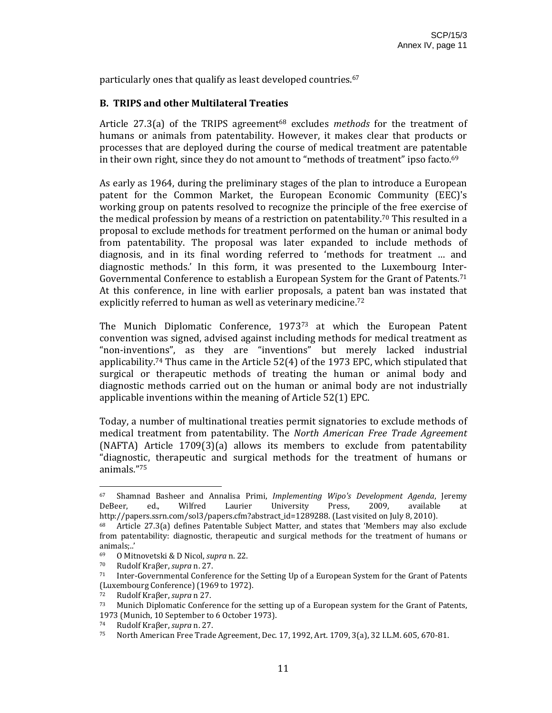particularly ones that qualify as least developed countries.67

## **B. TRIPS and other Multilateral Treaties**

Article 27.3(a) of the TRIPS agreement<sup>68</sup> excludes *methods* for the treatment of humans or animals from patentability. However, it makes clear that products or processes that are deployed during the course of medical treatment are patentable in their own right, since they do not amount to "methods of treatment" ipso facto.<sup>69</sup>

As early as 1964, during the preliminary stages of the plan to introduce a European patent for the Common Market, the European Economic Community (EEC)'s working group on patents resolved to recognize the principle of the free exercise of the medical profession by means of a restriction on patentability.<sup>70</sup> This resulted in a proposal to exclude methods for treatment performed on the human or animal body from patentability. The proposal was later expanded to include methods of diagnosis, and in its final wording referred to 'methods for treatment … and diagnostic methods.' In this form, it was presented to the Luxembourg Inter‐ Governmental Conference to establish a European System for the Grant of Patents.71 At this conference, in line with earlier proposals, a patent ban was instated that explicitly referred to human as well as veterinary medicine.<sup>72</sup>

The Munich Diplomatic Conference, 1973<sup>73</sup> at which the European Patent convention was signed, advised against including methods for medical treatment as "non‐inventions", as they are "inventions" but merely lacked industrial applicability.<sup>74</sup> Thus came in the Article  $52(4)$  of the 1973 EPC, which stipulated that surgical or therapeutic methods of treating the human or animal body and diagnostic methods carried out on the human or animal body are not industrially applicable inventions within the meaning of Article 52(1) EPC.

Today, a number of multinational treaties permit signatories to exclude methods of medical treatment from patentability. The *North American Free Trade Agreement* (NAFTA) Article 1709(3)(a) allows its members to exclude from patentability "diagnostic, therapeutic and surgical methods for the treatment of humans or animals."75

<sup>67</sup> Shamnad Basheer and Annalisa Primi, *Implementing Wipo's Development Agenda*, Jeremy DeBeer, ed., Wilfred Laurier University Press, 2009, available http://papers.ssrn.com/sol3/papers.cfm?abstract\_id=1289288. (Last visited on July 8, 2010).

<sup>68</sup> Article 27.3(a) defines Patentable Subject Matter, and states that 'Members may also exclude from patentability: diagnostic, therapeutic and surgical methods for the treatment of humans or animals;..'

<sup>69</sup> O Mitnovetski & D Nicol, *supra* n. 22.

<sup>70</sup> Rudolf Kraβer, *supra* n. 27.

 $71$  Inter-Governmental Conference for the Setting Up of a European System for the Grant of Patents (Luxembourg Conference) (1969 to 1972).

<sup>72</sup> Rudolf Kraβer, *supra* n 27.

<sup>&</sup>lt;sup>73</sup> Munich Diplomatic Conference for the setting up of a European system for the Grant of Patents, 1973 (Munich, 10 September to 6 October 1973).

<sup>74</sup> Rudolf Kraβer, *supra* n. 27.

<sup>75</sup> North American Free Trade Agreement, Dec. 17, 1992, Art. 1709, 3(a), 32 I.L.M. 605, 670‐81.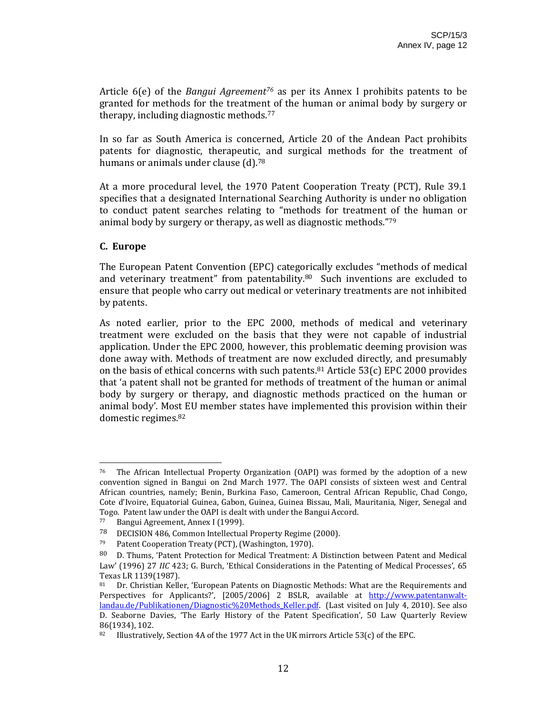Article 6(e) of the *Bangui Agreement76* as per its Annex I prohibits patents to be granted for methods for the treatment of the human or animal body by surgery or therapy, including diagnostic methods.77

In so far as South America is concerned, Article 20 of the Andean Pact prohibits patents for diagnostic, therapeutic, and surgical methods for the treatment of humans or animals under clause (d).<sup>78</sup>

At a more procedural level, the 1970 Patent Cooperation Treaty (PCT), Rule 39.1 specifies that a designated International Searching Authority is under no obligation to conduct patent searches relating to "methods for treatment of the human or animal body by surgery or therapy, as well as diagnostic methods."79

#### **C. Europe**

The European Patent Convention (EPC) categorically excludes "methods of medical and veterinary treatment" from patentability. $80$  Such inventions are excluded to ensure that people who carry out medical or veterinary treatments are not inhibited by patents.

As noted earlier, prior to the EPC 2000, methods of medical and veterinary treatment were excluded on the basis that they were not capable of industrial application. Under the EPC 2000, however, this problematic deeming provision was done away with. Methods of treatment are now excluded directly, and presumably on the basis of ethical concerns with such patents.<sup>81</sup> Article 53(c) EPC 2000 provides that 'a patent shall not be granted for methods of treatment of the human or animal body by surgery or therapy, and diagnostic methods practiced on the human or animal body'. Most EU member states have implemented this provision within their domestic regimes.82

 $76$  The African Intellectual Property Organization (OAPI) was formed by the adoption of a new convention signed in Bangui on 2nd March 1977. The OAPI consists of sixteen west and Central African countries, namely; Benin, Burkina Faso, Cameroon, Central African Republic, Chad Congo, Cote d'Ivoire, Equatorial Guinea, Gabon, Guinea, Guinea Bissau, Mali, Mauritania, Niger, Senegal and Togo. Patent law under the OAPI is dealt with under the Bangui Accord.<br><sup>77</sup> Bangui Agreement, Annex I (1999)

Bangui Agreement, Annex I (1999).

<sup>78</sup> DECISION 486, Common Intellectual Property Regime (2000).

<sup>79</sup> Patent Cooperation Treaty (PCT), (Washington, 1970).

<sup>80</sup> D. Thums, 'Patent Protection for Medical Treatment: A Distinction between Patent and Medical Law' (1996) 27 *IIC* 423; G. Burch, 'Ethical Considerations in the Patenting of Medical Processes', 65 Texas LR 1139(1987).

<sup>81</sup> Dr. Christian Keller, 'European Patents on Diagnostic Methods: What are the Requirements and Perspectives for Applicants?', [2005/2006] 2 BSLR, available at http://www.patentanwaltlandau.de/Publikationen/Diagnostic%20Methods Keller.pdf. (Last visited on July 4, 2010). See also D. Seaborne Davies, 'The Early History of the Patent Specification', 50 Law Quarterly Review 86(1934), 102.

<sup>82</sup> Illustratively, Section 4A of the 1977 Act in the UK mirrors Article 53(c) of the EPC.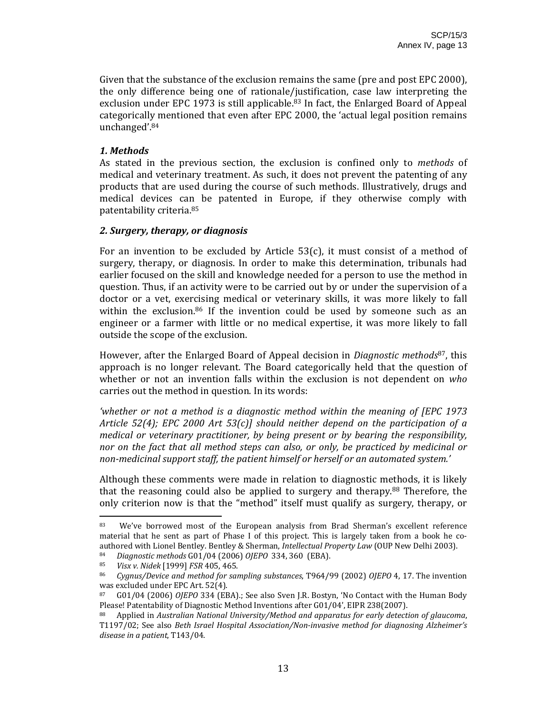Given that the substance of the exclusion remains the same (pre and post EPC 2000), the only difference being one of rationale/justification, case law interpreting the exclusion under EPC 1973 is still applicable.<sup>83</sup> In fact, the Enlarged Board of Appeal categorically mentioned that even after EPC 2000, the 'actual legal position remains unchanged'.84

# *1. Methods*

As stated in the previous section, the exclusion is confined only to *methods* of medical and veterinary treatment. As such, it does not prevent the patenting of any products that are used during the course of such methods. Illustratively, drugs and medical devices can be patented in Europe, if they otherwise comply with patentability criteria.85

#### *2. Surgery, therapy, or diagnosis*

For an invention to be excluded by Article  $53(c)$ , it must consist of a method of surgery, therapy, or diagnosis. In order to make this determination, tribunals had earlier focused on the skill and knowledge needed for a person to use the method in question. Thus, if an activity were to be carried out by or under the supervision of a doctor or a vet, exercising medical or veterinary skills, it was more likely to fall within the exclusion.<sup>86</sup> If the invention could be used by someone such as an engineer or a farmer with little or no medical expertise, it was more likely to fall outside the scope of the exclusion.

However, after the Enlarged Board of Appeal decision in *Diagnostic methods*87, this approach is no longer relevant. The Board categorically held that the question of whether or not an invention falls within the exclusion is not dependent on *who* carries out the method in question. In its words:

*'whether or not a method is a diagnostic method within the meaning of [EPC 1973 Article 52(4); EPC 2000 Art 53(c)] should neither depend on the participation of a medical or veterinary practitioner, by being present or by bearing the responsibility, nor on the fact that all method steps can also, or only, be practiced by medicinal or nonmedicinal support staff, the patient himself or herself or an automated system.'* 

Although these comments were made in relation to diagnostic methods, it is likely that the reasoning could also be applied to surgery and therapy.<sup>88</sup> Therefore, the only criterion now is that the "method" itself must qualify as surgery, therapy, or

<sup>83</sup> We've borrowed most of the European analysis from Brad Sherman's excellent reference material that he sent as part of Phase I of this project. This is largely taken from a book he coauthored with Lionel Bentley. Bentley & Sherman, *Intellectual Property Law* (OUP New Delhi 2003).

<sup>84</sup> *Diagnostic methods* G01/04 (2006) *OJEPO* 334, 360 (EBA).

<sup>85</sup> *Visx v. Nidek* [1999] *FSR* 405, 465.

<sup>86</sup> *Cygnus/Device and method for sampling substances*, T964/99 (2002) *OJEPO* 4, 17. The invention was excluded under EPC Art. 52(4).

<sup>87</sup> G01/04 (2006) *OJEPO* 334 (EBA).; See also Sven J.R. Bostyn, 'No Contact with the Human Body Please! Patentability of Diagnostic Method Inventions after G01/04', EIPR 238(2007).<br>88 Applied in Australian National University/Mathod and apparatus for early detecti

<sup>88</sup> Applied in *Australian National University/Method and apparatus for early detection of glaucoma*, T1197/02; See also *Beth Israel Hospital Association/Noninvasive method for diagnosing Alzheimer's disease in a patient*, T143/04.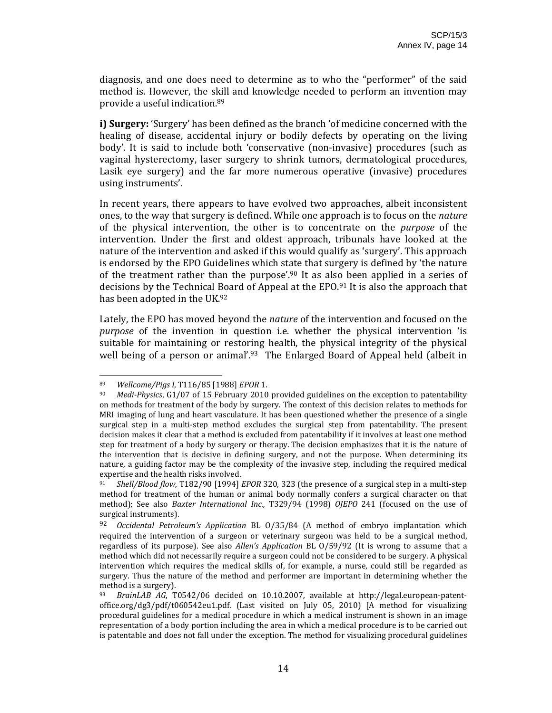diagnosis, and one does need to determine as to who the "performer" of the said method is. However, the skill and knowledge needed to perform an invention may provide a useful indication.89

**i) Surgery:** 'Surgery' has been defined as the branch 'of medicine concerned with the healing of disease, accidental injury or bodily defects by operating on the living body'. It is said to include both 'conservative (non-invasive) procedures (such as vaginal hysterectomy, laser surgery to shrink tumors, dermatological procedures, Lasik eye surgery) and the far more numerous operative (invasive) procedures using instruments'.

In recent years, there appears to have evolved two approaches, albeit inconsistent ones, to the way that surgery is defined. While one approach is to focus on the *nature* of the physical intervention, the other is to concentrate on the *purpose* of the intervention. Under the first and oldest approach, tribunals have looked at the nature of the intervention and asked if this would qualify as 'surgery'. This approach is endorsed by the EPO Guidelines which state that surgery is defined by 'the nature of the treatment rather than the purpose'.<sup>90</sup> It as also been applied in a series of decisions by the Technical Board of Appeal at the EPO.91 It is also the approach that has been adopted in the UK.92

Lately, the EPO has moved beyond the *nature* of the intervention and focused on the *purpose* of the invention in question i.e. whether the physical intervention 'is suitable for maintaining or restoring health, the physical integrity of the physical well being of a person or animal'.<sup>93</sup> The Enlarged Board of Appeal held (albeit in

<sup>89</sup> *Wellcome/Pigs I*, T116/85 [1988] *EPOR* 1.

<sup>90</sup> *MediPhysics*, G1/07 of 15 February 2010 provided guidelines on the exception to patentability on methods for treatment of the body by surgery. The context of this decision relates to methods for MRI imaging of lung and heart vasculature. It has been questioned whether the presence of a single surgical step in a multi-step method excludes the surgical step from patentability. The present decision makes it clear that a method is excluded from patentability if it involves at least one method step for treatment of a body by surgery or therapy. The decision emphasizes that it is the nature of the intervention that is decisive in defining surgery, and not the purpose. When determining its nature, a guiding factor may be the complexity of the invasive step, including the required medical expertise and the health risks involved.

<sup>91</sup> *Shell/Blood flow*, T182/90 [1994] *EPOR* 320, 323 (the presence of a surgical step in a multi‐step method for treatment of the human or animal body normally confers a surgical character on that method); See also *Baxter International Inc.,* T329/94 (1998) *OJEPO* 241 (focused on the use of surgical instruments).

<sup>92</sup> *Occidental Petroleum's Application* BL O/35/84 (A method of embryo implantation which required the intervention of a surgeon or veterinary surgeon was held to be a surgical method, regardless of its purpose). See also *Allen's Application* BL O/59/92 (It is wrong to assume that a method which did not necessarily require a surgeon could not be considered to be surgery. A physical intervention which requires the medical skills of, for example, a nurse, could still be regarded as surgery. Thus the nature of the method and performer are important in determining whether the method is a surgery).

<sup>93</sup> *BrainLAB AG*, T0542/06 decided on 10.10.2007, available at http://legal.european‐patent‐ office.org/dg3/pdf/t060542eu1.pdf. (Last visited on July 05, 2010) [A method for visualizing procedural guidelines for a medical procedure in which a medical instrument is shown in an image representation of a body portion including the area in which a medical procedure is to be carried out is patentable and does not fall under the exception. The method for visualizing procedural guidelines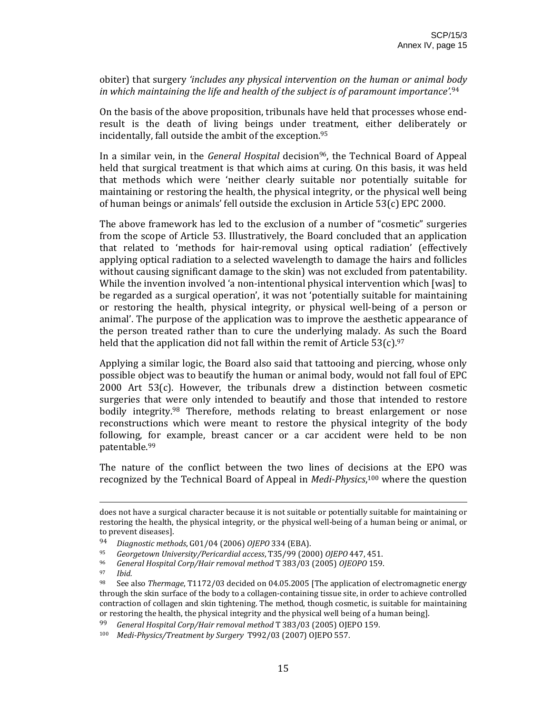obiter) that surgery *'includes any physical intervention on the human or animal body in which maintaining the life and health of the subject is of paramount importance'.*<sup>94</sup>

On the basis of the above proposition, tribunals have held that processes whose end‐ result is the death of living beings under treatment, either deliberately or incidentally, fall outside the ambit of the exception.95

In a similar vein, in the *General Hospital* decision<sup>96</sup>, the Technical Board of Appeal held that surgical treatment is that which aims at curing. On this basis, it was held that methods which were 'neither clearly suitable nor potentially suitable for maintaining or restoring the health, the physical integrity, or the physical well being of human beings or animals' fell outside the exclusion in Article 53(c) EPC 2000.

The above framework has led to the exclusion of a number of "cosmetic" surgeries from the scope of Article 53. Illustratively, the Board concluded that an application that related to 'methods for hair‐removal using optical radiation' (effectively applying optical radiation to a selected wavelength to damage the hairs and follicles without causing significant damage to the skin) was not excluded from patentability. While the invention involved 'a non-intentional physical intervention which [was] to be regarded as a surgical operation', it was not 'potentially suitable for maintaining or restoring the health, physical integrity, or physical well‐being of a person or animal'. The purpose of the application was to improve the aesthetic appearance of the person treated rather than to cure the underlying malady. As such the Board held that the application did not fall within the remit of Article  $53(c).$ <sup>97</sup>

Applying a similar logic, the Board also said that tattooing and piercing, whose only possible object was to beautify the human or animal body, would not fall foul of EPC 2000 Art 53(c). However, the tribunals drew a distinction between cosmetic surgeries that were only intended to beautify and those that intended to restore bodily integrity.<sup>98</sup> Therefore, methods relating to breast enlargement or nose reconstructions which were meant to restore the physical integrity of the body following, for example, breast cancer or a car accident were held to be non patentable.99

The nature of the conflict between the two lines of decisions at the EPO was recognized by the Technical Board of Appeal in *MediPhysics*, 100 where the question

<u> 2002 - Andrea San Andrew Maria (h. 1888).</u><br>2003 - Andrew Maria (h. 1882).

97 *Ibid.*

does not have a surgical character because it is not suitable or potentially suitable for maintaining or restoring the health, the physical integrity, or the physical well‐being of a human being or animal, or to prevent diseases].

<sup>94</sup> *Diagnostic methods*, G01/04 (2006) *OJEPO* 334 (EBA).

<sup>95</sup> *Georgetown University/Pericardial access*, T35/99 (2000) *OJEPO* 447, 451.

<sup>96</sup> *General Hospital Corp/Hair removal method* T 383/03 (2005) *OJEOPO* 159.

<sup>98</sup> See also *Thermage*, T1172/03 decided on 04.05.2005 [The application of electromagnetic energy through the skin surface of the body to a collagen‐containing tissue site, in order to achieve controlled contraction of collagen and skin tightening. The method, though cosmetic, is suitable for maintaining or restoring the health, the physical integrity and the physical well being of a human being].

<sup>99</sup> *General Hospital Corp/Hair removal method* T 383/03 (2005) OJEPO 159.

<sup>100</sup> *MediPhysics/Treatment by Surgery* T992/03 (2007) OJEPO 557.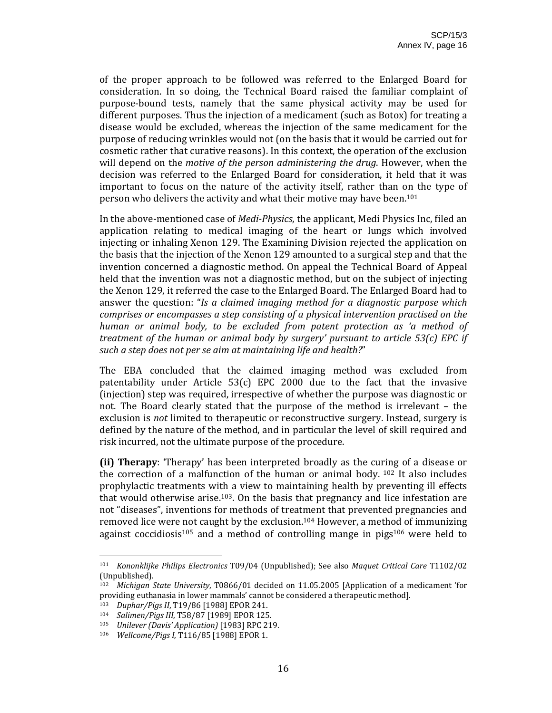of the proper approach to be followed was referred to the Enlarged Board for consideration. In so doing, the Technical Board raised the familiar complaint of purpose‐bound tests, namely that the same physical activity may be used for different purposes. Thus the injection of a medicament (such as Botox) for treating a disease would be excluded, whereas the injection of the same medicament for the purpose of reducing wrinkles would not (on the basis that it would be carried out for cosmetic rather that curative reasons). In this context, the operation of the exclusion will depend on the *motive of the person administering the drug*. However, when the decision was referred to the Enlarged Board for consideration, it held that it was important to focus on the nature of the activity itself, rather than on the type of person who delivers the activity and what their motive may have been.101

In the above‐mentioned case of *MediPhysics*, the applicant, Medi Physics Inc, filed an application relating to medical imaging of the heart or lungs which involved injecting or inhaling Xenon 129. The Examining Division rejected the application on the basis that the injection of the Xenon 129 amounted to a surgical step and that the invention concerned a diagnostic method. On appeal the Technical Board of Appeal held that the invention was not a diagnostic method, but on the subject of injecting the Xenon 129, it referred the case to the Enlarged Board. The Enlarged Board had to answer the question: "*Is a claimed imaging method for a diagnostic purpose which comprises or encompasses a step consisting of a physical intervention practised on the human or animal body, to be excluded from patent protection as 'a method of treatment of the human or animal body by surgery' pursuant to article 53(c) EPC if such a step does not per se aim at maintaining life and health?*"

The EBA concluded that the claimed imaging method was excluded from patentability under Article  $53(c)$  EPC 2000 due to the fact that the invasive (injection) step was required, irrespective of whether the purpose was diagnostic or not. The Board clearly stated that the purpose of the method is irrelevant – the exclusion is *not* limited to therapeutic or reconstructive surgery. Instead, surgery is defined by the nature of the method, and in particular the level of skill required and risk incurred, not the ultimate purpose of the procedure.

**(ii) Therapy**: 'Therapy' has been interpreted broadly as the curing of a disease or the correction of a malfunction of the human or animal body.  $102$  It also includes prophylactic treatments with a view to maintaining health by preventing ill effects that would otherwise arise.<sup>103</sup>. On the basis that pregnancy and lice infestation are not "diseases", inventions for methods of treatment that prevented pregnancies and removed lice were not caught by the exclusion.<sup>104</sup> However, a method of immunizing against coccidiosis<sup>105</sup> and a method of controlling mange in pigs<sup>106</sup> were held to

<sup>101</sup> *Kononklijke Philips Electronics* T09/04 (Unpublished); See also *Maquet Critical Care* T1102/02 (Unpublished).

<sup>102</sup> *Michigan State University*, T0866/01 decided on 11.05.2005 [Application of a medicament 'for providing euthanasia in lower mammals' cannot be considered a therapeutic method].

<sup>103</sup> *Duphar/Pigs II*, T19/86 [1988] EPOR 241.

<sup>104</sup> *Salimen/Pigs III*, T58/87 [1989] EPOR 125.

<sup>105</sup> *Unilever (Davis' Application)* [1983] RPC 219.

<sup>106</sup> *Wellcome/Pigs I*, T116/85 [1988] EPOR 1.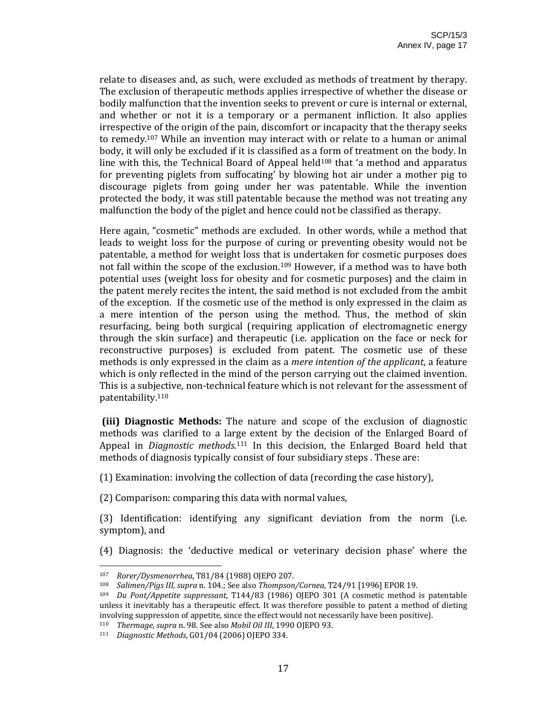relate to diseases and, as such, were excluded as methods of treatment by therapy. The exclusion of therapeutic methods applies irrespective of whether the disease or bodily malfunction that the invention seeks to prevent or cure is internal or external, and whether or not it is a temporary or a permanent infliction. It also applies irrespective of the origin of the pain, discomfort or incapacity that the therapy seeks to remedy.107 While an invention may interact with or relate to a human or animal body, it will only be excluded if it is classified as a form of treatment on the body. In line with this, the Technical Board of Appeal held $108$  that 'a method and apparatus for preventing piglets from suffocating' by blowing hot air under a mother pig to discourage piglets from going under her was patentable. While the invention protected the body, it was still patentable because the method was not treating any malfunction the body of the piglet and hence could not be classified as therapy.

Here again, "cosmetic" methods are excluded. In other words, while a method that leads to weight loss for the purpose of curing or preventing obesity would not be patentable, a method for weight loss that is undertaken for cosmetic purposes does not fall within the scope of the exclusion.<sup>109</sup> However, if a method was to have both potential uses (weight loss for obesity and for cosmetic purposes) and the claim in the patent merely recites the intent, the said method is not excluded from the ambit of the exception. If the cosmetic use of the method is only expressed in the claim as a mere intention of the person using the method. Thus, the method of skin resurfacing, being both surgical (requiring application of electromagnetic energy through the skin surface) and therapeutic (i.e. application on the face or neck for reconstructive purposes) is excluded from patent. The cosmetic use of these methods is only expressed in the claim as a *mere intention of the applicant*, a feature which is only reflected in the mind of the person carrying out the claimed invention. This is a subjective, non-technical feature which is not relevant for the assessment of patentability.110

**(iii) Diagnostic Methods:** The nature and scope of the exclusion of diagnostic methods was clarified to a large extent by the decision of the Enlarged Board of Appeal in *Diagnostic methods*.<sup>111</sup> In this decision, the Enlarged Board held that methods of diagnosis typically consist of four subsidiary steps . These are:

(1) Examination: involving the collection of data (recording the case history),

(2) Comparison: comparing this data with normal values,

(3) Identification: identifying any significant deviation from the norm (i.e. symptom), and

(4) Diagnosis: the 'deductive medical or veterinary decision phase' where the

<sup>107</sup> *Rorer/Dysmenorrhea*, T81/84 (1988) OJEPO 207.

<sup>108</sup> *Salimen/Pigs III, supra* n. 104.; See also *Thompson/Cornea*, T24/91 [1996] EPOR 19.

<sup>109</sup> *Du Pont/Appetite suppressant*, T144/83 (1986) OJEPO 301 (A cosmetic method is patentable unless it inevitably has a therapeutic effect. It was therefore possible to patent a method of dieting involving suppression of appetite, since the effect would not necessarily have been positive).

<sup>110</sup> *Thermage*, *supra* n. 98. See also *Mobil Oil III*, 1990 OJEPO 93.

<sup>111</sup> *Diagnostic Methods*, G01/04 (2006) OJEPO 334.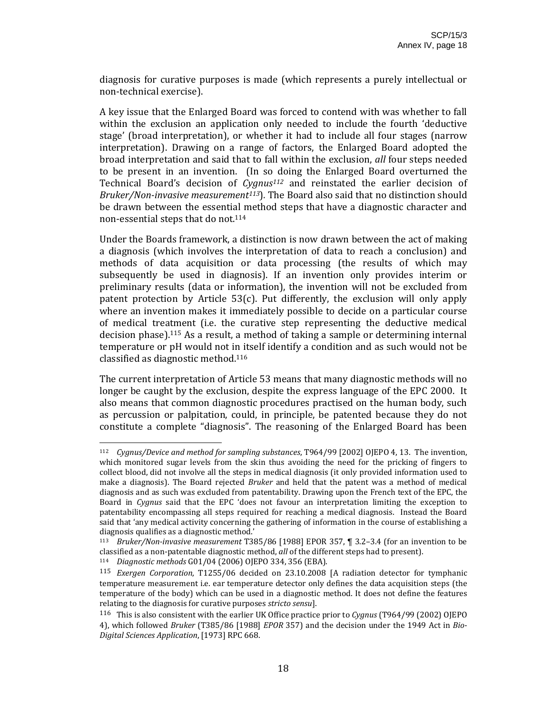diagnosis for curative purposes is made (which represents a purely intellectual or non‐technical exercise).

A key issue that the Enlarged Board was forced to contend with was whether to fall within the exclusion an application only needed to include the fourth 'deductive stage' (broad interpretation), or whether it had to include all four stages (narrow interpretation). Drawing on a range of factors, the Enlarged Board adopted the broad interpretation and said that to fall within the exclusion, *all* four steps needed to be present in an invention. (In so doing the Enlarged Board overturned the Technical Board's decision of *Cygnus112* and reinstated the earlier decision of *Bruker/Noninvasive measurement113*)*.* The Board also said that no distinction should be drawn between the essential method steps that have a diagnostic character and non‐essential steps that do not.114

Under the Boards framework, a distinction is now drawn between the act of making a diagnosis (which involves the interpretation of data to reach a conclusion) and methods of data acquisition or data processing (the results of which may subsequently be used in diagnosis). If an invention only provides interim or preliminary results (data or information), the invention will not be excluded from patent protection by Article 53(c). Put differently, the exclusion will only apply where an invention makes it immediately possible to decide on a particular course of medical treatment (i.e. the curative step representing the deductive medical decision phase).115 As a result, a method of taking a sample or determining internal temperature or pH would not in itself identify a condition and as such would not be classified as diagnostic method.116

The current interpretation of Article 53 means that many diagnostic methods will no longer be caught by the exclusion, despite the express language of the EPC 2000. It also means that common diagnostic procedures practised on the human body, such as percussion or palpitation, could, in principle, be patented because they do not constitute a complete "diagnosis". The reasoning of the Enlarged Board has been

<sup>112</sup> *Cygnus/Device and method for sampling substances*, T964/99 [2002] OJEPO 4, 13. The invention, which monitored sugar levels from the skin thus avoiding the need for the pricking of fingers to collect blood, did not involve all the steps in medical diagnosis (it only provided information used to make a diagnosis). The Board rejected *Bruker* and held that the patent was a method of medical diagnosis and as such was excluded from patentability. Drawing upon the French text of the EPC, the Board in *Cygnus* said that the EPC 'does not favour an interpretation limiting the exception to patentability encompassing all steps required for reaching a medical diagnosis. Instead the Board said that 'any medical activity concerning the gathering of information in the course of establishing a diagnosis qualifies as a diagnostic method.'

<sup>113</sup> *Bruker/Noninvasive measurement* T385/86 [1988] EPOR 357, ¶ 3.2–3.4 (for an invention to be classified as a non‐patentable diagnostic method, *all* of the different steps had to present).

<sup>114</sup> *Diagnostic methods* G01/04 (2006) OJEPO 334, 356 (EBA).

<sup>115</sup> *Exergen Corporation*, T1255/06 decided on 23.10.2008 [A radiation detector for tymphanic temperature measurement i.e. ear temperature detector only defines the data acquisition steps (the temperature of the body) which can be used in a diagnostic method. It does not define the features relating to the diagnosis for curative purposes *stricto sensu*].

<sup>116</sup> This is also consistent with the earlier UK Office practice prior to *Cygnus* (T964/99 (2002) OJEPO 4), which followed *Bruker* (T385/86 [1988] *EPOR* 357) and the decision under the 1949 Act in *Bio-Digital Sciences Application*, [1973] RPC 668.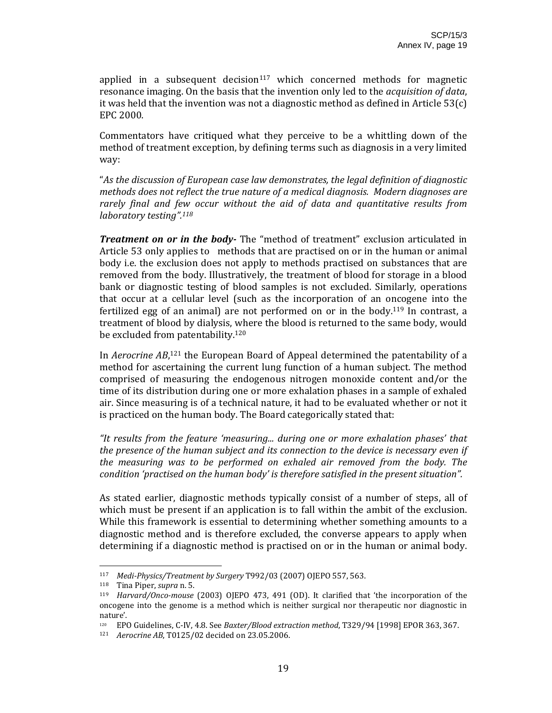applied in a subsequent decision $117$  which concerned methods for magnetic resonance imaging. On the basis that the invention only led to the *acquisition of data*, it was held that the invention was not a diagnostic method as defined in Article 53(c) EPC 2000.

Commentators have critiqued what they perceive to be a whittling down of the method of treatment exception, by defining terms such as diagnosis in a very limited way:

"*As the discussion of European case law demonstrates, the legal definition of diagnostic methods does not reflect the true nature of a medical diagnosis. Modern diagnoses are rarely final and few occur without the aid of data and quantitative results from laboratory testing".118*

**Treatment on or in the body**- The "method of treatment" exclusion articulated in Article 53 only applies to methods that are practised on or in the human or animal body i.e. the exclusion does not apply to methods practised on substances that are removed from the body. Illustratively, the treatment of blood for storage in a blood bank or diagnostic testing of blood samples is not excluded. Similarly, operations that occur at a cellular level (such as the incorporation of an oncogene into the fertilized egg of an animal) are not performed on or in the body.<sup>119</sup> In contrast, a treatment of blood by dialysis, where the blood is returned to the same body, would be excluded from patentability.120

In *Aerocrine AB*, 121 the European Board of Appeal determined the patentability of a method for ascertaining the current lung function of a human subject. The method comprised of measuring the endogenous nitrogen monoxide content and/or the time of its distribution during one or more exhalation phases in a sample of exhaled air. Since measuring is of a technical nature, it had to be evaluated whether or not it is practiced on the human body. The Board categorically stated that:

*"It results from the feature 'measuring... during one or more exhalation phases' that the presence of the human subject and its connection to the device is necessary even if the measuring was to be performed on exhaled air removed from the body. The condition 'practised on the human body' is therefore satisfied in the present situation".*

As stated earlier, diagnostic methods typically consist of a number of steps, all of which must be present if an application is to fall within the ambit of the exclusion. While this framework is essential to determining whether something amounts to a diagnostic method and is therefore excluded, the converse appears to apply when determining if a diagnostic method is practised on or in the human or animal body.

<sup>117</sup> *MediPhysics/Treatment by Surgery* T992/03 (2007) OJEPO 557, 563.

<sup>118</sup> Tina Piper, *supra* n. 5.

<sup>119</sup> *Harvard/Oncomouse* (2003) OJEPO 473, 491 (OD). It clarified that 'the incorporation of the oncogene into the genome is a method which is neither surgical nor therapeutic nor diagnostic in nature'.

<sup>120</sup> EPO Guidelines, C‐IV, 4.8. See *Baxter/Blood extraction method*, T329/94 [1998] EPOR 363, 367.

<sup>121</sup> *Aerocrine AB*, T0125/02 decided on 23.05.2006.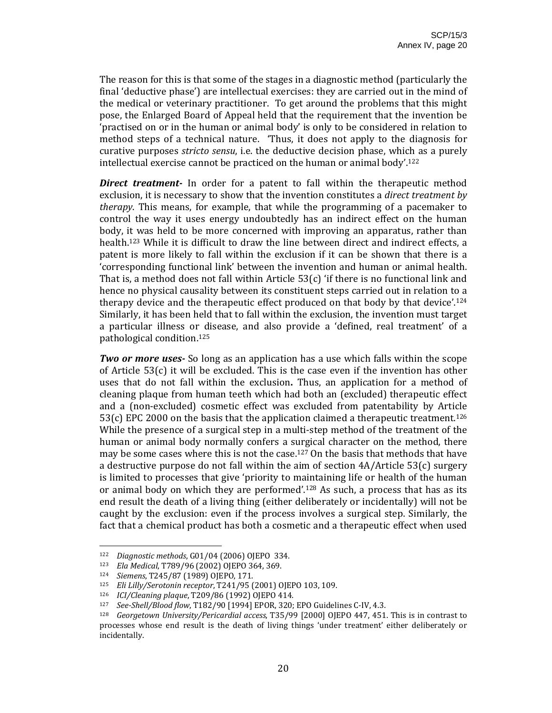The reason for this is that some of the stages in a diagnostic method (particularly the final 'deductive phase') are intellectual exercises: they are carried out in the mind of the medical or veterinary practitioner. To get around the problems that this might pose, the Enlarged Board of Appeal held that the requirement that the invention be 'practised on or in the human or animal body' is only to be considered in relation to method steps of a technical nature. 'Thus, it does not apply to the diagnosis for curative purposes *stricto sensu*, i.e. the deductive decision phase, which as a purely intellectual exercise cannot be practiced on the human or animal body'.122

**Direct treatment** In order for a patent to fall within the therapeutic method exclusion, it is necessary to show that the invention constitutes a *direct treatment by therapy*. This means, for example, that while the programming of a pacemaker to control the way it uses energy undoubtedly has an indirect effect on the human body, it was held to be more concerned with improving an apparatus, rather than health.<sup>123</sup> While it is difficult to draw the line between direct and indirect effects, a patent is more likely to fall within the exclusion if it can be shown that there is a 'corresponding functional link' between the invention and human or animal health. That is, a method does not fall within Article  $53(c)$  'if there is no functional link and hence no physical causality between its constituent steps carried out in relation to a therapy device and the therapeutic effect produced on that body by that device'.<sup>124</sup> Similarly, it has been held that to fall within the exclusion, the invention must target a particular illness or disease, and also provide a 'defined, real treatment' of a pathological condition.125

*Two or more uses* So long as an application has a use which falls within the scope of Article 53(c) it will be excluded. This is the case even if the invention has other uses that do not fall within the exclusion**.** Thus, an application for a method of cleaning plaque from human teeth which had both an (excluded) therapeutic effect and a (non‐excluded) cosmetic effect was excluded from patentability by Article  $53(c)$  EPC 2000 on the basis that the application claimed a therapeutic treatment.<sup>126</sup> While the presence of a surgical step in a multi-step method of the treatment of the human or animal body normally confers a surgical character on the method, there may be some cases where this is not the case.127 On the basis that methods that have a destructive purpose do not fall within the aim of section 4A/Article 53(c) surgery is limited to processes that give 'priority to maintaining life or health of the human or animal body on which they are performed'.128 As such, a process that has as its end result the death of a living thing (either deliberately or incidentally) will not be caught by the exclusion: even if the process involves a surgical step. Similarly, the fact that a chemical product has both a cosmetic and a therapeutic effect when used

<sup>122</sup> *Diagnostic methods*, G01/04 (2006) OJEPO 334.

<sup>123</sup> *Ela Medical*, T789/96 (2002) OJEPO 364, 369.

<sup>124</sup> *Siemens*, T245/87 (1989) OJEPO, 171.

<sup>125</sup> *Eli Lilly/Serotonin receptor*, T241/95 (2001) OJEPO 103, 109.

<sup>126</sup> *ICI/Cleaning plaque*, T209/86 (1992) OJEPO 414.

<sup>127</sup> *SeeShell/Blood flow*, T182/90 [1994] EPOR, 320; EPO Guidelines C‐IV, 4.3.

<sup>128</sup> *Georgetown University/Pericardial access*, T35/99 [2000] OJEPO 447, 451. This is in contrast to processes whose end result is the death of living things 'under treatment' either deliberately or incidentally.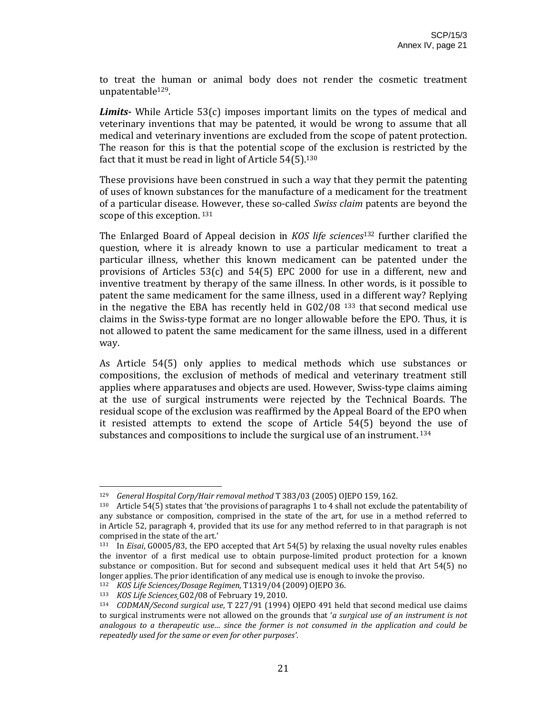to treat the human or animal body does not render the cosmetic treatment unpatentable129.

**Limits** While Article 53(c) imposes important limits on the types of medical and veterinary inventions that may be patented, it would be wrong to assume that all medical and veterinary inventions are excluded from the scope of patent protection. The reason for this is that the potential scope of the exclusion is restricted by the fact that it must be read in light of Article 54(5).<sup>130</sup>

These provisions have been construed in such a way that they permit the patenting of uses of known substances for the manufacture of a medicament for the treatment of a particular disease. However, these so‐called *Swiss claim* patents are beyond the scope of this exception.<sup>131</sup>

The Enlarged Board of Appeal decision in *KOS life sciences*<sup>132</sup> further clarified the question, where it is already known to use a particular medicament to treat a particular illness, whether this known medicament can be patented under the provisions of Articles  $53(c)$  and  $54(5)$  EPC 2000 for use in a different, new and inventive treatment by therapy of the same illness. In other words, is it possible to patent the same medicament for the same illness, used in a different way? Replying in the negative the EBA has recently held in G02/08<sup>133</sup> that second medical use claims in the Swiss‐type format are no longer allowable before the EPO. Thus, it is not allowed to patent the same medicament for the same illness, used in a different way.

As Article 54(5) only applies to medical methods which use substances or compositions, the exclusion of methods of medical and veterinary treatment still applies where apparatuses and objects are used. However, Swiss‐type claims aiming at the use of surgical instruments were rejected by the Technical Boards. The residual scope of the exclusion was reaffirmed by the Appeal Board of the EPO when it resisted attempts to extend the scope of Article 54(5) beyond the use of substances and compositions to include the surgical use of an instrument.<sup>134</sup>

<sup>129</sup> *General Hospital Corp/Hair removal method* T 383/03 (2005) OJEPO 159, 162.

<sup>130</sup> Article 54(5) states that 'the provisions of paragraphs 1 to 4 shall not exclude the patentability of any substance or composition, comprised in the state of the art, for use in a method referred to in Article 52, paragraph 4, provided that its use for any method referred to in that paragraph is not comprised in the state of the art.'

<sup>131</sup> In *Eisai*, G0005/83, the EPO accepted that Art 54(5) by relaxing the usual novelty rules enables the inventor of a first medical use to obtain purpose‐limited product protection for a known substance or composition. But for second and subsequent medical uses it held that Art 54(5) no longer applies. The prior identification of any medical use is enough to invoke the proviso.

<sup>132</sup> *KOS Life Sciences/Dosage Regimen*, T1319/04 (2009) OJEPO 36.

<sup>133</sup> *KOS Life Sciences¸*G02/08 of February 19, 2010.

<sup>134</sup> *CODMAN/Second surgical use*, T 227/91 (1994) OJEPO 491 held that second medical use claims to surgical instruments were not allowed on the grounds that '*a surgical use of an instrument is not analogous to a therapeutic use… since the former is not consumed in the application and could be repeatedly used for the same or even for other purposes'*.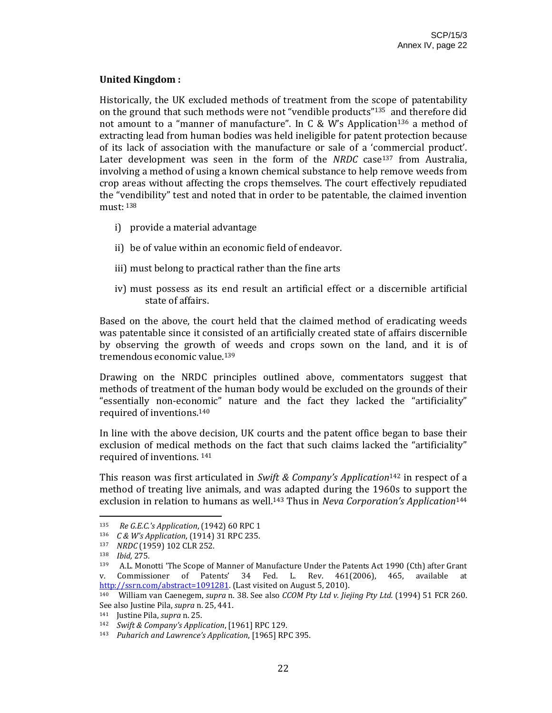# **United Kingdom :**

Historically, the UK excluded methods of treatment from the scope of patentability on the ground that such methods were not "vendible products"135 and therefore did not amount to a "manner of manufacture". In C & W's Application<sup>136</sup> a method of extracting lead from human bodies was held ineligible for patent protection because of its lack of association with the manufacture or sale of a 'commercial product'. Later development was seen in the form of the *NRDC* case<sup>137</sup> from Australia, involving a method of using a known chemical substance to help remove weeds from crop areas without affecting the crops themselves. The court effectively repudiated the "vendibility" test and noted that in order to be patentable, the claimed invention must: 138

- i) provide a material advantage
- ii) be of value within an economic field of endeavor.
- iii) must belong to practical rather than the fine arts
- iv) must possess as its end result an artificial effect or a discernible artificial state of affairs.

Based on the above, the court held that the claimed method of eradicating weeds was patentable since it consisted of an artificially created state of affairs discernible by observing the growth of weeds and crops sown on the land, and it is of tremendous economic value.139

Drawing on the NRDC principles outlined above, commentators suggest that methods of treatment of the human body would be excluded on the grounds of their "essentially non‐economic" nature and the fact they lacked the "artificiality" required of inventions.140

In line with the above decision, UK courts and the patent office began to base their exclusion of medical methods on the fact that such claims lacked the "artificiality" required of inventions. 141

This reason was first articulated in *Swift & Company's Application*142 in respect of a method of treating live animals, and was adapted during the 1960s to support the exclusion in relation to humans as well.143 Thus in *Neva Corporation's Application*<sup>144</sup>

<sup>135</sup> *Re G.E.C.'s Application*, (1942) 60 RPC 1

<sup>136</sup> *C & W's Application*, (1914) 31 RPC 235.

*NRDC* (1959) 102 CLR 252.

<sup>138</sup> *Ibid,* 275*.* 

<sup>139</sup> A.L. Monotti 'The Scope of Manner of Manufacture Under the Patents Act 1990 (Cth) after Grant v. Commissioner of Patents' 34 Fed. L. Rev. 461(2006), 465, available at http://ssrn.com/abstract=1091281. (Last visited on August 5, 2010).

<sup>140</sup> William van Caenegem, *supra* n. 38. See also *CCOM Pty Ltd v. Jiejing Pty Ltd.* (1994) 51 FCR 260. See also Justine Pila, *supra* n. 25, 441.

<sup>141</sup> Justine Pila, *supra* n. 25.

<sup>142</sup> *Swift & Company's Application*, [1961] RPC 129.

<sup>143</sup> *Puharich and Lawrence's Application*, [1965] RPC 395.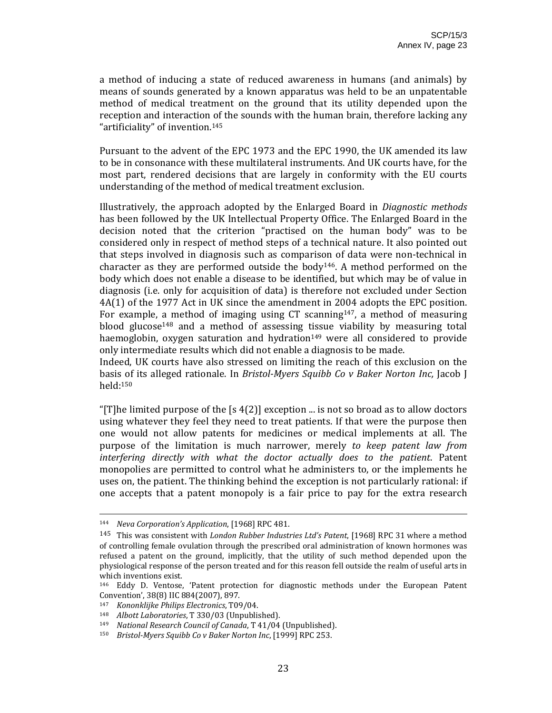a method of inducing a state of reduced awareness in humans (and animals) by means of sounds generated by a known apparatus was held to be an unpatentable method of medical treatment on the ground that its utility depended upon the reception and interaction of the sounds with the human brain, therefore lacking any "artificiality" of invention.145

Pursuant to the advent of the EPC 1973 and the EPC 1990, the UK amended its law to be in consonance with these multilateral instruments. And UK courts have, for the most part, rendered decisions that are largely in conformity with the EU courts understanding of the method of medical treatment exclusion.

Illustratively, the approach adopted by the Enlarged Board in *Diagnostic methods* has been followed by the UK Intellectual Property Office. The Enlarged Board in the decision noted that the criterion "practised on the human body" was to be considered only in respect of method steps of a technical nature. It also pointed out that steps involved in diagnosis such as comparison of data were non-technical in character as they are performed outside the  $body<sup>146</sup>$ . A method performed on the body which does not enable a disease to be identified, but which may be of value in diagnosis (i.e. only for acquisition of data) is therefore not excluded under Section 4A(1) of the 1977 Act in UK since the amendment in 2004 adopts the EPC position. For example, a method of imaging using  $CT$  scanning<sup>147</sup>, a method of measuring blood glucose<sup>148</sup> and a method of assessing tissue viability by measuring total haemoglobin, oxygen saturation and hydration<sup>149</sup> were all considered to provide only intermediate results which did not enable a diagnosis to be made.

Indeed, UK courts have also stressed on limiting the reach of this exclusion on the basis of its alleged rationale. In *BristolMyers Squibb Co v Baker Norton Inc,* Jacob J held:150

"[T]he limited purpose of the  $[s 4(2)]$  exception ... is not so broad as to allow doctors using whatever they feel they need to treat patients. If that were the purpose then one would not allow patents for medicines or medical implements at all. The purpose of the limitation is much narrower, merely *to keep patent law from interfering directly with what the doctor actually does to the patient*. Patent monopolies are permitted to control what he administers to, or the implements he uses on, the patient. The thinking behind the exception is not particularly rational: if one accepts that a patent monopoly is a fair price to pay for the extra research

<u> 2002 - Andrea San Andrew Maria (h. 1888).</u><br>2003 - Andrew Maria (h. 1882).

<sup>144</sup> *Neva Corporation's Application*, [1968] RPC 481.

<sup>145</sup> This was consistent with *London Rubber Industries Ltd's Patent*, [1968] RPC 31 where a method of controlling female ovulation through the prescribed oral administration of known hormones was refused a patent on the ground, implicitly, that the utility of such method depended upon the physiological response of the person treated and for this reason fell outside the realm of useful arts in which inventions exist.

<sup>146</sup> Eddy D. Ventose, 'Patent protection for diagnostic methods under the European Patent Convention', 38(8) IIC 884(2007), 897.

<sup>147</sup> *Kononklijke Philips Electronics*, T09/04.

<sup>148</sup> *Albott Laboratories*, T 330/03 (Unpublished).

<sup>149</sup> *National Research Council of Canada*, T 41/04 (Unpublished).

<sup>150</sup> *BristolMyers Squibb Co v Baker Norton Inc*, [1999] RPC 253.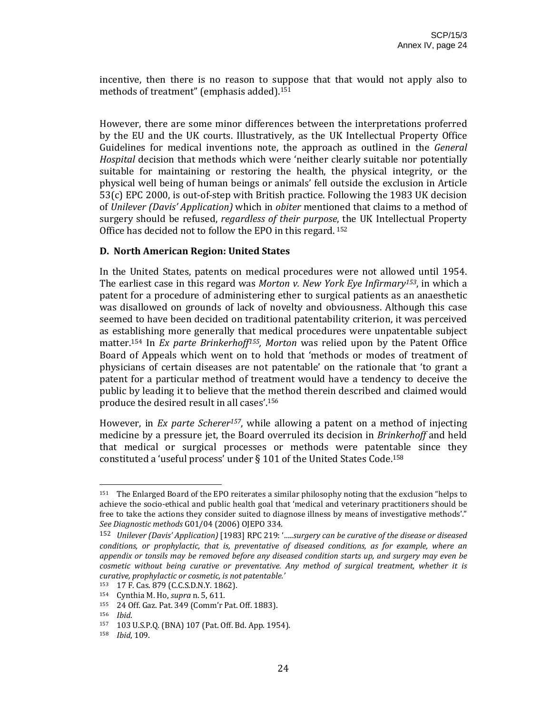incentive, then there is no reason to suppose that that would not apply also to methods of treatment" (emphasis added).151

However, there are some minor differences between the interpretations proferred by the EU and the UK courts. Illustratively, as the UK Intellectual Property Office Guidelines for medical inventions note, the approach as outlined in the *General Hospital* decision that methods which were 'neither clearly suitable nor potentially suitable for maintaining or restoring the health, the physical integrity, or the physical well being of human beings or animals' fell outside the exclusion in Article 53(c) EPC 2000, is out‐of‐step with British practice. Following the 1983 UK decision of *Unilever (Davis' Application)* which in *obiter* mentioned that claims to a method of surgery should be refused, *regardless of their purpose*, the UK Intellectual Property Office has decided not to follow the EPO in this regard. 152

#### **D. North American Region: United States**

In the United States, patents on medical procedures were not allowed until 1954. The earliest case in this regard was *Morton v. New York Eye Infirmary153*, in which a patent for a procedure of administering ether to surgical patients as an anaesthetic was disallowed on grounds of lack of novelty and obviousness. Although this case seemed to have been decided on traditional patentability criterion, it was perceived as establishing more generally that medical procedures were unpatentable subject matter.154 In *Ex parte Brinkerhoff155, Morton* was relied upon by the Patent Office Board of Appeals which went on to hold that 'methods or modes of treatment of physicians of certain diseases are not patentable' on the rationale that 'to grant a patent for a particular method of treatment would have a tendency to deceive the public by leading it to believe that the method therein described and claimed would produce the desired result in all cases'.156

However, in *Ex parte Scherer157*, while allowing a patent on a method of injecting medicine by a pressure jet, the Board overruled its decision in *Brinkerhoff* and held that medical or surgical processes or methods were patentable since they constituted a 'useful process' under § 101 of the United States Code.158

<sup>151</sup> The Enlarged Board of the EPO reiterates a similar philosophy noting that the exclusion "helps to achieve the socio‐ethical and public health goal that 'medical and veterinary practitioners should be free to take the actions they consider suited to diagnose illness by means of investigative methods'." *See Diagnostic methods* G01/04 (2006) OJEPO 334.

<sup>152</sup> *Unilever (Davis' Application)* [1983] RPC 219: '*…..surgery can be curative of the disease or diseased conditions, or prophylactic, that is, preventative of diseased conditions, as for example, where an appendix or tonsils may be removed before any diseased condition starts up, and surgery may even be cosmetic without being curative or preventative. Any method of surgical treatment, whether it is curative, prophylactic or cosmetic, is not patentable.'*

<sup>153 17</sup> F. Cas. 879 (C.C.S.D.N.Y. 1862).

<sup>154</sup> Cynthia M. Ho, *supra* n. 5, 611.

<sup>155 24</sup> Off. Gaz. Pat. 349 (Comm'r Pat. Off. 1883).<br>156 *Ihid* 

<sup>156</sup> *Ibid*.

<sup>157 103</sup> U.S.P.Q. (BNA) 107 (Pat. Off. Bd. App. 1954).

<sup>158</sup> *Ibid*, 109.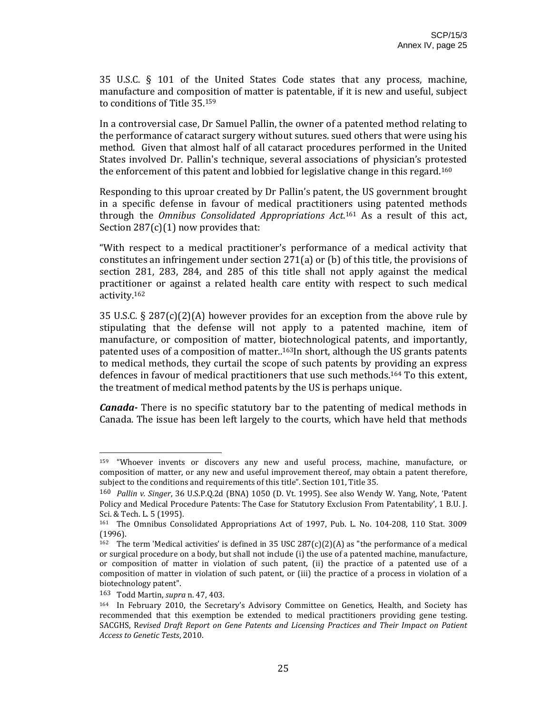35 U.S.C. § 101 of the United States Code states that any process, machine, manufacture and composition of matter is patentable, if it is new and useful, subject to conditions of Title 35.159

In a controversial case, Dr Samuel Pallin, the owner of a patented method relating to the performance of cataract surgery without sutures. sued others that were using his method. Given that almost half of all cataract procedures performed in the United States involved Dr. Pallin's technique, several associations of physician's protested the enforcement of this patent and lobbied for legislative change in this regard.160

Responding to this uproar created by Dr Pallin's patent, the US government brought in a specific defense in favour of medical practitioners using patented methods through the *Omnibus Consolidated Appropriations Act*. 161 As a result of this act, Section  $287(c)(1)$  now provides that:

"With respect to a medical practitioner's performance of a medical activity that constitutes an infringement under section 271(a) or (b) of this title, the provisions of section 281, 283, 284, and 285 of this title shall not apply against the medical practitioner or against a related health care entity with respect to such medical activity.162

35 U.S.C. § 287(c)(2)(A) however provides for an exception from the above rule by stipulating that the defense will not apply to a patented machine, item of manufacture, or composition of matter, biotechnological patents, and importantly, patented uses of a composition of matter..<sup>163</sup>In short, although the US grants patents to medical methods, they curtail the scope of such patents by providing an express defences in favour of medical practitioners that use such methods.164 To this extent, the treatment of medical method patents by the US is perhaps unique.

*Canada* There is no specific statutory bar to the patenting of medical methods in Canada. The issue has been left largely to the courts, which have held that methods

<sup>159 &</sup>quot;Whoever invents or discovers any new and useful process, machine, manufacture, or composition of matter, or any new and useful improvement thereof, may obtain a patent therefore, subject to the conditions and requirements of this title". Section 101, Title 35.

<sup>160</sup> *Pallin v. Singer*, 36 U.S.P.Q.2d (BNA) 1050 (D. Vt. 1995). See also Wendy W. Yang, Note, 'Patent Policy and Medical Procedure Patents: The Case for Statutory Exclusion From Patentability', 1 B.U. J. Sci. & Tech. L. 5 (1995).

<sup>161</sup> The Omnibus Consolidated Appropriations Act of 1997, Pub. L. No. 104‐208, 110 Stat. 3009 (1996).

<sup>&</sup>lt;sup>162</sup> The term 'Medical activities' is defined in 35 USC 287(c)(2)(A) as "the performance of a medical or surgical procedure on a body, but shall not include (i) the use of a patented machine, manufacture, or composition of matter in violation of such patent, (ii) the practice of a patented use of a composition of matter in violation of such patent, or (iii) the practice of a process in violation of a biotechnology patent".

<sup>163</sup> Todd Martin, *supra* n. 47, 403.

<sup>164</sup> In February 2010, the Secretary's Advisory Committee on Genetics, Health, and Society has recommended that this exemption be extended to medical practitioners providing gene testing. SACGHS, R*evised Draft Report on Gene Patents and Licensing Practices and Their Impact on Patient Access to Genetic Tests*, 2010.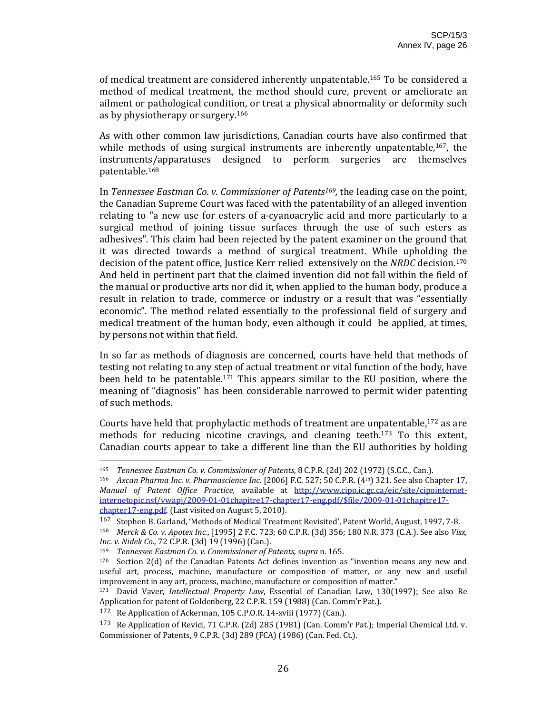of medical treatment are considered inherently unpatentable.165 To be considered a method of medical treatment, the method should cure, prevent or ameliorate an ailment or pathological condition, or treat a physical abnormality or deformity such as by physiotherapy or surgery.166

As with other common law jurisdictions, Canadian courts have also confirmed that while methods of using surgical instruments are inherently unpatentable, $167$ , the instruments/apparatuses designed to perform surgeries are themselves patentable.168

In *Tennessee Eastman Co. v. Commissioner of Patents169,* the leading case on the point, the Canadian Supreme Court was faced with the patentability of an alleged invention relating to "a new use for esters of a-cyanoacrylic acid and more particularly to a surgical method of joining tissue surfaces through the use of such esters as adhesives". This claim had been rejected by the patent examiner on the ground that it was directed towards a method of surgical treatment. While upholding the decision of the patent office, Justice Kerr relied extensively on the *NRDC* decision.170 And held in pertinent part that the claimed invention did not fall within the field of the manual or productive arts nor did it, when applied to the human body, produce a result in relation to trade, commerce or industry or a result that was "essentially economic". The method related essentially to the professional field of surgery and medical treatment of the human body, even although it could be applied, at times, by persons not within that field.

In so far as methods of diagnosis are concerned, courts have held that methods of testing not relating to any step of actual treatment or vital function of the body, have been held to be patentable.<sup>171</sup> This appears similar to the EU position, where the meaning of "diagnosis" has been considerable narrowed to permit wider patenting of such methods.

Courts have held that prophylactic methods of treatment are unpatentable,172 as are methods for reducing nicotine cravings, and cleaning teeth.<sup>173</sup> To this extent, Canadian courts appear to take a different line than the EU authorities by holding

<sup>165</sup> *Tennessee Eastman Co. v. Commissioner of Patents,* 8 C.P.R. (2d) 202 (1972) (S.C.C., Can.).

<sup>166</sup> *Axcan Pharma Inc. v. Pharmascience Inc.* [2006] F.C. 527; 50 C.P.R. (4th) 321. See also Chapter 17, *Manual of Patent Office Practice,* available at http://www.cipo.ic.gc.ca/eic/site/cipointernet‐ internetopic.nsf/vwapj/2009‐01‐01chapitre17‐chapter17‐eng.pdf/\$file/2009‐01‐01chapitre17‐ chapter17-eng.pdf. (Last visited on August 5, 2010).

<sup>167</sup> Stephen B. Garland, 'Methods of Medical Treatment Revisited', Patent World, August, 1997, 7‐8.

<sup>168</sup> *Merck & Co. v. Apotex Inc.*, [1995] 2 F.C. 723; 60 C.P.R. (3d) 356; 180 N.R. 373 (C.A.). See also *Visx, Inc. v. Nidek Co.*, 72 C.P.R. (3d) 19 (1996) (Can.).

<sup>169</sup> *Tennessee Eastman Co. v. Commissioner of Patents, supra* n. 165.

<sup>170</sup> Section 2(d) of the Canadian Patents Act defines invention as "invention means any new and useful art, process, machine, manufacture or composition of matter, or any new and useful improvement in any art, process, machine, manufacture or composition of matter."

<sup>171</sup> David Vaver, *Intellectual Property Law*, Essential of Canadian Law, 130(1997); See also Re Application for patent of Goldenberg, 22 C.P.R. 159 (1988) (Can. Comm'r Pat.).

<sup>172</sup> Re Application of Ackerman, 105 C.P.O.R. 14‐xviii (1977) (Can.).

<sup>173</sup> Re Application of Revici, 71 C.P.R. (2d) 285 (1981) (Can. Comm'r Pat.); Imperial Chemical Ltd. v. Commissioner of Patents, 9 C.P.R. (3d) 289 (FCA) (1986) (Can. Fed. Ct.).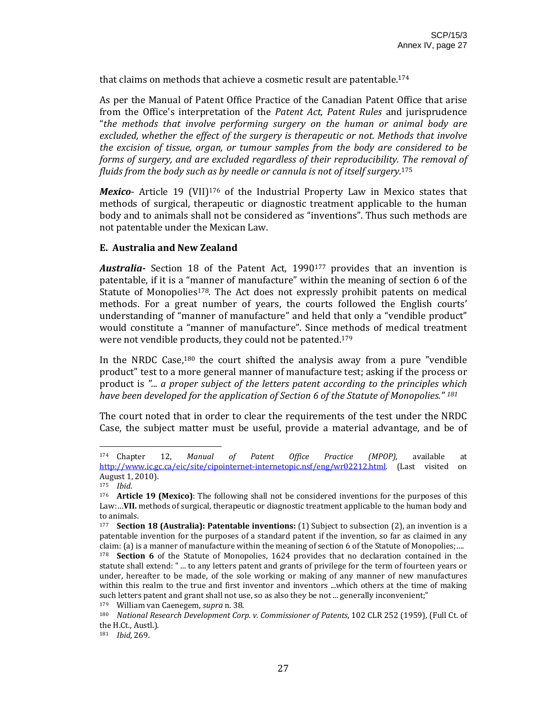that claims on methods that achieve a cosmetic result are patentable.174

As per the Manual of Patent Office Practice of the Canadian Patent Office that arise from the Office's interpretation of the *Patent Act, Patent Rules* and jurisprudence "*the methods that involve performing surgery on the human or animal body are excluded, whether the effect of the surgery is therapeutic or not. Methods that involve the excision of tissue, organ, or tumour samples from the body are considered to be forms of surgery, and are excluded regardless of their reproducibility. The removal of fluids from the body such as by needle or cannula is not of itself surgery.*175

*Mexico*- Article 19 (VII)<sup>176</sup> of the Industrial Property Law in Mexico states that methods of surgical, therapeutic or diagnostic treatment applicable to the human body and to animals shall not be considered as "inventions". Thus such methods are not patentable under the Mexican Law.

# **E. Australia and New Zealand**

Australia<sup>-</sup> Section 18 of the Patent Act, 1990<sup>177</sup> provides that an invention is patentable, if it is a "manner of manufacture" within the meaning of section 6 of the Statute of Monopolies<sup>178</sup>. The Act does not expressly prohibit patents on medical methods. For a great number of years, the courts followed the English courts' understanding of "manner of manufacture" and held that only a "vendible product" would constitute a "manner of manufacture". Since methods of medical treatment were not vendible products, they could not be patented.179

In the NRDC Case, $180$  the court shifted the analysis away from a pure "vendible" product" test to a more general manner of manufacture test; asking if the process or product is *"... a proper subject of the letters patent according to the principles which have been developed for the application of Section 6 of the Statute of Monopolies." <sup>181</sup>*

The court noted that in order to clear the requirements of the test under the NRDC Case, the subject matter must be useful, provide a material advantage, and be of

<sup>174</sup> Chapter 12, *Manual of Patent Office Practice (MPOP),* available at http://www.ic.gc.ca/eic/site/cipointernet-internetopic.nsf/eng/wr02212.html. (Last visited on August 1, 2010).

<sup>175</sup> *Ibid*.

<sup>176</sup> **Article 19 (Mexico)**: The following shall not be considered inventions for the purposes of this Law:…**VII.** methods of surgical, therapeutic or diagnostic treatment applicable to the human body and to animals.

<sup>177</sup> **Section 18 (Australia): Patentable inventions:** (1) Subject to subsection (2), an invention is a patentable invention for the purposes of a standard patent if the invention, so far as claimed in any claim: (a) is a manner of manufacture within the meaning of section 6 of the Statute of Monopolies;….

<sup>&</sup>lt;sup>178</sup> **Section 6** of the Statute of Monopolies, 1624 provides that no declaration contained in the statute shall extend: " ... to any letters patent and grants of privilege for the term of fourteen years or under, hereafter to be made, of the sole working or making of any manner of new manufactures within this realm to the true and first inventor and inventors ...which others at the time of making such letters patent and grant shall not use, so as also they be not ... generally inconvenient;"

<sup>179</sup> William van Caenegem, *supra* n. 38.

<sup>180</sup> *National Research Development Corp. v. Commissioner of Patents*, 102 CLR 252 (1959), (Full Ct. of the H.Ct., Austl.).

<sup>181</sup> *Ibid,* 269.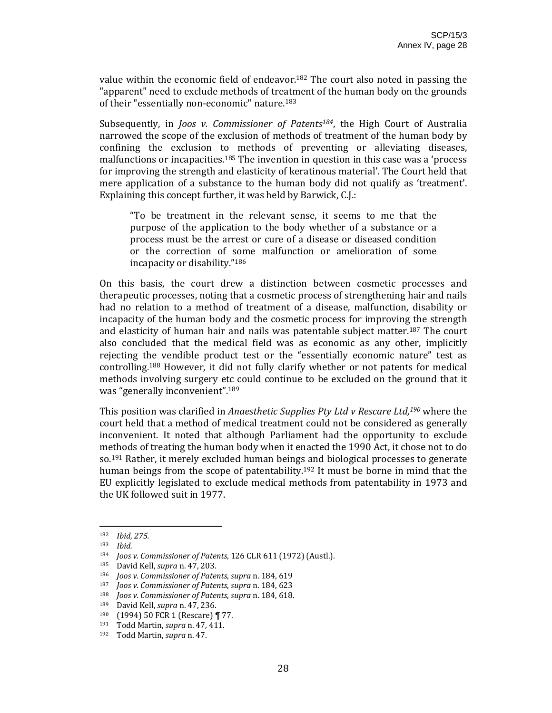value within the economic field of endeavor.182 The court also noted in passing the "apparent" need to exclude methods of treatment of the human body on the grounds of their "essentially non-economic" nature.<sup>183</sup>

Subsequently, in *Joos v. Commissioner of Patents184*, the High Court of Australia narrowed the scope of the exclusion of methods of treatment of the human body by confining the exclusion to methods of preventing or alleviating diseases, malfunctions or incapacities.185 The invention in question in this case was a 'process for improving the strength and elasticity of keratinous material'. The Court held that mere application of a substance to the human body did not qualify as 'treatment'. Explaining this concept further, it was held by Barwick, C.J.:

"To be treatment in the relevant sense, it seems to me that the purpose of the application to the body whether of a substance or a process must be the arrest or cure of a disease or diseased condition or the correction of some malfunction or amelioration of some incapacity or disability."186

On this basis, the court drew a distinction between cosmetic processes and therapeutic processes, noting that a cosmetic process of strengthening hair and nails had no relation to a method of treatment of a disease, malfunction, disability or incapacity of the human body and the cosmetic process for improving the strength and elasticity of human hair and nails was patentable subject matter.<sup>187</sup> The court also concluded that the medical field was as economic as any other, implicitly rejecting the vendible product test or the "essentially economic nature" test as controlling.188 However, it did not fully clarify whether or not patents for medical methods involving surgery etc could continue to be excluded on the ground that it was "generally inconvenient".189

This position was clarified in *Anaesthetic Supplies Pty Ltd v Rescare Ltd,190* where the court held that a method of medical treatment could not be considered as generally inconvenient. It noted that although Parliament had the opportunity to exclude methods of treating the human body when it enacted the 1990 Act, it chose not to do so.191 Rather, it merely excluded human beings and biological processes to generate human beings from the scope of patentability.<sup>192</sup> It must be borne in mind that the EU explicitly legislated to exclude medical methods from patentability in 1973 and the UK followed suit in 1977.

<sup>182</sup> *Ibid, 275.*

*Ibid.* 

<sup>184</sup> *Joos v. Commissioner of Patents*, 126 CLR 611 (1972) (Austl.).

<sup>185</sup> David Kell, *supra* n. 47, 203.

<sup>186</sup> *Joos v. Commissioner of Patents*, *supra* n. 184, 619

<sup>187</sup> *Joos v. Commissioner of Patents*, *supra* n. 184, 623

<sup>188</sup> *Joos v. Commissioner of Patents*, *supra* n. 184, 618.

<sup>189</sup> David Kell, *supra* n. 47, 236.<br>190  $(1994)$  50 FCP 1 (Boscaro)

<sup>190 (1994) 50</sup> FCR 1 (Rescare) ¶ 77.

<sup>191</sup> Todd Martin, *supra* n. 47, 411.

<sup>192</sup> Todd Martin, *supra* n. 47.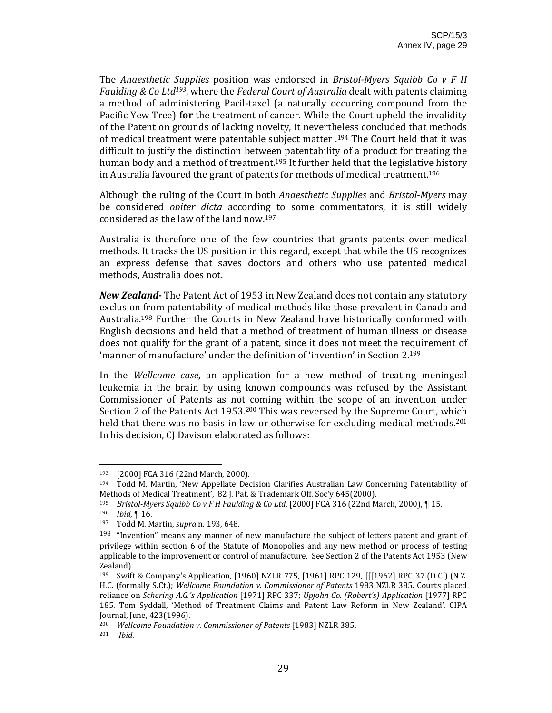The *Anaesthetic Supplies* position was endorsed in *BristolMyers Squibb Co v F H Faulding & Co Ltd193*, where the *Federal Court of Australia* dealt with patents claiming a method of administering Pacil‐taxel (a naturally occurring compound from the Pacific Yew Tree) **for** the treatment of cancer. While the Court upheld the invalidity of the Patent on grounds of lacking novelty, it nevertheless concluded that methods of medical treatment were patentable subject matter .194 The Court held that it was difficult to justify the distinction between patentability of a product for treating the human body and a method of treatment.<sup>195</sup> It further held that the legislative history in Australia favoured the grant of patents for methods of medical treatment.196

Although the ruling of the Court in both *Anaesthetic Supplies* and *BristolMyers* may be considered *obiter dicta* according to some commentators, it is still widely considered as the law of the land now.197

Australia is therefore one of the few countries that grants patents over medical methods. It tracks the US position in this regard, except that while the US recognizes an express defense that saves doctors and others who use patented medical methods, Australia does not.

*New Zealand* The Patent Act of 1953 in New Zealand does not contain any statutory exclusion from patentability of medical methods like those prevalent in Canada and Australia.<sup>198</sup> Further the Courts in New Zealand have historically conformed with English decisions and held that a method of treatment of human illness or disease does not qualify for the grant of a patent, since it does not meet the requirement of 'manner of manufacture' under the definition of 'invention' in Section 2.199

In the *Wellcome case*, an application for a new method of treating meningeal leukemia in the brain by using known compounds was refused by the Assistant Commissioner of Patents as not coming within the scope of an invention under Section 2 of the Patents Act 1953.200 This was reversed by the Supreme Court, which held that there was no basis in law or otherwise for excluding medical methods.<sup>201</sup> In his decision, CJ Davison elaborated as follows:

<sup>&</sup>lt;sup>193</sup>  $[2000]$  FCA 316  $(22nd \text{ March}, 2000)$ .<br><sup>194</sup> Todd M. Martin 'New Annellate Dec

<sup>194</sup> Todd M. Martin, 'New Appellate Decision Clarifies Australian Law Concerning Patentability of Methods of Medical Treatment', 82 J. Pat. & Trademark Off. Soc'y 645(2000).

<sup>195</sup> *BristolMyers Squibb Co v F H Faulding & Co Ltd*, [2000] FCA 316 (22nd March, 2000), ¶ 15.

<sup>196</sup> *Ibid*, ¶ 16.

<sup>197</sup> Todd M. Martin, *supra* n. 193, 648*.*

 $198$  "Invention" means any manner of new manufacture the subject of letters patent and grant of privilege within section 6 of the Statute of Monopolies and any new method or process of testing applicable to the improvement or control of manufacture. See Section 2 of the Patents Act 1953 (New Zealand).

<sup>199</sup> Swift & Company's Application, [1960] NZLR 775, [1961] RPC 129, [[[1962] RPC 37 (D.C.) (N.Z. H.C. (formally S.Ct.); *Wellcome Foundation v. Commissioner of Patents* 1983 NZLR 385. Courts placed reliance on *Schering A.G.'s Application* [1971] RPC 337; *Upjohn Co. (Robert's) Application* [1977] RPC 185. Tom Syddall, 'Method of Treatment Claims and Patent Law Reform in New Zealand', CIPA Journal, June, 423(1996).

<sup>200</sup> *Wellcome Foundation v. Commissioner of Patents* [1983] NZLR 385.

<sup>201</sup>  *Ibid*.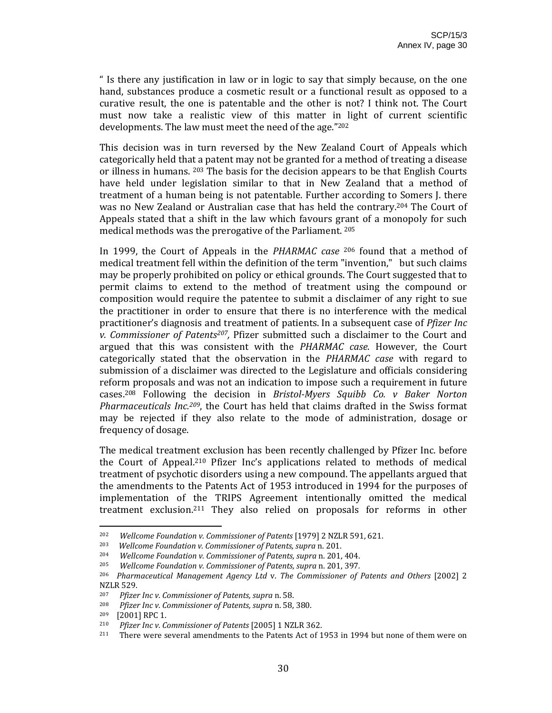" Is there any justification in law or in logic to say that simply because, on the one hand, substances produce a cosmetic result or a functional result as opposed to a curative result, the one is patentable and the other is not? I think not. The Court must now take a realistic view of this matter in light of current scientific developments. The law must meet the need of the age."202

This decision was in turn reversed by the New Zealand Court of Appeals which categorically held that a patent may not be granted for a method of treating a disease or illness in humans. 203 The basis for the decision appears to be that English Courts have held under legislation similar to that in New Zealand that a method of treatment of a human being is not patentable. Further according to Somers J. there was no New Zealand or Australian case that has held the contrary.<sup>204</sup> The Court of Appeals stated that a shift in the law which favours grant of a monopoly for such medical methods was the prerogative of the Parliament. 205

In 1999, the Court of Appeals in the *PHARMAC case* 206 found that a method of medical treatment fell within the definition of the term "invention," but such claims may be properly prohibited on policy or ethical grounds. The Court suggested that to permit claims to extend to the method of treatment using the compound or composition would require the patentee to submit a disclaimer of any right to sue the practitioner in order to ensure that there is no interference with the medical practitioner's diagnosis and treatment of patients. In a subsequent case of *Pfizer Inc v. Commissioner of Patents207,* Pfizer submitted such a disclaimer to the Court and argued that this was consistent with the *PHARMAC case*. However, the Court categorically stated that the observation in the *PHARMAC case* with regard to submission of a disclaimer was directed to the Legislature and officials considering reform proposals and was not an indication to impose such a requirement in future cases.208 Following the decision in *BristolMyers Squibb Co. v Baker Norton Pharmaceuticals Inc.209*, the Court has held that claims drafted in the Swiss format may be rejected if they also relate to the mode of administration, dosage or frequency of dosage.

The medical treatment exclusion has been recently challenged by Pfizer Inc. before the Court of Appeal.210 Pfizer Inc's applications related to methods of medical treatment of psychotic disorders using a new compound. The appellants argued that the amendments to the Patents Act of 1953 introduced in 1994 for the purposes of implementation of the TRIPS Agreement intentionally omitted the medical treatment exclusion.211 They also relied on proposals for reforms in other

<sup>202</sup> *Wellcome Foundation v. Commissioner of Patents* [1979] 2 NZLR 591, 621.

<sup>203</sup>  *Wellcome Foundation v. Commissioner of Patents, supra* n. 201.

<sup>204</sup> *Wellcome Foundation v. Commissioner of Patents, supra* n. 201, 404.

<sup>205</sup> *Wellcome Foundation v. Commissioner of Patents, supra* n. 201, 397*.*

<sup>206</sup> *Pharmaceutical Management Agency Ltd* v. *The Commissioner of Patents and Others* [2002] 2 NZLR 529.

<sup>207</sup> *Pfizer Inc v. Commissioner of Patents, supra* n. 58.

<sup>208</sup> *Pfizer Inc v. Commissioner of Patents, supra* n. 58, 380.

<sup>[2001]</sup> RPC 1.

<sup>210</sup> *Pfizer Inc v. Commissioner of Patents* [2005] 1 NZLR 362.

<sup>211</sup> There were several amendments to the Patents Act of 1953 in 1994 but none of them were on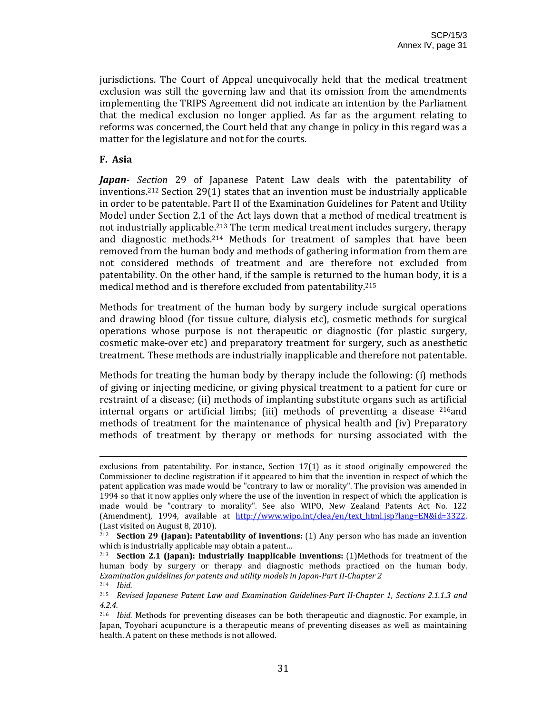jurisdictions. The Court of Appeal unequivocally held that the medical treatment exclusion was still the governing law and that its omission from the amendments implementing the TRIPS Agreement did not indicate an intention by the Parliament that the medical exclusion no longer applied. As far as the argument relating to reforms was concerned, the Court held that any change in policy in this regard was a matter for the legislature and not for the courts.

#### **F. Asia**

*Japan Section* 29 of Japanese Patent Law deals with the patentability of inventions.212 Section 29(1) states that an invention must be industrially applicable in order to be patentable. Part II of the Examination Guidelines for Patent and Utility Model under Section 2.1 of the Act lays down that a method of medical treatment is not industrially applicable.<sup>213</sup> The term medical treatment includes surgery, therapy and diagnostic methods.<sup>214</sup> Methods for treatment of samples that have been removed from the human body and methods of gathering information from them are not considered methods of treatment and are therefore not excluded from patentability. On the other hand, if the sample is returned to the human body, it is a medical method and is therefore excluded from patentability.215

Methods for treatment of the human body by surgery include surgical operations and drawing blood (for tissue culture, dialysis etc), cosmetic methods for surgical operations whose purpose is not therapeutic or diagnostic (for plastic surgery, cosmetic make‐over etc) and preparatory treatment for surgery, such as anesthetic treatment. These methods are industrially inapplicable and therefore not patentable.

Methods for treating the human body by therapy include the following: (i) methods of giving or injecting medicine, or giving physical treatment to a patient for cure or restraint of a disease; (ii) methods of implanting substitute organs such as artificial internal organs or artificial limbs; (iii) methods of preventing a disease  $216$ and methods of treatment for the maintenance of physical health and (iv) Preparatory methods of treatment by therapy or methods for nursing associated with the

<u> 2002 - Andrea San Andrew Maria (h. 1888).</u><br>2003 - Andrew Maria (h. 1882).

exclusions from patentability. For instance, Section 17(1) as it stood originally empowered the Commissioner to decline registration if it appeared to him that the invention in respect of which the patent application was made would be "contrary to law or morality". The provision was amended in 1994 so that it now applies only where the use of the invention in respect of which the application is made would be "contrary to morality". See also WIPO, New Zealand Patents Act No. 122 (Amendment), 1994, available at http://www.wipo.int/clea/en/text html.jsp?lang=EN&id=3322. (Last visited on August 8, 2010).

<sup>212</sup> **Section 29 (Japan): Patentability of inventions:** (1) Any person who has made an invention which is industrially applicable may obtain a patent…

<sup>213</sup> **Section 2.1 (Japan): Industrially Inapplicable Inventions:** (1)Methods for treatment of the human body by surgery or therapy and diagnostic methods practiced on the human body. *Examination guidelines for patents and utility models in JapanPart IIChapter 2* 214 *Ibid.*

<sup>215</sup> *Revised Japanese Patent Law and Examination GuidelinesPart IIChapter 1, Sections 2.1.1.3 and 4.2.4.*

<sup>&</sup>lt;sup>216</sup> *Ibid.* Methods for preventing diseases can be both therapeutic and diagnostic. For example, in Japan, Toyohari acupuncture is a therapeutic means of preventing diseases as well as maintaining health. A patent on these methods is not allowed.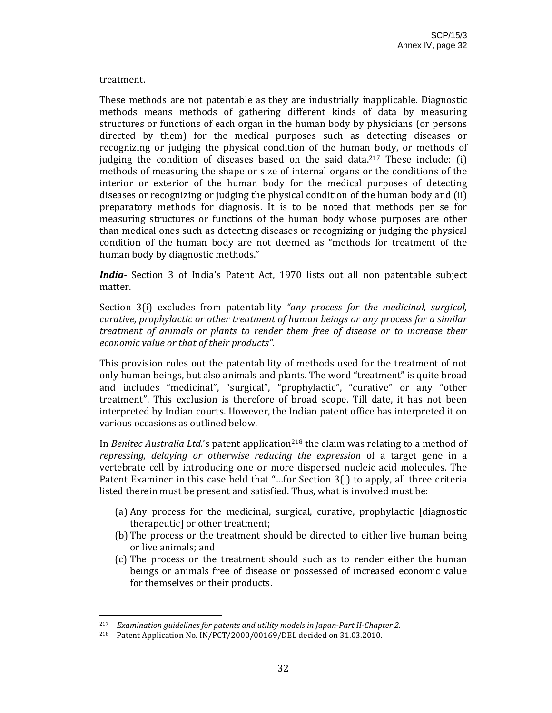#### treatment.

These methods are not patentable as they are industrially inapplicable. Diagnostic methods means methods of gathering different kinds of data by measuring structures or functions of each organ in the human body by physicians (or persons directed by them) for the medical purposes such as detecting diseases or recognizing or judging the physical condition of the human body, or methods of judging the condition of diseases based on the said data.<sup>217</sup> These include: (i) methods of measuring the shape or size of internal organs or the conditions of the interior or exterior of the human body for the medical purposes of detecting diseases or recognizing or judging the physical condition of the human body and (ii) preparatory methods for diagnosis. It is to be noted that methods per se for measuring structures or functions of the human body whose purposes are other than medical ones such as detecting diseases or recognizing or judging the physical condition of the human body are not deemed as "methods for treatment of the human body by diagnostic methods."

*India*<sup>2</sup> Section 3 of India's Patent Act, 1970 lists out all non patentable subject matter.

Section 3(i) excludes from patentability *"any process for the medicinal, surgical, curative, prophylactic or other treatment of human beings or any process for a similar treatment of animals or plants to render them free of disease or to increase their economic value or that of their products"*.

This provision rules out the patentability of methods used for the treatment of not only human beings, but also animals and plants. The word "treatment" is quite broad and includes "medicinal", "surgical", "prophylactic", "curative" or any "other treatment". This exclusion is therefore of broad scope. Till date, it has not been interpreted by Indian courts. However, the Indian patent office has interpreted it on various occasions as outlined below.

In *Benitec Australia Ltd.*'s patent application<sup>218</sup> the claim was relating to a method of *repressing, delaying or otherwise reducing the expression* of a target gene in a vertebrate cell by introducing one or more dispersed nucleic acid molecules. The Patent Examiner in this case held that "…for Section 3(i) to apply, all three criteria listed therein must be present and satisfied. Thus, what is involved must be:

- (a) Any process for the medicinal, surgical, curative, prophylactic [diagnostic therapeutic] or other treatment;
- (b) The process or the treatment should be directed to either live human being or live animals; and
- (c) The process or the treatment should such as to render either the human beings or animals free of disease or possessed of increased economic value for themselves or their products.

<sup>217</sup> *Examination guidelines for patents and utility models in JapanPart IIChapter 2.*

<sup>218</sup> Patent Application No. IN/PCT/2000/00169/DEL decided on 31.03.2010.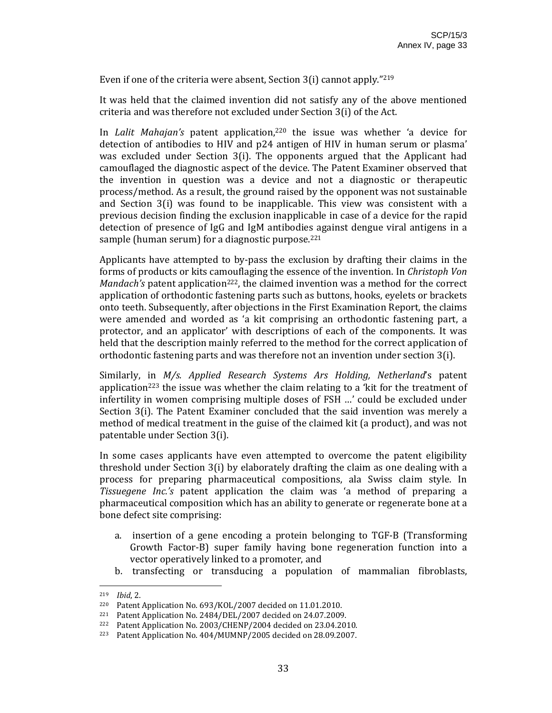Even if one of the criteria were absent, Section 3(i) cannot apply."219

It was held that the claimed invention did not satisfy any of the above mentioned criteria and was therefore not excluded under Section 3(i) of the Act.

In *Lalit Mahajan's* patent application,220 the issue was whether 'a device for detection of antibodies to HIV and p24 antigen of HIV in human serum or plasma' was excluded under Section  $3(i)$ . The opponents argued that the Applicant had camouflaged the diagnostic aspect of the device. The Patent Examiner observed that the invention in question was a device and not a diagnostic or therapeutic process/method. As a result, the ground raised by the opponent was not sustainable and Section 3(i) was found to be inapplicable. This view was consistent with a previous decision finding the exclusion inapplicable in case of a device for the rapid detection of presence of IgG and IgM antibodies against dengue viral antigens in a sample (human serum) for a diagnostic purpose.<sup>221</sup>

Applicants have attempted to by‐pass the exclusion by drafting their claims in the forms of products or kits camouflaging the essence of the invention. In *Christoph Von Mandach's* patent application<sup>222</sup>, the claimed invention was a method for the correct application of orthodontic fastening parts such as buttons, hooks, eyelets or brackets onto teeth. Subsequently, after objections in the First Examination Report, the claims were amended and worded as 'a kit comprising an orthodontic fastening part, a protector, and an applicator' with descriptions of each of the components. It was held that the description mainly referred to the method for the correct application of orthodontic fastening parts and was therefore not an invention under section 3(i).

Similarly, in *M/s. Applied Research Systems Ars Holding, Netherland*'s patent application<sup>223</sup> the issue was whether the claim relating to a 'kit for the treatment of infertility in women comprising multiple doses of FSH …' could be excluded under Section 3(i). The Patent Examiner concluded that the said invention was merely a method of medical treatment in the guise of the claimed kit (a product), and was not patentable under Section 3(i).

In some cases applicants have even attempted to overcome the patent eligibility threshold under Section 3(i) by elaborately drafting the claim as one dealing with a process for preparing pharmaceutical compositions, ala Swiss claim style. In *Tissuegene Inc.'s* patent application the claim was 'a method of preparing a pharmaceutical composition which has an ability to generate or regenerate bone at a bone defect site comprising:

- a. insertion of a gene encoding a protein belonging to TGF‐B (Transforming Growth Factor-B) super family having bone regeneration function into a vector operatively linked to a promoter, and
- b. transfecting or transducing a population of mammalian fibroblasts,

<sup>219</sup> *Ibid*, 2.

<sup>&</sup>lt;sup>220</sup> Patent Application No. 693/KOL/2007 decided on 11.01.2010.<br><sup>221</sup> Patent Application No. 2484/DEL/2007 decided on 24.07.2009

Patent Application No. 2484/DEL/2007 decided on 24.07.2009.

<sup>&</sup>lt;sup>222</sup> Patent Application No. 2003/CHENP/2004 decided on 23.04.2010.

<sup>223</sup> Patent Application No. 404/MUMNP/2005 decided on 28.09.2007.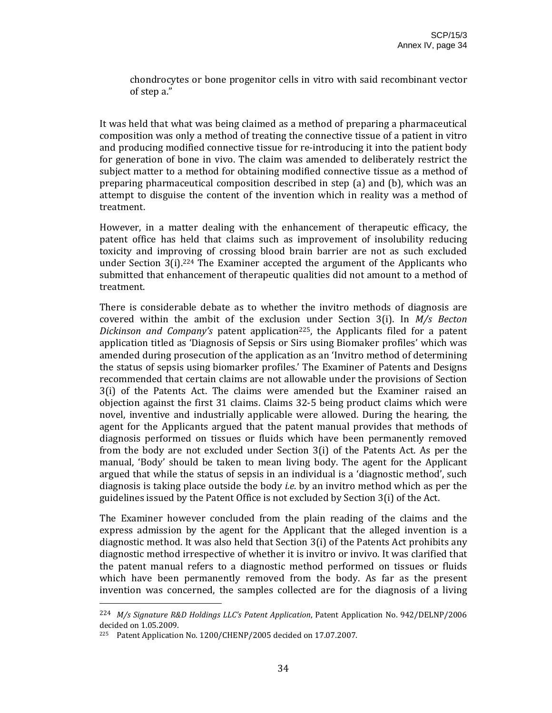chondrocytes or bone progenitor cells in vitro with said recombinant vector of step a."

It was held that what was being claimed as a method of preparing a pharmaceutical composition was only a method of treating the connective tissue of a patient in vitro and producing modified connective tissue for re‐introducing it into the patient body for generation of bone in vivo. The claim was amended to deliberately restrict the subject matter to a method for obtaining modified connective tissue as a method of preparing pharmaceutical composition described in step (a) and (b), which was an attempt to disguise the content of the invention which in reality was a method of treatment.

However, in a matter dealing with the enhancement of therapeutic efficacy, the patent office has held that claims such as improvement of insolubility reducing toxicity and improving of crossing blood brain barrier are not as such excluded under Section  $3(i).^{224}$  The Examiner accepted the argument of the Applicants who submitted that enhancement of therapeutic qualities did not amount to a method of treatment.

There is considerable debate as to whether the invitro methods of diagnosis are covered within the ambit of the exclusion under Section 3(i). In *M/s Becton Dickinson and Company's* patent application<sup>225</sup>, the Applicants filed for a patent application titled as 'Diagnosis of Sepsis or Sirs using Biomaker profiles' which was amended during prosecution of the application as an 'Invitro method of determining the status of sepsis using biomarker profiles.' The Examiner of Patents and Designs recommended that certain claims are not allowable under the provisions of Section 3(i) of the Patents Act. The claims were amended but the Examiner raised an objection against the first 31 claims. Claims 32‐5 being product claims which were novel, inventive and industrially applicable were allowed. During the hearing, the agent for the Applicants argued that the patent manual provides that methods of diagnosis performed on tissues or fluids which have been permanently removed from the body are not excluded under Section 3(i) of the Patents Act. As per the manual, 'Body' should be taken to mean living body. The agent for the Applicant argued that while the status of sepsis in an individual is a 'diagnostic method', such diagnosis is taking place outside the body *i.e.* by an invitro method which as per the guidelines issued by the Patent Office is not excluded by Section 3(i) of the Act.

The Examiner however concluded from the plain reading of the claims and the express admission by the agent for the Applicant that the alleged invention is a diagnostic method. It was also held that Section  $3(i)$  of the Patents Act prohibits any diagnostic method irrespective of whether it is invitro or invivo. It was clarified that the patent manual refers to a diagnostic method performed on tissues or fluids which have been permanently removed from the body. As far as the present invention was concerned, the samples collected are for the diagnosis of a living

<sup>224</sup> *M/s Signature R&D Holdings LLC's Patent Application*, Patent Application No. 942/DELNP/2006 decided on 1.05.2009.

<sup>225</sup> Patent Application No. 1200/CHENP/2005 decided on 17.07.2007.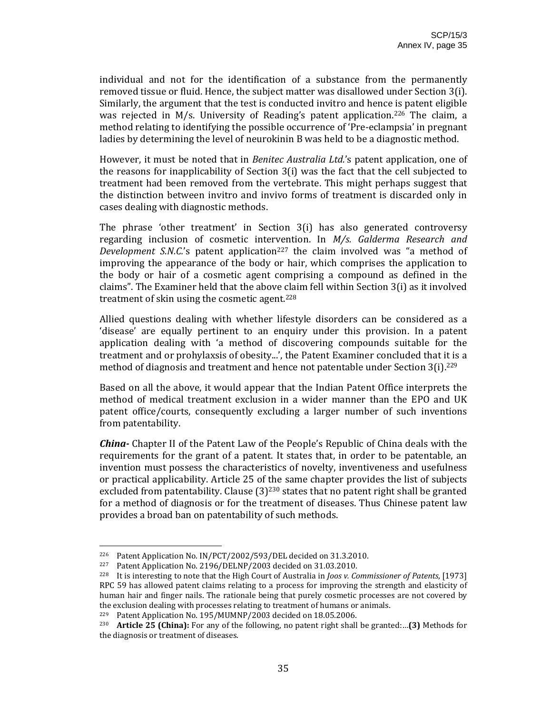individual and not for the identification of a substance from the permanently removed tissue or fluid. Hence, the subject matter was disallowed under Section 3(i). Similarly, the argument that the test is conducted invitro and hence is patent eligible was rejected in M/s. University of Reading's patent application.<sup>226</sup> The claim, a method relating to identifying the possible occurrence of 'Pre‐eclampsia' in pregnant ladies by determining the level of neurokinin B was held to be a diagnostic method.

However, it must be noted that in *Benitec Australia Ltd.*'s patent application, one of the reasons for inapplicability of Section 3(i) was the fact that the cell subjected to treatment had been removed from the vertebrate. This might perhaps suggest that the distinction between invitro and invivo forms of treatment is discarded only in cases dealing with diagnostic methods.

The phrase 'other treatment' in Section 3(i) has also generated controversy regarding inclusion of cosmetic intervention. In *M/s. Galderma Research and Development S.N.C.*'s patent application<sup>227</sup> the claim involved was "a method of improving the appearance of the body or hair, which comprises the application to the body or hair of a cosmetic agent comprising a compound as defined in the claims". The Examiner held that the above claim fell within Section 3(i) as it involved treatment of skin using the cosmetic agent.228

Allied questions dealing with whether lifestyle disorders can be considered as a 'disease' are equally pertinent to an enquiry under this provision. In a patent application dealing with 'a method of discovering compounds suitable for the treatment and or prohylaxsis of obesity...', the Patent Examiner concluded that it is a method of diagnosis and treatment and hence not patentable under Section 3(i).<sup>229</sup>

Based on all the above, it would appear that the Indian Patent Office interprets the method of medical treatment exclusion in a wider manner than the EPO and UK patent office/courts, consequently excluding a larger number of such inventions from patentability.

*China* Chapter II of the Patent Law of the People's Republic of China deals with the requirements for the grant of a patent. It states that, in order to be patentable, an invention must possess the characteristics of novelty, inventiveness and usefulness or practical applicability. Article 25 of the same chapter provides the list of subjects excluded from patentability. Clause  $(3)^{230}$  states that no patent right shall be granted for a method of diagnosis or for the treatment of diseases. Thus Chinese patent law provides a broad ban on patentability of such methods.

<sup>&</sup>lt;sup>226</sup> Patent Application No.  $IN/PT/2002/593/DEL$  decided on 31.3.2010.<br><sup>227</sup> Patent Annlication No. 2196/DELNP/2003 decided on 31.03.2010.

Patent Application No. 2196/DELNP/2003 decided on 31.03.2010.

<sup>228</sup> It is interesting to note that the High Court of Australia in *Joos v. Commissioner of Patents*, [1973] RPC 59 has allowed patent claims relating to a process for improving the strength and elasticity of human hair and finger nails. The rationale being that purely cosmetic processes are not covered by the exclusion dealing with processes relating to treatment of humans or animals.<br><sup>229</sup> Patent Application No. 195/MHMNP/2003 decided on 18.05.2006

<sup>229</sup> Patent Application No. 195/MUMNP/2003 decided on 18.05.2006.

<sup>230</sup> **Article 25 (China):** For any of the following, no patent right shall be granted:…**(3)** Methods for the diagnosis or treatment of diseases.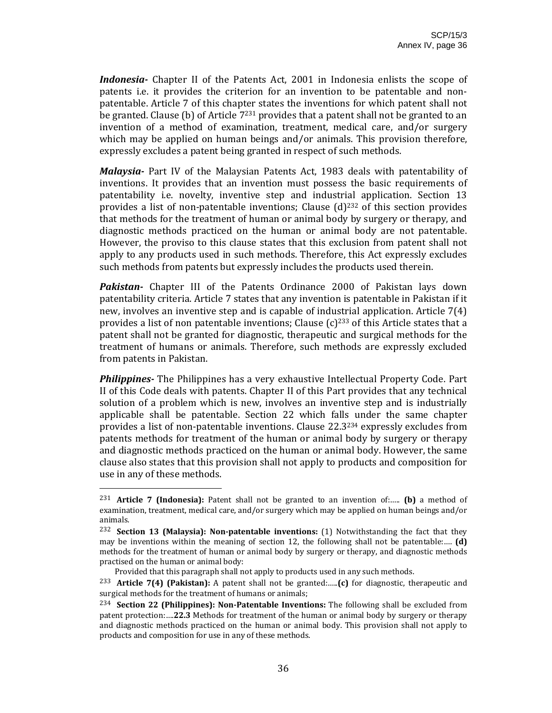*Indonesia*<sup>-</sup> Chapter II of the Patents Act, 2001 in Indonesia enlists the scope of patents i.e. it provides the criterion for an invention to be patentable and nonpatentable. Article 7 of this chapter states the inventions for which patent shall not be granted. Clause (b) of Article 7<sup>231</sup> provides that a patent shall not be granted to an invention of a method of examination, treatment, medical care, and/or surgery which may be applied on human beings and/or animals. This provision therefore, expressly excludes a patent being granted in respect of such methods.

*Malaysia* Part IV of the Malaysian Patents Act, 1983 deals with patentability of inventions. It provides that an invention must possess the basic requirements of patentability i.e. novelty, inventive step and industrial application. Section 13 provides a list of non-patentable inventions; Clause  $(d)^{232}$  of this section provides that methods for the treatment of human or animal body by surgery or therapy, and diagnostic methods practiced on the human or animal body are not patentable. However, the proviso to this clause states that this exclusion from patent shall not apply to any products used in such methods. Therefore, this Act expressly excludes such methods from patents but expressly includes the products used therein.

**Pakistan** Chapter III of the Patents Ordinance 2000 of Pakistan lays down patentability criteria. Article 7 states that any invention is patentable in Pakistan if it new, involves an inventive step and is capable of industrial application. Article 7(4) provides a list of non patentable inventions; Clause  $(c)^{233}$  of this Article states that a patent shall not be granted for diagnostic, therapeutic and surgical methods for the treatment of humans or animals. Therefore, such methods are expressly excluded from patents in Pakistan.

*Philippines* The Philippines has a very exhaustive Intellectual Property Code. Part II of this Code deals with patents. Chapter II of this Part provides that any technical solution of a problem which is new, involves an inventive step and is industrially applicable shall be patentable. Section 22 which falls under the same chapter provides a list of non‐patentable inventions. Clause 22.3234 expressly excludes from patents methods for treatment of the human or animal body by surgery or therapy and diagnostic methods practiced on the human or animal body. However, the same clause also states that this provision shall not apply to products and composition for use in any of these methods.

<sup>231</sup> **Article 7 (Indonesia):** Patent shall not be granted to an invention of:….. **(b)** a method of examination, treatment, medical care, and/or surgery which may be applied on human beings and/or animals.

<sup>232</sup> **Section 13 (Malaysia): Nonpatentable inventions:** (1) Notwithstanding the fact that they may be inventions within the meaning of section 12, the following shall not be patentable:.... **(d)** methods for the treatment of human or animal body by surgery or therapy, and diagnostic methods practised on the human or animal body:

Provided that this paragraph shall not apply to products used in any such methods.

<sup>233</sup> **Article 7(4) (Pakistan):** A patent shall not be granted:…..**(c)** for diagnostic, therapeutic and surgical methods for the treatment of humans or animals;

<sup>234</sup> **Section 22 (Philippines): NonPatentable Inventions:** The following shall be excluded from patent protection:….**22.3** Methods for treatment of the human or animal body by surgery or therapy and diagnostic methods practiced on the human or animal body. This provision shall not apply to products and composition for use in any of these methods.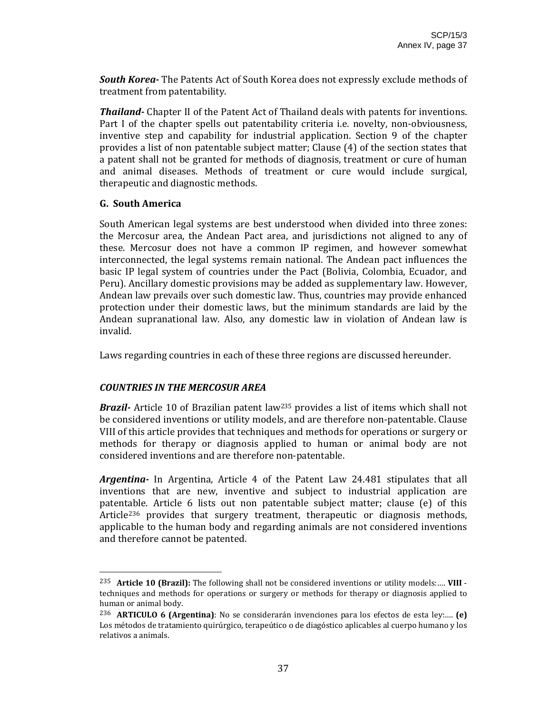*South Korea* The Patents Act of South Korea does not expressly exclude methods of treatment from patentability.

*Thailand* Chapter II of the Patent Act of Thailand deals with patents for inventions. Part I of the chapter spells out patentability criteria *i.e.* novelty, non-obviousness, inventive step and capability for industrial application. Section 9 of the chapter provides a list of non patentable subject matter; Clause (4) of the section states that a patent shall not be granted for methods of diagnosis, treatment or cure of human and animal diseases. Methods of treatment or cure would include surgical, therapeutic and diagnostic methods.

#### **G. South America**

South American legal systems are best understood when divided into three zones: the Mercosur area, the Andean Pact area, and jurisdictions not aligned to any of these. Mercosur does not have a common IP regimen, and however somewhat interconnected, the legal systems remain national. The Andean pact influences the basic IP legal system of countries under the Pact (Bolivia, Colombia, Ecuador, and Peru). Ancillary domestic provisions may be added as supplementary law. However, Andean law prevails over such domestic law. Thus, countries may provide enhanced protection under their domestic laws, but the minimum standards are laid by the Andean supranational law. Also, any domestic law in violation of Andean law is invalid.

Laws regarding countries in each of these three regions are discussed hereunder.

## *COUNTRIES IN THE MERCOSUR AREA*

**Brazil**<sup>2</sup> Article 10 of Brazilian patent law<sup>235</sup> provides a list of items which shall not be considered inventions or utility models, and are therefore non-patentable. Clause VIII of this article provides that techniques and methods for operations or surgery or methods for therapy or diagnosis applied to human or animal body are not considered inventions and are therefore non‐patentable.

*Argentina* In Argentina, Article 4 of the Patent Law 24.481 stipulates that all inventions that are new, inventive and subject to industrial application are patentable. Article 6 lists out non patentable subject matter; clause (e) of this Article<sup>236</sup> provides that surgery treatment, therapeutic or diagnosis methods, applicable to the human body and regarding animals are not considered inventions and therefore cannot be patented.

<sup>235</sup> **Article 10 (Brazil):** The following shall not be considered inventions or utility models:…. **VIII** ‐ techniques and methods for operations or surgery or methods for therapy or diagnosis applied to human or animal body.

<sup>236</sup> **ARTICULO 6 (Argentina)**: No se considerarán invenciones para los efectos de esta ley:…. **(e)** Los métodos de tratamiento quirúrgico, terapeútico o de diagóstico aplicables al cuerpo humano y los relativos a animals.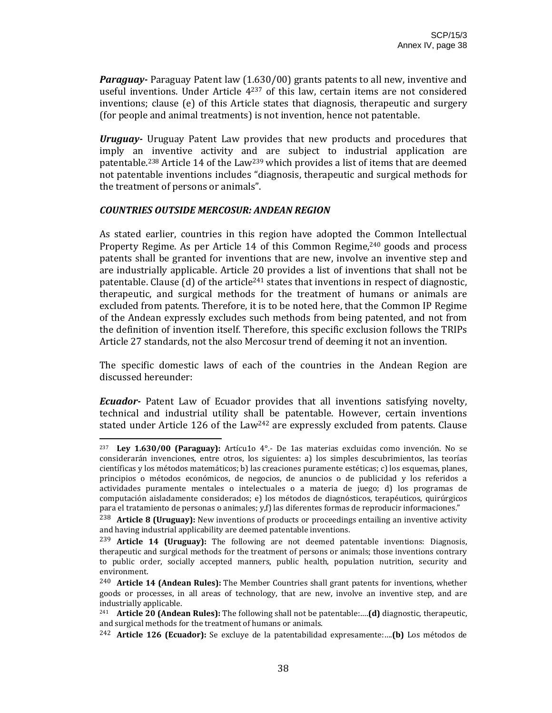*Paraguay* Paraguay Patent law (1.630/00) grants patents to all new, inventive and useful inventions. Under Article  $4^{237}$  of this law, certain items are not considered inventions; clause (e) of this Article states that diagnosis, therapeutic and surgery (for people and animal treatments) is not invention, hence not patentable.

*Uruguay*  Uruguay Patent Law provides that new products and procedures that imply an inventive activity and are subject to industrial application are patentable.238 Article 14 of the Law239 which provides a list of items that are deemed not patentable inventions includes "diagnosis, therapeutic and surgical methods for the treatment of persons or animals".

#### *COUNTRIES OUTSIDE MERCOSUR: ANDEAN REGION*

As stated earlier, countries in this region have adopted the Common Intellectual Property Regime. As per Article 14 of this Common Regime,<sup>240</sup> goods and process patents shall be granted for inventions that are new, involve an inventive step and are industrially applicable. Article 20 provides a list of inventions that shall not be patentable. Clause (d) of the article<sup>241</sup> states that inventions in respect of diagnostic, therapeutic, and surgical methods for the treatment of humans or animals are excluded from patents. Therefore, it is to be noted here, that the Common IP Regime of the Andean expressly excludes such methods from being patented, and not from the definition of invention itself. Therefore, this specific exclusion follows the TRIPs Article 27 standards, not the also Mercosur trend of deeming it not an invention.

The specific domestic laws of each of the countries in the Andean Region are discussed hereunder:

**Ecuador**- Patent Law of Ecuador provides that all inventions satisfying novelty, technical and industrial utility shall be patentable. However, certain inventions stated under Article 126 of the Law<sup>242</sup> are expressly excluded from patents. Clause

<sup>237</sup> **Ley 1.630/00 (Paraguay):** Artícu1o 4°.‐ De 1as materias excluidas como invención. No se considerarán invenciones, entre otros, los siguientes: a) los simples descubrimientos, las teorías científicas y los métodos matemáticos; b) las creaciones puramente estéticas; c) los esquemas, planes, principios o métodos económicos, de negocios, de anuncios o de publicidad y los referidos a actividades puramente mentales o intelectuales o a materia de juego; d) los programas de computación aisladamente considerados; e) los métodos de diagnósticos, terapéuticos, quirúrgicos para el tratamiento de personas o animales; y,f) las diferentes formas de reproducir informaciones."

<sup>238</sup> **Article 8 (Uruguay):** New inventions of products or proceedings entailing an inventive activity and having industrial applicability are deemed patentable inventions.

<sup>239</sup> **Article 14 (Uruguay):** The following are not deemed patentable inventions: Diagnosis, therapeutic and surgical methods for the treatment of persons or animals; those inventions contrary to public order, socially accepted manners, public health, population nutrition, security and environment.

<sup>240</sup> **Article 14 (Andean Rules):** The Member Countries shall grant patents for inventions, whether goods or processes, in all areas of technology, that are new, involve an inventive step, and are industrially applicable.

<sup>241</sup> **Article 20 (Andean Rules):** The following shall not be patentable:….**(d)** diagnostic, therapeutic, and surgical methods for the treatment of humans or animals.

<sup>242</sup> **Article 126 (Ecuador):** Se excluye de la patentabilidad expresamente:….**(b)** Los métodos de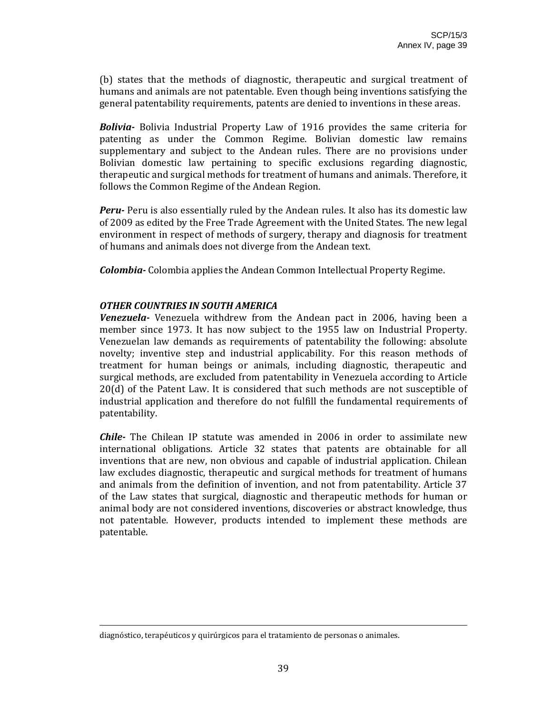(b) states that the methods of diagnostic, therapeutic and surgical treatment of humans and animals are not patentable. Even though being inventions satisfying the general patentability requirements, patents are denied to inventions in these areas.

*Bolivia*  Bolivia Industrial Property Law of 1916 provides the same criteria for patenting as under the Common Regime. Bolivian domestic law remains supplementary and subject to the Andean rules. There are no provisions under Bolivian domestic law pertaining to specific exclusions regarding diagnostic, therapeutic and surgical methods for treatment of humans and animals. Therefore, it follows the Common Regime of the Andean Region.

**Peru** Peru is also essentially ruled by the Andean rules. It also has its domestic law of 2009 as edited by the Free Trade Agreement with the United States. The new legal environment in respect of methods of surgery, therapy and diagnosis for treatment of humans and animals does not diverge from the Andean text.

*Colombia* Colombia applies the Andean Common Intellectual Property Regime.

#### *OTHER COUNTRIES IN SOUTH AMERICA*

*Venezuela* • Venezuela withdrew from the Andean pact in 2006, having been a member since 1973. It has now subject to the 1955 law on Industrial Property. Venezuelan law demands as requirements of patentability the following: absolute novelty; inventive step and industrial applicability. For this reason methods of treatment for human beings or animals, including diagnostic, therapeutic and surgical methods, are excluded from patentability in Venezuela according to Article 20(d) of the Patent Law. It is considered that such methods are not susceptible of industrial application and therefore do not fulfill the fundamental requirements of patentability.

*Chile* The Chilean IP statute was amended in 2006 in order to assimilate new international obligations. Article 32 states that patents are obtainable for all inventions that are new, non obvious and capable of industrial application. Chilean law excludes diagnostic, therapeutic and surgical methods for treatment of humans and animals from the definition of invention, and not from patentability. Article 37 of the Law states that surgical, diagnostic and therapeutic methods for human or animal body are not considered inventions, discoveries or abstract knowledge, thus not patentable. However, products intended to implement these methods are patentable.

<u> 2000 - Andrea Andrew Maria (h. 1888).</u><br>2001 - Andrew Maria (h. 1889).

diagnóstico, terapéuticos y quirúrgicos para el tratamiento de personas o animales.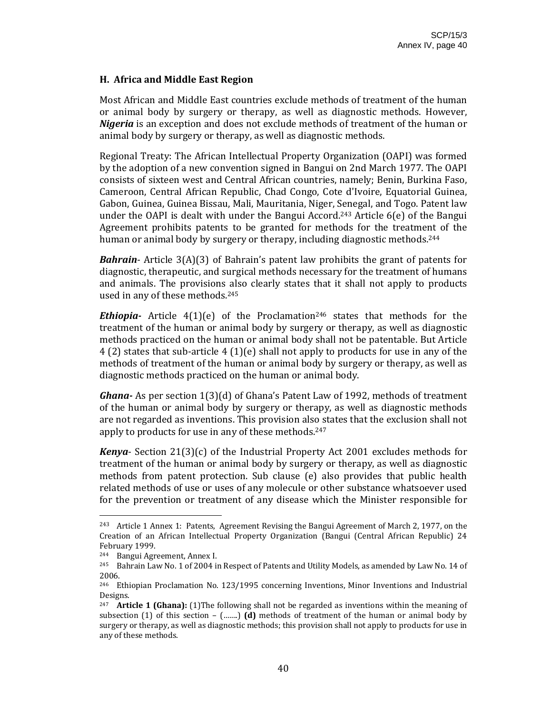#### **H. Africa and Middle East Region**

Most African and Middle East countries exclude methods of treatment of the human or animal body by surgery or therapy, as well as diagnostic methods. However, *Nigeria* is an exception and does not exclude methods of treatment of the human or animal body by surgery or therapy, as well as diagnostic methods.

Regional Treaty: The African Intellectual Property Organization (OAPI) was formed by the adoption of a new convention signed in Bangui on 2nd March 1977. The OAPI consists of sixteen west and Central African countries, namely; Benin, Burkina Faso, Cameroon, Central African Republic, Chad Congo, Cote d'Ivoire, Equatorial Guinea, Gabon, Guinea, Guinea Bissau, Mali, Mauritania, Niger, Senegal, and Togo. Patent law under the OAPI is dealt with under the Bangui Accord.<sup>243</sup> Article  $6(e)$  of the Bangui Agreement prohibits patents to be granted for methods for the treatment of the human or animal body by surgery or therapy, including diagnostic methods.<sup>244</sup>

*Bahrain*– Article 3(A)(3) of Bahrain's patent law prohibits the grant of patents for diagnostic, therapeutic, and surgical methods necessary for the treatment of humans and animals. The provisions also clearly states that it shall not apply to products used in any of these methods.245

**Ethiopia** Article  $4(1)(e)$  of the Proclamation<sup>246</sup> states that methods for the treatment of the human or animal body by surgery or therapy, as well as diagnostic methods practiced on the human or animal body shall not be patentable. But Article 4 (2) states that sub‐article 4 (1)(e) shall not apply to products for use in any of the methods of treatment of the human or animal body by surgery or therapy, as well as diagnostic methods practiced on the human or animal body.

*Ghana* As per section 1(3)(d) of Ghana's Patent Law of 1992, methods of treatment of the human or animal body by surgery or therapy, as well as diagnostic methods are not regarded as inventions. This provision also states that the exclusion shall not apply to products for use in any of these methods.247

*Kenya*‐ Section 21(3)(c) of the Industrial Property Act 2001 excludes methods for treatment of the human or animal body by surgery or therapy, as well as diagnostic methods from patent protection. Sub clause (e) also provides that public health related methods of use or uses of any molecule or other substance whatsoever used for the prevention or treatment of any disease which the Minister responsible for

<sup>243</sup> Article 1 Annex 1: Patents, Agreement Revising the Bangui Agreement of March 2, 1977, on the Creation of an African Intellectual Property Organization (Bangui (Central African Republic) 24 February 1999.

<sup>244</sup> Bangui Agreement, Annex I.

<sup>&</sup>lt;sup>245</sup> Bahrain Law No. 1 of 2004 in Respect of Patents and Utility Models, as amended by Law No. 14 of 2006.

<sup>246</sup> Ethiopian Proclamation No. 123/1995 concerning Inventions, Minor Inventions and Industrial Designs.

<sup>247</sup> **Article 1 (Ghana):** (1)The following shall not be regarded as inventions within the meaning of subsection  $(1)$  of this section  $($ …….) **(d)** methods of treatment of the human or animal body by surgery or therapy, as well as diagnostic methods; this provision shall not apply to products for use in any of these methods.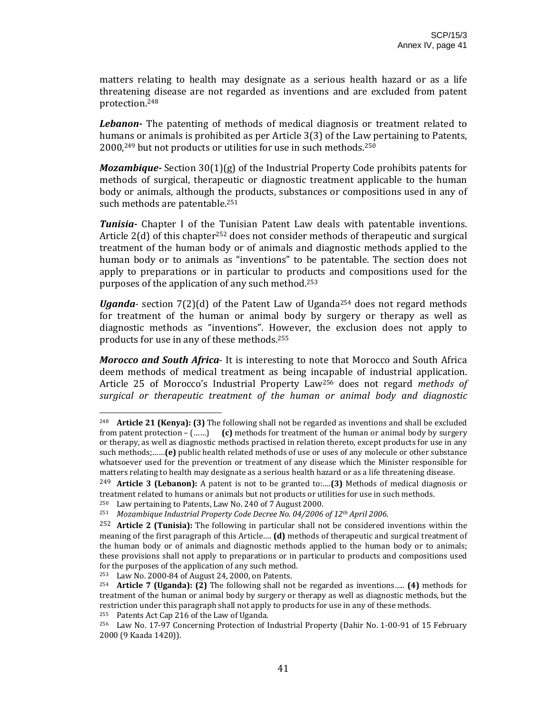matters relating to health may designate as a serious health hazard or as a life threatening disease are not regarded as inventions and are excluded from patent protection.248

Lebanon- The patenting of methods of medical diagnosis or treatment related to humans or animals is prohibited as per Article 3(3) of the Law pertaining to Patents, 2000,249 but not products or utilities for use in such methods.250

*Mozambique* - Section 30(1)(g) of the Industrial Property Code prohibits patents for methods of surgical, therapeutic or diagnostic treatment applicable to the human body or animals, although the products, substances or compositions used in any of such methods are patentable.<sup>251</sup>

*Tunisia* Chapter I of the Tunisian Patent Law deals with patentable inventions. Article  $2(d)$  of this chapter<sup>252</sup> does not consider methods of therapeutic and surgical treatment of the human body or of animals and diagnostic methods applied to the human body or to animals as "inventions" to be patentable. The section does not apply to preparations or in particular to products and compositions used for the purposes of the application of any such method.253

*Uganda*- section  $7(2)(d)$  of the Patent Law of Uganda<sup>254</sup> does not regard methods for treatment of the human or animal body by surgery or therapy as well as diagnostic methods as "inventions". However, the exclusion does not apply to products for use in any of these methods.255

*Morocco and South Africa*‐ It is interesting to note that Morocco and South Africa deem methods of medical treatment as being incapable of industrial application. Article 25 of Morocco's Industrial Property Law256 does not regard *methods of surgical or therapeutic treatment of the human or animal body and diagnostic*

<sup>248</sup> **Article 21 (Kenya): (3)** The following shall not be regarded as inventions and shall be excluded from patent protection – (……) **(c)** methods for treatment of the human or animal body by surgery or therapy, as well as diagnostic methods practised in relation thereto, except products for use in any such methods;……**(e)** public health related methods of use or uses of any molecule or other substance whatsoever used for the prevention or treatment of any disease which the Minister responsible for matters relating to health may designate as a serious health hazard or as a life threatening disease.

<sup>249</sup> **Article 3 (Lebanon):** A patent is not to be granted to:….**(3)** Methods of medical diagnosis or treatment related to humans or animals but not products or utilities for use in such methods.

<sup>&</sup>lt;sup>250</sup> Law pertaining to Patents, Law No. 240 of 7 August 2000.

<sup>251</sup> *Mozambique Industrial Property Code Decree No. 04/2006 of 12th April 2006*.

<sup>252</sup> **Article 2 (Tunisia):** The following in particular shall not be considered inventions within the meaning of the first paragraph of this Article…. **(d)** methods of therapeutic and surgical treatment of the human body or of animals and diagnostic methods applied to the human body or to animals; these provisions shall not apply to preparations or in particular to products and compositions used for the purposes of the application of any such method.

<sup>&</sup>lt;sup>253</sup> Law No. 2000-84 of August 24, 2000, on Patents.<br><sup>254</sup> **Article 7 (Hganda): (2)** The following shall not

<sup>254</sup> **Article 7 (Uganda): (2)** The following shall not be regarded as inventions….. **(4)** methods for treatment of the human or animal body by surgery or therapy as well as diagnostic methods, but the restriction under this paragraph shall not apply to products for use in any of these methods.

<sup>255</sup> Patents Act Cap 216 of the Law of Uganda.

<sup>256</sup> Law No. 17‐97 Concerning Protection of Industrial Property (Dahir No. 1‐00‐91 of 15 February 2000 (9 Kaada 1420)).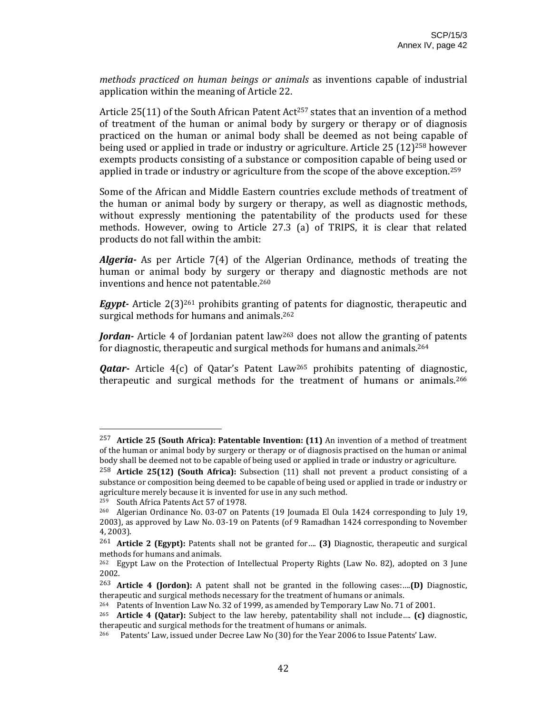*methods practiced on human beings or animals* as inventions capable of industrial application within the meaning of Article 22.

Article 25(11) of the South African Patent Act<sup>257</sup> states that an invention of a method of treatment of the human or animal body by surgery or therapy or of diagnosis practiced on the human or animal body shall be deemed as not being capable of being used or applied in trade or industry or agriculture. Article 25 (12)258 however exempts products consisting of a substance or composition capable of being used or applied in trade or industry or agriculture from the scope of the above exception.259

Some of the African and Middle Eastern countries exclude methods of treatment of the human or animal body by surgery or therapy, as well as diagnostic methods, without expressly mentioning the patentability of the products used for these methods. However, owing to Article 27.3 (a) of TRIPS, it is clear that related products do not fall within the ambit:

*Algeria* As per Article 7(4) of the Algerian Ordinance, methods of treating the human or animal body by surgery or therapy and diagnostic methods are not inventions and hence not patentable.260

*Egypt* Article 2(3)<sup>261</sup> prohibits granting of patents for diagnostic, therapeutic and surgical methods for humans and animals.<sup>262</sup>

Jordan- Article 4 of Jordanian patent law<sup>263</sup> does not allow the granting of patents for diagnostic, therapeutic and surgical methods for humans and animals.264

*Qatar* Article 4(c) of Qatar's Patent Law<sup>265</sup> prohibits patenting of diagnostic, therapeutic and surgical methods for the treatment of humans or animals.<sup>266</sup>

<sup>257</sup> **Article 25 (South Africa): Patentable Invention: (11)** An invention of a method of treatment of the human or animal body by surgery or therapy or of diagnosis practised on the human or animal body shall be deemed not to be capable of being used or applied in trade or industry or agriculture.

<sup>258</sup> **Article 25(12) (South Africa):** Subsection (11) shall not prevent a product consisting of a substance or composition being deemed to be capable of being used or applied in trade or industry or agriculture merely because it is invented for use in any such method.

<sup>&</sup>lt;sup>259</sup> South Africa Patents Act 57 of 1978.

<sup>&</sup>lt;sup>260</sup> Algerian Ordinance No. 03-07 on Patents (19 Joumada El Oula 1424 corresponding to July 19, 2003), as approved by Law No. 03‐19 on Patents (of 9 Ramadhan 1424 corresponding to November 4, 2003).

<sup>261</sup> **Article 2 (Egypt):** Patents shall not be granted for…. **(3)** Diagnostic, therapeutic and surgical methods for humans and animals.

<sup>&</sup>lt;sup>262</sup> Egypt Law on the Protection of Intellectual Property Rights (Law No. 82), adopted on 3 June 2002.

<sup>263</sup> **Article 4 (Jordon):** A patent shall not be granted in the following cases:….**(D)** Diagnostic, therapeutic and surgical methods necessary for the treatment of humans or animals.

<sup>264</sup> Patents of Invention Law No. 32 of 1999, as amended by Temporary Law No. 71 of 2001.

<sup>265</sup> **Article 4 (Qatar):** Subject to the law hereby, patentability shall not include…. **(c)** diagnostic, therapeutic and surgical methods for the treatment of humans or animals.

<sup>&</sup>lt;sup>266</sup> Patents' Law, issued under Decree Law No (30) for the Year 2006 to Issue Patents' Law.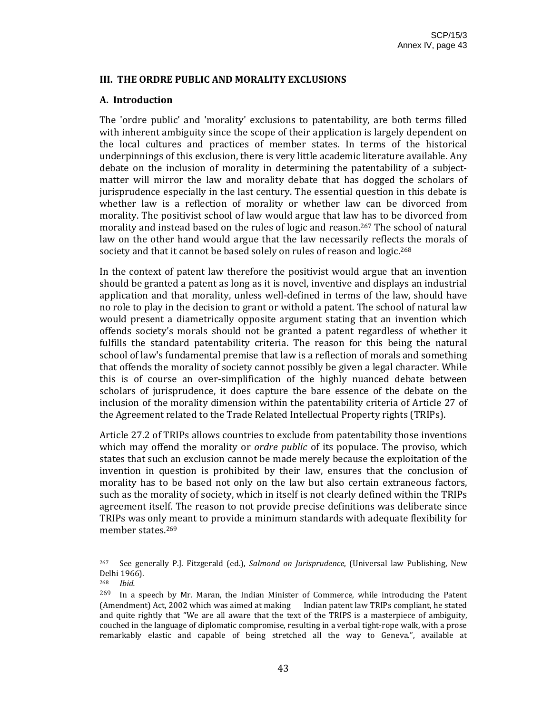#### **III. THE ORDRE PUBLIC AND MORALITY EXCLUSIONS**

#### **A. Introduction**

The 'ordre public' and 'morality' exclusions to patentability, are both terms filled with inherent ambiguity since the scope of their application is largely dependent on the local cultures and practices of member states. In terms of the historical underpinnings of this exclusion, there is very little academic literature available. Any debate on the inclusion of morality in determining the patentability of a subjectmatter will mirror the law and morality debate that has dogged the scholars of jurisprudence especially in the last century. The essential question in this debate is whether law is a reflection of morality or whether law can be divorced from morality. The positivist school of law would argue that law has to be divorced from morality and instead based on the rules of logic and reason.267 The school of natural law on the other hand would argue that the law necessarily reflects the morals of society and that it cannot be based solely on rules of reason and logic.<sup>268</sup>

In the context of patent law therefore the positivist would argue that an invention should be granted a patent as long as it is novel, inventive and displays an industrial application and that morality, unless well‐defined in terms of the law, should have no role to play in the decision to grant or withold a patent. The school of natural law would present a diametrically opposite argument stating that an invention which offends society's morals should not be granted a patent regardless of whether it fulfills the standard patentability criteria. The reason for this being the natural school of law's fundamental premise that law is a reflection of morals and something that offends the morality of society cannot possibly be given a legal character. While this is of course an over‐simplification of the highly nuanced debate between scholars of jurisprudence, it does capture the bare essence of the debate on the inclusion of the morality dimension within the patentability criteria of Article 27 of the Agreement related to the Trade Related Intellectual Property rights (TRIPs).

Article 27.2 of TRIPs allows countries to exclude from patentability those inventions which may offend the morality or *ordre public* of its populace. The proviso, which states that such an exclusion cannot be made merely because the exploitation of the invention in question is prohibited by their law, ensures that the conclusion of morality has to be based not only on the law but also certain extraneous factors, such as the morality of society, which in itself is not clearly defined within the TRIPs agreement itself. The reason to not provide precise definitions was deliberate since TRIPs was only meant to provide a minimum standards with adequate flexibility for member states.269

<sup>267</sup>See generally P.J. Fitzgerald (ed.), *Salmond on Jurisprudence*, (Universal law Publishing, New Delhi 1966).

<sup>268</sup> *Ibid.*

 $269$  In a speech by Mr. Maran, the Indian Minister of Commerce, while introducing the Patent (Amendment) Act, 2002 which was aimed at making Indian patent law TRIPs compliant, he stated and quite rightly that "We are all aware that the text of the TRIPS is a masterpiece of ambiguity, couched in the language of diplomatic compromise, resulting in a verbal tight-rope walk, with a prose remarkably elastic and capable of being stretched all the way to Geneva.", available at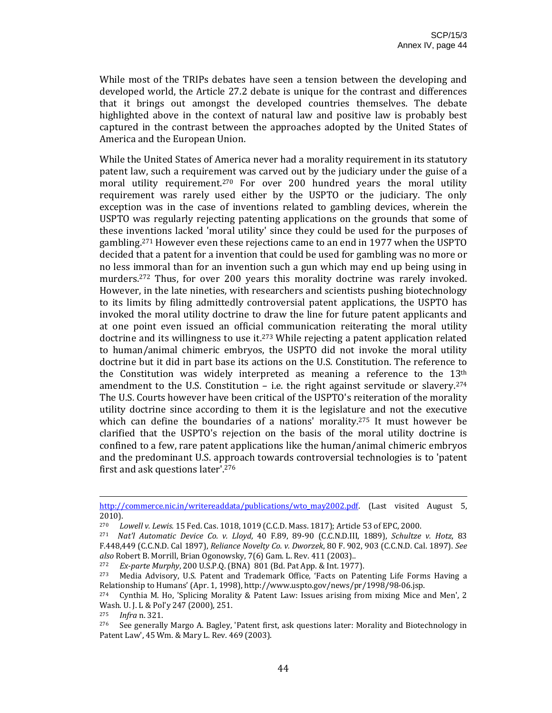While most of the TRIPs debates have seen a tension between the developing and developed world, the Article 27.2 debate is unique for the contrast and differences that it brings out amongst the developed countries themselves. The debate highlighted above in the context of natural law and positive law is probably best captured in the contrast between the approaches adopted by the United States of America and the European Union.

While the United States of America never had a morality requirement in its statutory patent law, such a requirement was carved out by the judiciary under the guise of a moral utility requirement.<sup>270</sup> For over 200 hundred years the moral utility requirement was rarely used either by the USPTO or the judiciary. The only exception was in the case of inventions related to gambling devices, wherein the USPTO was regularly rejecting patenting applications on the grounds that some of these inventions lacked 'moral utility' since they could be used for the purposes of gambling.271 However even these rejections came to an end in 1977 when the USPTO decided that a patent for a invention that could be used for gambling was no more or no less immoral than for an invention such a gun which may end up being using in murders.<sup>272</sup> Thus, for over 200 years this morality doctrine was rarely invoked. However, in the late nineties, with researchers and scientists pushing biotechnology to its limits by filing admittedly controversial patent applications, the USPTO has invoked the moral utility doctrine to draw the line for future patent applicants and at one point even issued an official communication reiterating the moral utility doctrine and its willingness to use it.<sup>273</sup> While rejecting a patent application related to human/animal chimeric embryos, the USPTO did not invoke the moral utility doctrine but it did in part base its actions on the U.S. Constitution. The reference to the Constitution was widely interpreted as meaning a reference to the  $13<sup>th</sup>$ amendment to the U.S. Constitution  $-$  i.e. the right against servitude or slavery.<sup>274</sup> The U.S. Courts however have been critical of the USPTO's reiteration of the morality utility doctrine since according to them it is the legislature and not the executive which can define the boundaries of a nations' morality.<sup>275</sup> It must however be clarified that the USPTO's rejection on the basis of the moral utility doctrine is confined to a few, rare patent applications like the human/animal chimeric embryos and the predominant U.S. approach towards controversial technologies is to 'patent first and ask questions later'.276

<sup>&</sup>lt;u> Andreas Andrews Andrews Andrews Andrews Andrews Andrews Andrews Andrews Andrews Andrews Andrews Andrews Andr</u> http://commerce.nic.in/writereaddata/publications/wto\_may2002.pdf. [Last visited August 5, 2010).

<sup>270</sup> *Lowell v. Lewis.* 15 Fed. Cas. 1018, 1019 (C.C.D. Mass. 1817); Article 53 of EPC, 2000.

<sup>271</sup> *Nat'l Automatic Device Co. v. Lloyd*, 40 F.89, 89‐90 (C.C.N.D.III, 1889), *Schultze v. Hotz*, 83 F.448,449 (C.C.N.D. Cal 1897), *Reliance Novelty Co. v. Dworzek*, 80 F. 902, 903 (C.C.N.D. Cal. 1897). *See also* Robert B. Morrill, Brian Ogonowsky, 7(6) Gam. L. Rev. 411 (2003)..

<sup>272</sup> *Exparte Murphy*, 200 U.S.P.Q. (BNA) 801 (Bd. Pat App. & Int. 1977).

<sup>&</sup>lt;sup>273</sup> Media Advisory, U.S. Patent and Trademark Office, 'Facts on Patenting Life Forms Having a Relationship to Humans' (Apr. 1, 1998), http://www.uspto.gov/news/pr/1998/98‐06.jsp.

<sup>274</sup> Cynthia M. Ho, 'Splicing Morality & Patent Law: Issues arising from mixing Mice and Men', 2 Wash. U. J. L & Pol'y 247 (2000), 251.<br><sup>275</sup> - *Infra*n 321

<sup>275</sup> *Infra* n. 321.

 $276$  See generally Margo A. Bagley, 'Patent first, ask questions later: Morality and Biotechnology in Patent Law', 45 Wm. & Mary L. Rev. 469 (2003).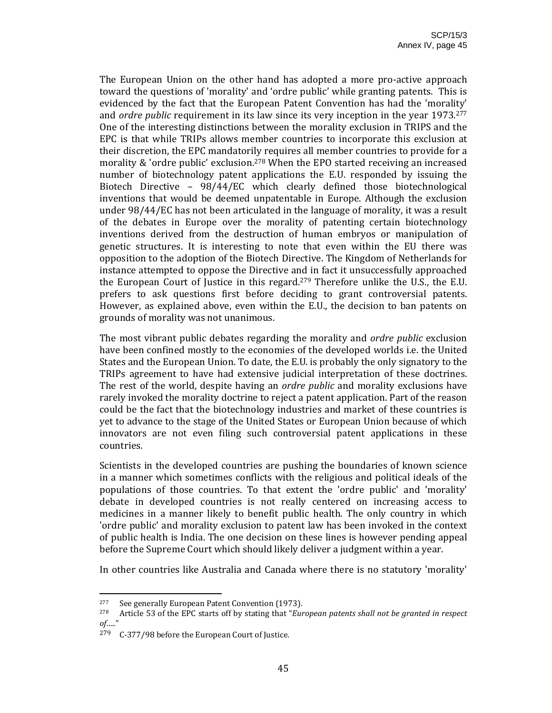The European Union on the other hand has adopted a more pro-active approach toward the questions of 'morality' and 'ordre public' while granting patents. This is evidenced by the fact that the European Patent Convention has had the 'morality' and *ordre public* requirement in its law since its very inception in the year 1973.277 One of the interesting distinctions between the morality exclusion in TRIPS and the EPC is that while TRIPs allows member countries to incorporate this exclusion at their discretion, the EPC mandatorily requires all member countries to provide for a morality & 'ordre public' exclusion.278 When the EPO started receiving an increased number of biotechnology patent applications the E.U. responded by issuing the Biotech Directive – 98/44/EC which clearly defined those biotechnological inventions that would be deemed unpatentable in Europe. Although the exclusion under 98/44/EC has not been articulated in the language of morality, it was a result of the debates in Europe over the morality of patenting certain biotechnology inventions derived from the destruction of human embryos or manipulation of genetic structures. It is interesting to note that even within the EU there was opposition to the adoption of the Biotech Directive. The Kingdom of Netherlands for instance attempted to oppose the Directive and in fact it unsuccessfully approached the European Court of Justice in this regard.<sup>279</sup> Therefore unlike the U.S., the E.U. prefers to ask questions first before deciding to grant controversial patents. However, as explained above, even within the E.U., the decision to ban patents on grounds of morality was not unanimous.

The most vibrant public debates regarding the morality and *ordre public* exclusion have been confined mostly to the economies of the developed worlds i.e. the United States and the European Union. To date, the E.U. is probably the only signatory to the TRIPs agreement to have had extensive judicial interpretation of these doctrines. The rest of the world, despite having an *ordre public* and morality exclusions have rarely invoked the morality doctrine to reject a patent application. Part of the reason could be the fact that the biotechnology industries and market of these countries is yet to advance to the stage of the United States or European Union because of which innovators are not even filing such controversial patent applications in these countries.

Scientists in the developed countries are pushing the boundaries of known science in a manner which sometimes conflicts with the religious and political ideals of the populations of those countries. To that extent the 'ordre public' and 'morality' debate in developed countries is not really centered on increasing access to medicines in a manner likely to benefit public health. The only country in which 'ordre public' and morality exclusion to patent law has been invoked in the context of public health is India. The one decision on these lines is however pending appeal before the Supreme Court which should likely deliver a judgment within a year.

In other countries like Australia and Canada where there is no statutory 'morality'

<sup>&</sup>lt;sup>277</sup> See generally European Patent Convention (1973).

<sup>278</sup> Article 53 of the EPC starts off by stating that "*European patents shall not be granted in respect of…..*"

 $279$  C-377/98 before the European Court of Justice.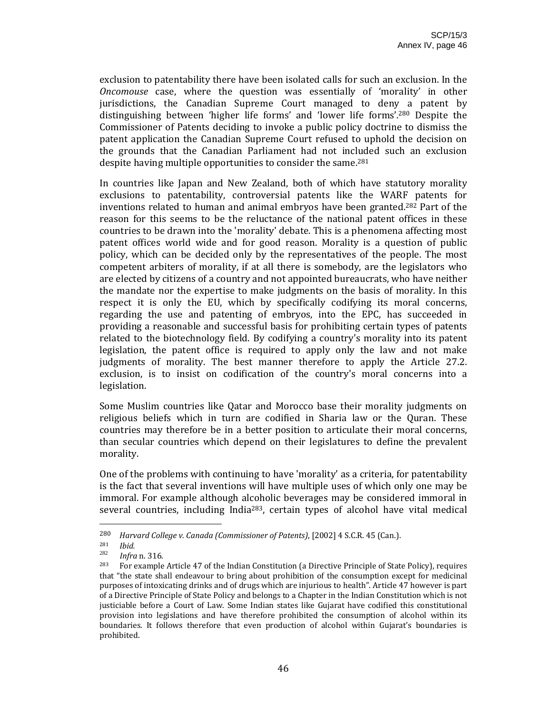exclusion to patentability there have been isolated calls for such an exclusion. In the *Oncomouse* case, where the question was essentially of 'morality' in other jurisdictions, the Canadian Supreme Court managed to deny a patent by distinguishing between 'higher life forms' and 'lower life forms'.280 Despite the Commissioner of Patents deciding to invoke a public policy doctrine to dismiss the patent application the Canadian Supreme Court refused to uphold the decision on the grounds that the Canadian Parliament had not included such an exclusion despite having multiple opportunities to consider the same.<sup>281</sup>

In countries like Japan and New Zealand, both of which have statutory morality exclusions to patentability, controversial patents like the WARF patents for inventions related to human and animal embryos have been granted.282 Part of the reason for this seems to be the reluctance of the national patent offices in these countries to be drawn into the 'morality' debate. This is a phenomena affecting most patent offices world wide and for good reason. Morality is a question of public policy, which can be decided only by the representatives of the people. The most competent arbiters of morality, if at all there is somebody, are the legislators who are elected by citizens of a country and not appointed bureaucrats, who have neither the mandate nor the expertise to make judgments on the basis of morality. In this respect it is only the EU, which by specifically codifying its moral concerns, regarding the use and patenting of embryos, into the EPC, has succeeded in providing a reasonable and successful basis for prohibiting certain types of patents related to the biotechnology field. By codifying a country's morality into its patent legislation, the patent office is required to apply only the law and not make judgments of morality. The best manner therefore to apply the Article 27.2. exclusion, is to insist on codification of the country's moral concerns into a legislation.

Some Muslim countries like Qatar and Morocco base their morality judgments on religious beliefs which in turn are codified in Sharia law or the Quran. These countries may therefore be in a better position to articulate their moral concerns, than secular countries which depend on their legislatures to define the prevalent morality.

One of the problems with continuing to have 'morality' as a criteria, for patentability is the fact that several inventions will have multiple uses of which only one may be immoral. For example although alcoholic beverages may be considered immoral in several countries, including India<sup>283</sup>, certain types of alcohol have vital medical

<sup>280</sup> *Harvard College v. Canada (Commissioner of Patents)*, [2002] 4 S.C.R. 45 (Can.).

<sup>281</sup> *Ibid.*

*Infra* n. 316.

<sup>283</sup> For example Article 47 of the Indian Constitution (a Directive Principle of State Policy), requires that "the state shall endeavour to bring about prohibition of the consumption except for medicinal purposes of intoxicating drinks and of drugs which are injurious to health". Article 47 however is part of a Directive Principle of State Policy and belongs to a Chapter in the Indian Constitution which is not justiciable before a Court of Law. Some Indian states like Gujarat have codified this constitutional provision into legislations and have therefore prohibited the consumption of alcohol within its boundaries. It follows therefore that even production of alcohol within Gujarat's boundaries is prohibited.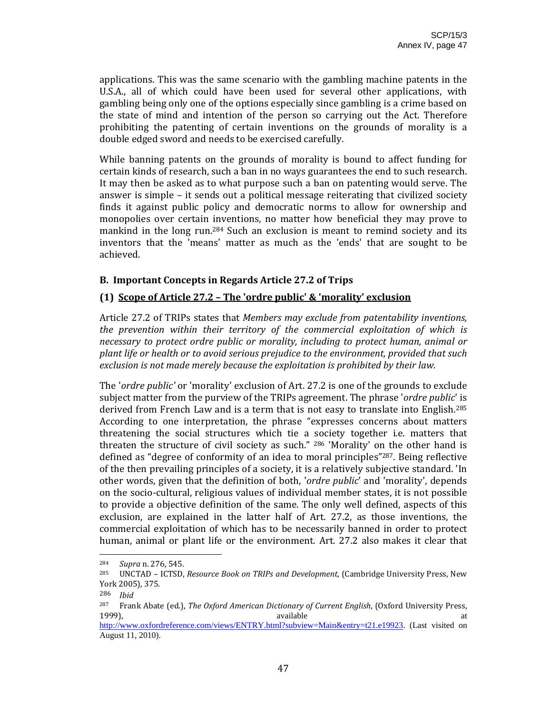applications. This was the same scenario with the gambling machine patents in the U.S.A., all of which could have been used for several other applications, with gambling being only one of the options especially since gambling is a crime based on the state of mind and intention of the person so carrying out the Act. Therefore prohibiting the patenting of certain inventions on the grounds of morality is a double edged sword and needs to be exercised carefully.

While banning patents on the grounds of morality is bound to affect funding for certain kinds of research, such a ban in no ways guarantees the end to such research. It may then be asked as to what purpose such a ban on patenting would serve. The answer is simple – it sends out a political message reiterating that civilized society finds it against public policy and democratic norms to allow for ownership and monopolies over certain inventions, no matter how beneficial they may prove to mankind in the long run.<sup>284</sup> Such an exclusion is meant to remind society and its inventors that the 'means' matter as much as the 'ends' that are sought to be achieved.

## **B. Important Concepts in Regards Article 27.2 of Trips**

## **(1) Scope of Article 27.2 – The 'ordre public' & 'morality' exclusion**

Article 27.2 of TRIPs states that *Members may exclude from patentability inventions, the prevention within their territory of the commercial exploitation of which is necessary to protect ordre public or morality, including to protect human, animal or plant life or health or to avoid serious prejudice to the environment, provided that such exclusion is not made merely because the exploitation is prohibited by their law.*

The '*ordre public'* or 'morality' exclusion of Art. 27.2 is one of the grounds to exclude subject matter from the purview of the TRIPs agreement. The phrase '*ordre public*' is derived from French Law and is a term that is not easy to translate into English.285 According to one interpretation, the phrase "expresses concerns about matters threatening the social structures which tie a society together i.e. matters that threaten the structure of civil society as such."  $286$  'Morality' on the other hand is defined as "degree of conformity of an idea to moral principles"287. Being reflective of the then prevailing principles of a society, it is a relatively subjective standard. 'In other words, given that the definition of both, '*ordre public*' and 'morality', depends on the socio‐cultural, religious values of individual member states, it is not possible to provide a objective definition of the same. The only well defined, aspects of this exclusion, are explained in the latter half of Art. 27.2, as those inventions, the commercial exploitation of which has to be necessarily banned in order to protect human, animal or plant life or the environment. Art. 27.2 also makes it clear that

<sup>&</sup>lt;sup>284</sup> *Supra* n. 276, 545.<br><sup>285</sup> *INCTAD JCTSD* 

<sup>285</sup> UNCTAD – ICTSD, *Resource Book on TRIPs and Development*, (Cambridge University Press, New York 2005), 375.

<sup>286</sup> *Ibid*

<sup>287</sup> Frank Abate (ed.), *The Oxford American Dictionary of Current English*, (Oxford University Press, 1999), available at

http://www.oxfordreference.com/views/ENTRY.html?subview=Main&entry=t21.e19923. (Last visited on August 11, 2010).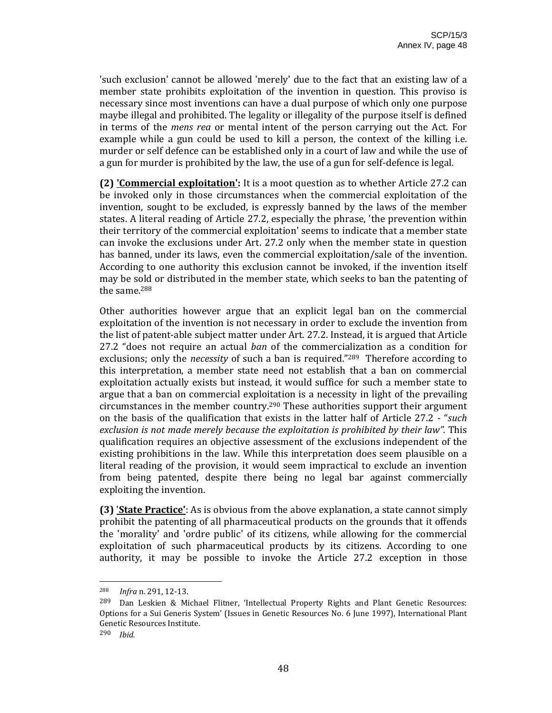'such exclusion' cannot be allowed 'merely' due to the fact that an existing law of a member state prohibits exploitation of the invention in question. This proviso is necessary since most inventions can have a dual purpose of which only one purpose maybe illegal and prohibited. The legality or illegality of the purpose itself is defined in terms of the *mens rea* or mental intent of the person carrying out the Act. For example while a gun could be used to kill a person, the context of the killing *i.e.* murder or self defence can be established only in a court of law and while the use of a gun for murder is prohibited by the law, the use of a gun for self‐defence is legal.

**(2) 'Commercial exploitation':** It is a moot question as to whether Article 27.2 can be invoked only in those circumstances when the commercial exploitation of the invention, sought to be excluded, is expressly banned by the laws of the member states. A literal reading of Article 27.2, especially the phrase, 'the prevention within their territory of the commercial exploitation' seems to indicate that a member state can invoke the exclusions under Art. 27.2 only when the member state in question has banned, under its laws, even the commercial exploitation/sale of the invention. According to one authority this exclusion cannot be invoked, if the invention itself may be sold or distributed in the member state, which seeks to ban the patenting of the same.288

Other authorities however argue that an explicit legal ban on the commercial exploitation of the invention is not necessary in order to exclude the invention from the list of patent‐able subject matter under Art. 27.2. Instead, it is argued that Article 27.2 "does not require an actual *ban* of the commercialization as a condition for exclusions; only the *necessity* of such a ban is required."<sup>289</sup> Therefore according to this interpretation, a member state need not establish that a ban on commercial exploitation actually exists but instead, it would suffice for such a member state to argue that a ban on commercial exploitation is a necessity in light of the prevailing circumstances in the member country.290 These authorities support their argument on the basis of the qualification that exists in the latter half of Article 27.2 ‐ "*such exclusion is not made merely because the exploitation is prohibited by their law".* This qualification requires an objective assessment of the exclusions independent of the existing prohibitions in the law. While this interpretation does seem plausible on a literal reading of the provision, it would seem impractical to exclude an invention from being patented, despite there being no legal bar against commercially exploiting the invention.

**(3)** '**State Practice'**: As is obvious from the above explanation, a state cannot simply prohibit the patenting of all pharmaceutical products on the grounds that it offends the 'morality' and 'ordre public' of its citizens, while allowing for the commercial exploitation of such pharmaceutical products by its citizens. According to one authority, it may be possible to invoke the Article 27.2 exception in those

<sup>288</sup> *Infra* n. 291, 12‐13.

<sup>&</sup>lt;sup>289</sup> Dan Leskien & Michael Flitner, 'Intellectual Property Rights and Plant Genetic Resources: Options for a Sui Generis System' (Issues in Genetic Resources No. 6 June 1997), International Plant Genetic Resources Institute.

<sup>290</sup> *Ibid.*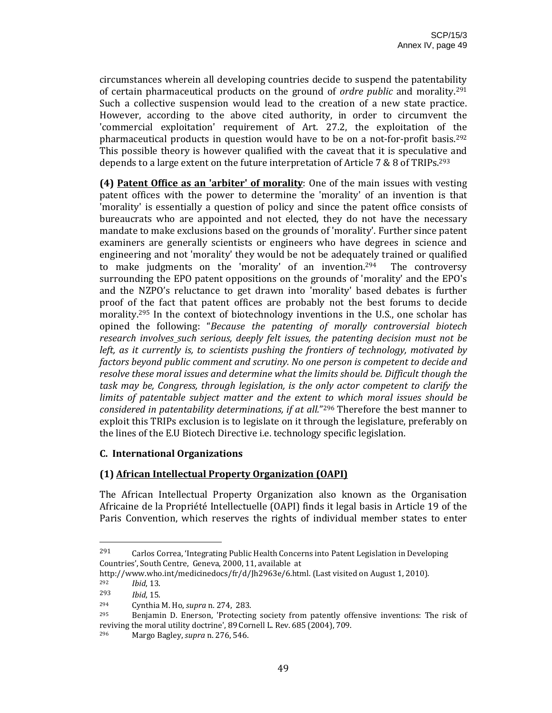circumstances wherein all developing countries decide to suspend the patentability of certain pharmaceutical products on the ground of *ordre public* and morality.291 Such a collective suspension would lead to the creation of a new state practice. However, according to the above cited authority, in order to circumvent the 'commercial exploitation' requirement of Art. 27.2, the exploitation of the pharmaceutical products in question would have to be on a not-for-profit basis.<sup>292</sup> This possible theory is however qualified with the caveat that it is speculative and depends to a large extent on the future interpretation of Article 7 & 8 of TRIPs.293

**(4) Patent Office as an 'arbiter' of morality**: One of the main issues with vesting patent offices with the power to determine the 'morality' of an invention is that 'morality' is essentially a question of policy and since the patent office consists of bureaucrats who are appointed and not elected, they do not have the necessary mandate to make exclusions based on the grounds of 'morality'. Further since patent examiners are generally scientists or engineers who have degrees in science and engineering and not 'morality' they would be not be adequately trained or qualified to make judgments on the 'morality' of an invention.<sup>294</sup> The controversy surrounding the EPO patent oppositions on the grounds of 'morality' and the EPO's and the NZPO's reluctance to get drawn into 'morality' based debates is further proof of the fact that patent offices are probably not the best forums to decide morality.<sup>295</sup> In the context of biotechnology inventions in the U.S., one scholar has opined the following: "*Because the patenting of morally controversial biotech research involves such serious, deeply felt issues, the patenting decision must not be left, as it currently is, to scientists pushing the frontiers of technology, motivated by factors beyond public comment and scrutiny. No one person is competent to decide and resolve these moral issues and determine what the limits should be. Difficult though the task may be, Congress, through legislation, is the only actor competent to clarify the limits of patentable subject matter and the extent to which moral issues should be considered in patentability determinations, if at all.*"296 Therefore the best manner to exploit this TRIPs exclusion is to legislate on it through the legislature, preferably on the lines of the E.U Biotech Directive i.e. technology specific legislation.

#### **C. International Organizations**

## **(1) African Intellectual Property Organization (OAPI)**

The African Intellectual Property Organization also known as the Organisation Africaine de la Propriété Intellectuelle (OAPI) finds it legal basis in Article 19 of the Paris Convention, which reserves the rights of individual member states to enter

 $291$  Carlos Correa, 'Integrating Public Health Concerns into Patent Legislation in Developing Countries', South Centre, Geneva, 2000, 11, available at

http://www.who.int/medicinedocs/fr/d/Jh2963e/6.html. (Last visited on August 1, 2010). <sup>292</sup> *Ibid*, 13.

<sup>293</sup> *Ibid*, 15.

<sup>294</sup> Cynthia M. Ho, *supra* n. 274, 283.

Benjamin D. Enerson, 'Protecting society from patently offensive inventions: The risk of reviving the moral utility doctrine', 89 Cornell L. Rev. 685 (2004), 709.

<sup>296</sup> Margo Bagley, *supra* n. 276, 546.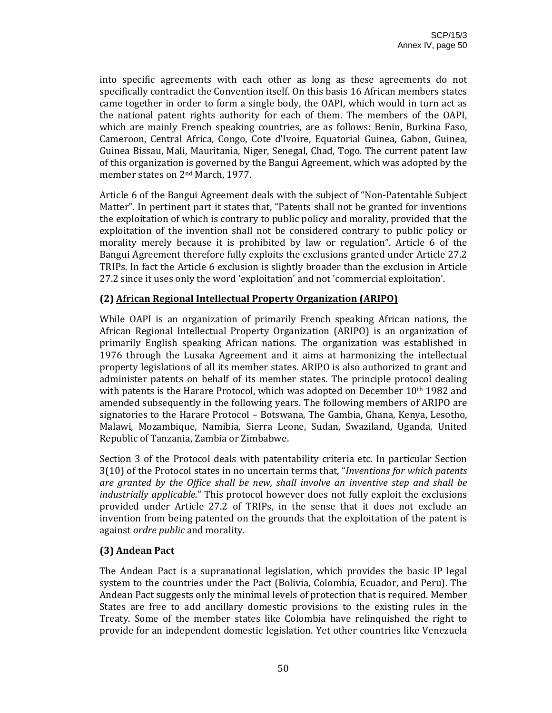into specific agreements with each other as long as these agreements do not specifically contradict the Convention itself. On this basis 16 African members states came together in order to form a single body, the OAPI, which would in turn act as the national patent rights authority for each of them. The members of the OAPI, which are mainly French speaking countries, are as follows: Benin, Burkina Faso, Cameroon, Central Africa, Congo, Cote d'Ivoire, Equatorial Guinea, Gabon, Guinea, Guinea Bissau, Mali, Mauritania, Niger, Senegal, Chad, Togo. The current patent law of this organization is governed by the Bangui Agreement, which was adopted by the member states on 2nd March, 1977.

Article 6 of the Bangui Agreement deals with the subject of "Non‐Patentable Subject Matter". In pertinent part it states that, "Patents shall not be granted for inventions the exploitation of which is contrary to public policy and morality, provided that the exploitation of the invention shall not be considered contrary to public policy or morality merely because it is prohibited by law or regulation". Article 6 of the Bangui Agreement therefore fully exploits the exclusions granted under Article 27.2 TRIPs. In fact the Article 6 exclusion is slightly broader than the exclusion in Article 27.2 since it uses only the word 'exploitation' and not 'commercial exploitation'.

#### **(2) African Regional Intellectual Property Organization (ARIPO)**

While OAPI is an organization of primarily French speaking African nations, the African Regional Intellectual Property Organization (ARIPO) is an organization of primarily English speaking African nations. The organization was established in 1976 through the Lusaka Agreement and it aims at harmonizing the intellectual property legislations of all its member states. ARIPO is also authorized to grant and administer patents on behalf of its member states. The principle protocol dealing with patents is the Harare Protocol, which was adopted on December  $10<sup>th</sup> 1982$  and amended subsequently in the following years. The following members of ARIPO are signatories to the Harare Protocol – Botswana, The Gambia, Ghana, Kenya, Lesotho, Malawi, Mozambique, Namibia, Sierra Leone, Sudan, Swaziland, Uganda, United Republic of Tanzania, Zambia or Zimbabwe.

Section 3 of the Protocol deals with patentability criteria etc. In particular Section 3(10) of the Protocol states in no uncertain terms that, "*Inventions for which patents are granted by the Office shall be new, shall involve an inventive step and shall be industrially applicable.*" This protocol however does not fully exploit the exclusions provided under Article 27.2 of TRIPs, in the sense that it does not exclude an invention from being patented on the grounds that the exploitation of the patent is against *ordre public* and morality.

#### **(3) Andean Pact**

The Andean Pact is a supranational legislation, which provides the basic IP legal system to the countries under the Pact (Bolivia, Colombia, Ecuador, and Peru). The Andean Pact suggests only the minimal levels of protection that is required. Member States are free to add ancillary domestic provisions to the existing rules in the Treaty. Some of the member states like Colombia have relinquished the right to provide for an independent domestic legislation. Yet other countries like Venezuela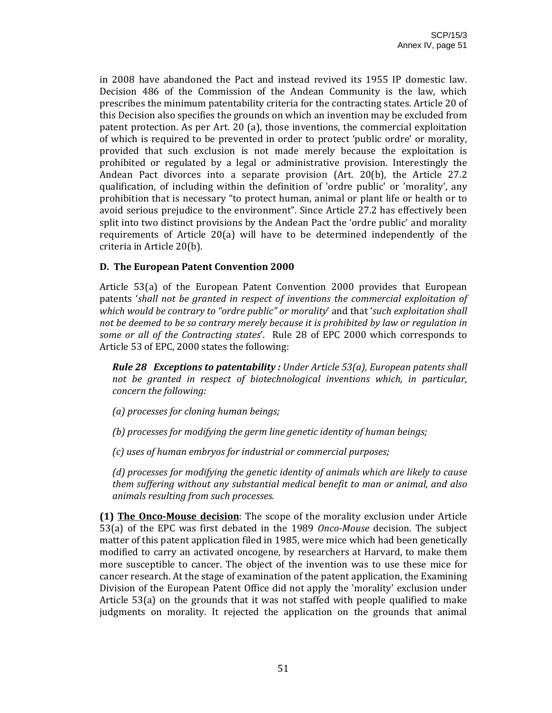in 2008 have abandoned the Pact and instead revived its 1955 IP domestic law. Decision 486 of the Commission of the Andean Community is the law, which prescribes the minimum patentability criteria for the contracting states. Article 20 of this Decision also specifies the grounds on which an invention may be excluded from patent protection. As per Art. 20 (a), those inventions, the commercial exploitation of which is required to be prevented in order to protect 'public ordre' or morality, provided that such exclusion is not made merely because the exploitation is prohibited or regulated by a legal or administrative provision. Interestingly the Andean Pact divorces into a separate provision (Art. 20(b), the Article 27.2 qualification, of including within the definition of 'ordre public' or 'morality', any prohibition that is necessary "to protect human, animal or plant life or health or to avoid serious prejudice to the environment". Since Article 27.2 has effectively been split into two distinct provisions by the Andean Pact the 'ordre public' and morality requirements of Article 20(a) will have to be determined independently of the criteria in Article 20(b).

## **D. The European Patent Convention 2000**

Article 53(a) of the European Patent Convention 2000 provides that European patents '*shall not be granted in respect of inventions the commercial exploitation of which would be contrary to "ordre public" or morality*' and that '*such exploitation shall not be deemed to be so contrary merely because it is prohibited by law or regulation in some or all of the Contracting states*'. Rule 28 of EPC 2000 which corresponds to Article 53 of EPC, 2000 states the following:

*Rule 28 Exceptions to patentability : Under Article 53(a), European patents shall not be granted in respect of biotechnological inventions which, in particular, concern the following:*

*(a) processes for cloning human beings;*

*(b) processes for modifying the germ line genetic identity of human beings;*

*(c) uses of human embryos for industrial or commercial purposes;*

*(d) processes for modifying the genetic identity of animals which are likely to cause them suffering without any substantial medical benefit to man or animal, and also animals resulting from such processes.*

**(1) The OncoMouse decision**: The scope of the morality exclusion under Article 53(a) of the EPC was first debated in the 1989 *OncoMouse* decision. The subject matter of this patent application filed in 1985, were mice which had been genetically modified to carry an activated oncogene, by researchers at Harvard, to make them more susceptible to cancer. The object of the invention was to use these mice for cancer research. At the stage of examination of the patent application, the Examining Division of the European Patent Office did not apply the 'morality' exclusion under Article 53(a) on the grounds that it was not staffed with people qualified to make judgments on morality. It rejected the application on the grounds that animal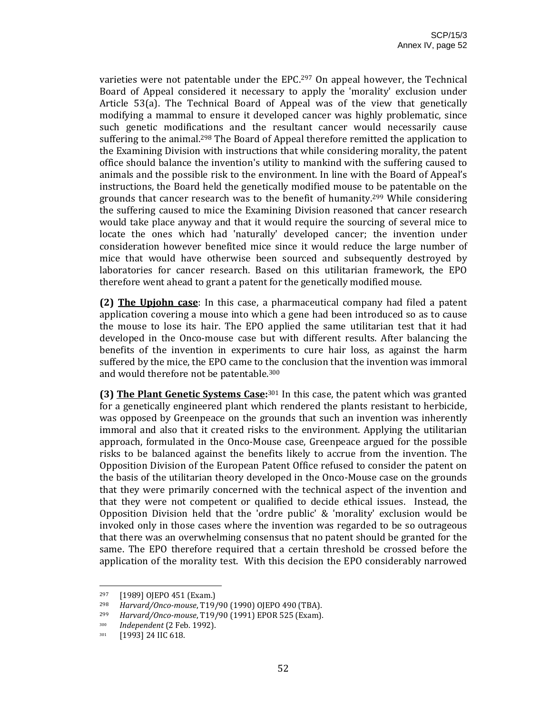varieties were not patentable under the EPC.<sup>297</sup> On appeal however, the Technical Board of Appeal considered it necessary to apply the 'morality' exclusion under Article 53(a). The Technical Board of Appeal was of the view that genetically modifying a mammal to ensure it developed cancer was highly problematic, since such genetic modifications and the resultant cancer would necessarily cause suffering to the animal.<sup>298</sup> The Board of Appeal therefore remitted the application to the Examining Division with instructions that while considering morality, the patent office should balance the invention's utility to mankind with the suffering caused to animals and the possible risk to the environment. In line with the Board of Appeal's instructions, the Board held the genetically modified mouse to be patentable on the grounds that cancer research was to the benefit of humanity.299 While considering the suffering caused to mice the Examining Division reasoned that cancer research would take place anyway and that it would require the sourcing of several mice to locate the ones which had 'naturally' developed cancer; the invention under consideration however benefited mice since it would reduce the large number of mice that would have otherwise been sourced and subsequently destroyed by laboratories for cancer research. Based on this utilitarian framework, the EPO therefore went ahead to grant a patent for the genetically modified mouse.

**(2) The Upjohn case**: In this case, a pharmaceutical company had filed a patent application covering a mouse into which a gene had been introduced so as to cause the mouse to lose its hair. The EPO applied the same utilitarian test that it had developed in the Onco‐mouse case but with different results. After balancing the benefits of the invention in experiments to cure hair loss, as against the harm suffered by the mice, the EPO came to the conclusion that the invention was immoral and would therefore not be patentable.300

**(3) The Plant Genetic Systems Case:**301 In this case, the patent which was granted for a genetically engineered plant which rendered the plants resistant to herbicide, was opposed by Greenpeace on the grounds that such an invention was inherently immoral and also that it created risks to the environment. Applying the utilitarian approach, formulated in the Onco‐Mouse case, Greenpeace argued for the possible risks to be balanced against the benefits likely to accrue from the invention. The Opposition Division of the European Patent Office refused to consider the patent on the basis of the utilitarian theory developed in the Onco‐Mouse case on the grounds that they were primarily concerned with the technical aspect of the invention and that they were not competent or qualified to decide ethical issues. Instead, the Opposition Division held that the 'ordre public' & 'morality' exclusion would be invoked only in those cases where the invention was regarded to be so outrageous that there was an overwhelming consensus that no patent should be granted for the same. The EPO therefore required that a certain threshold be crossed before the application of the morality test. With this decision the EPO considerably narrowed

 <sup>297</sup> [1989] OJEPO 451 (Exam.)<br><sup>298</sup> *Harvard* / Onco-mouse T19

<sup>298</sup> *Harvard/Oncomouse*, T19/90 (1990) OJEPO 490 (TBA).

<sup>299</sup> *Harvard/Oncomouse*, T19/90 (1991) EPOR 525 (Exam).

<sup>300</sup> *Independent* (2 Feb. 1992).

<sup>301</sup> **[1993] 24 IIC 618.**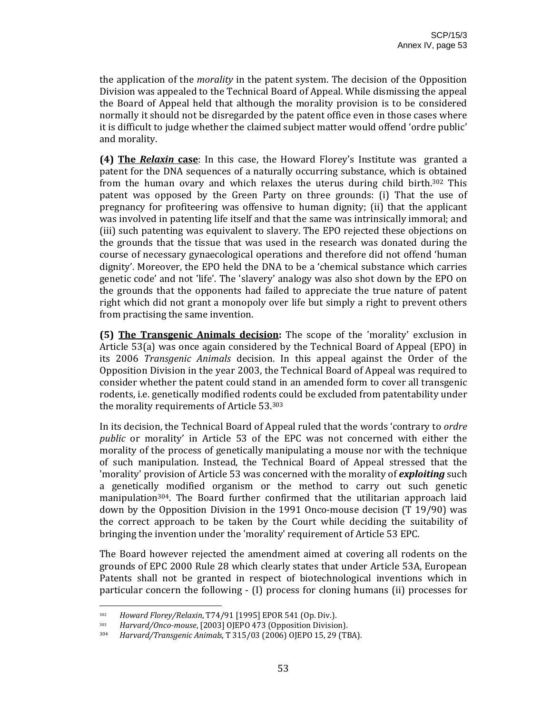the application of the *morality* in the patent system. The decision of the Opposition Division was appealed to the Technical Board of Appeal. While dismissing the appeal the Board of Appeal held that although the morality provision is to be considered normally it should not be disregarded by the patent office even in those cases where it is difficult to judge whether the claimed subject matter would offend 'ordre public' and morality.

**(4) The** *Relaxin* **case**: In this case, the Howard Florey's Institute was granted a patent for the DNA sequences of a naturally occurring substance, which is obtained from the human ovary and which relaxes the uterus during child birth.<sup>302</sup> This patent was opposed by the Green Party on three grounds: (i) That the use of pregnancy for profiteering was offensive to human dignity; (ii) that the applicant was involved in patenting life itself and that the same was intrinsically immoral; and (iii) such patenting was equivalent to slavery. The EPO rejected these objections on the grounds that the tissue that was used in the research was donated during the course of necessary gynaecological operations and therefore did not offend 'human dignity'. Moreover, the EPO held the DNA to be a 'chemical substance which carries genetic code' and not 'life'. The 'slavery' analogy was also shot down by the EPO on the grounds that the opponents had failed to appreciate the true nature of patent right which did not grant a monopoly over life but simply a right to prevent others from practising the same invention.

**(5) The Transgenic Animals decision:** The scope of the 'morality' exclusion in Article 53(a) was once again considered by the Technical Board of Appeal (EPO) in its 2006 *Transgenic Animals* decision. In this appeal against the Order of the Opposition Division in the year 2003, the Technical Board of Appeal was required to consider whether the patent could stand in an amended form to cover all transgenic rodents, i.e. genetically modified rodents could be excluded from patentability under the morality requirements of Article 53.303

In its decision, the Technical Board of Appeal ruled that the words 'contrary to *ordre public* or morality' in Article 53 of the EPC was not concerned with either the morality of the process of genetically manipulating a mouse nor with the technique of such manipulation. Instead, the Technical Board of Appeal stressed that the 'morality' provision of Article 53 was concerned with the morality of *exploiting* such a genetically modified organism or the method to carry out such genetic manipulation<sup>304</sup>. The Board further confirmed that the utilitarian approach laid down by the Opposition Division in the 1991 Onco-mouse decision (T 19/90) was the correct approach to be taken by the Court while deciding the suitability of bringing the invention under the 'morality' requirement of Article 53 EPC.

The Board however rejected the amendment aimed at covering all rodents on the grounds of EPC 2000 Rule 28 which clearly states that under Article 53A, European Patents shall not be granted in respect of biotechnological inventions which in particular concern the following ‐ (I) process for cloning humans (ii) processes for

<sup>302</sup> *Howard Florey/Relaxin*, T74/91 [1995] EPOR 541 (Op. Div.).

<sup>303</sup> *Harvard/Oncomouse*, [2003] OJEPO 473 (Opposition Division).

<sup>304</sup> *Harvard/Transgenic Animals*, T 315/03 (2006) OJEPO 15, 29 (TBA).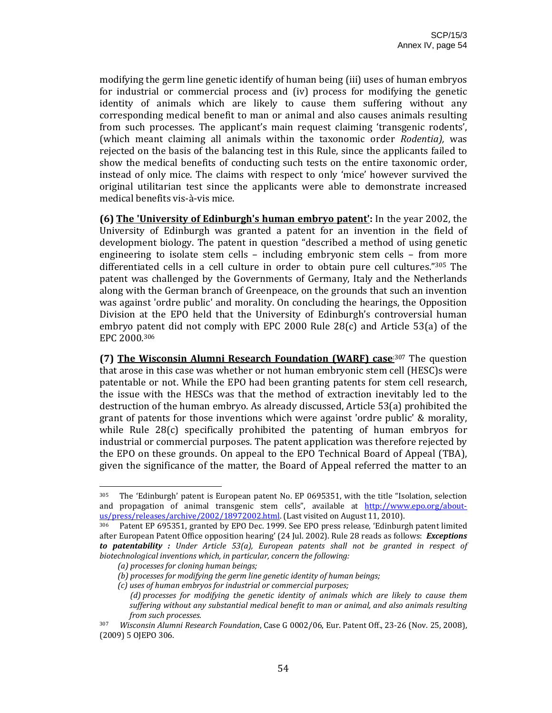modifying the germ line genetic identify of human being (iii) uses of human embryos for industrial or commercial process and (iv) process for modifying the genetic identity of animals which are likely to cause them suffering without any corresponding medical benefit to man or animal and also causes animals resulting from such processes. The applicant's main request claiming 'transgenic rodents', (which meant claiming all animals within the taxonomic order *Rodentia),* was rejected on the basis of the balancing test in this Rule, since the applicants failed to show the medical benefits of conducting such tests on the entire taxonomic order, instead of only mice. The claims with respect to only 'mice' however survived the original utilitarian test since the applicants were able to demonstrate increased medical benefits vis‐à‐vis mice.

**(6) The 'University of Edinburgh's human embryo patent':** In the year 2002, the University of Edinburgh was granted a patent for an invention in the field of development biology. The patent in question "described a method of using genetic engineering to isolate stem cells  $-$  including embryonic stem cells  $-$  from more differentiated cells in a cell culture in order to obtain pure cell cultures."305 The patent was challenged by the Governments of Germany, Italy and the Netherlands along with the German branch of Greenpeace, on the grounds that such an invention was against 'ordre public' and morality. On concluding the hearings, the Opposition Division at the EPO held that the University of Edinburgh's controversial human embryo patent did not comply with EPC 2000 Rule 28(c) and Article 53(a) of the EPC 2000.306

**(7) The Wisconsin Alumni Research Foundation (WARF) case**:307 The question that arose in this case was whether or not human embryonic stem cell (HESC)s were patentable or not. While the EPO had been granting patents for stem cell research, the issue with the HESCs was that the method of extraction inevitably led to the destruction of the human embryo. As already discussed, Article 53(a) prohibited the grant of patents for those inventions which were against 'ordre public' & morality, while Rule  $28(c)$  specifically prohibited the patenting of human embryos for industrial or commercial purposes. The patent application was therefore rejected by the EPO on these grounds. On appeal to the EPO Technical Board of Appeal (TBA), given the significance of the matter, the Board of Appeal referred the matter to an

<sup>305</sup> The 'Edinburgh' patent is European patent No. EP 0695351, with the title "Isolation, selection and propagation of animal transgenic stem cells", available at http://www.epo.org/aboutus/press/releases/archive/2002/18972002.html. (Last visited on August 11, 2010).

<sup>306</sup> Patent EP 695351, granted by EPO Dec. 1999. See EPO press release, 'Edinburgh patent limited after European Patent Office opposition hearing' (24 Jul. 2002). Rule 28 reads as follows: *Exceptions to patentability : Under Article 53(a), European patents shall not be granted in respect of biotechnological inventions which, in particular, concern the following:*

*<sup>(</sup>a) processes for cloning human beings;*

*<sup>(</sup>b) processes for modifying the germ line genetic identity of human beings;*

*<sup>(</sup>c) uses of human embryos for industrial or commercial purposes;*

*<sup>(</sup>d) processes for modifying the genetic identity of animals which are likely to cause them suffering without any substantial medical benefit to man or animal, and also animals resulting from such processes.*

<sup>307</sup> *Wisconsin Alumni Research Foundation*, Case G 0002/06, Eur. Patent Off., 23‐26 (Nov. 25, 2008), (2009) 5 OJEPO 306.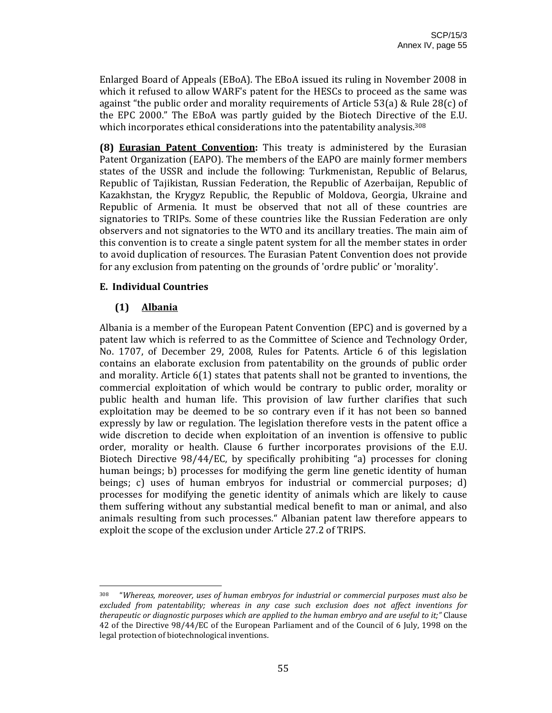Enlarged Board of Appeals (EBoA). The EBoA issued its ruling in November 2008 in which it refused to allow WARF's patent for the HESCs to proceed as the same was against "the public order and morality requirements of Article 53(a) & Rule 28(c) of the EPC 2000." The EBoA was partly guided by the Biotech Directive of the E.U. which incorporates ethical considerations into the patentability analysis.<sup>308</sup>

**(8) Eurasian Patent Convention:** This treaty is administered by the Eurasian Patent Organization (EAPO). The members of the EAPO are mainly former members states of the USSR and include the following: Turkmenistan, Republic of Belarus, Republic of Tajikistan, Russian Federation, the Republic of Azerbaijan, Republic of Kazakhstan, the Krygyz Republic, the Republic of Moldova, Georgia, Ukraine and Republic of Armenia. It must be observed that not all of these countries are signatories to TRIPs. Some of these countries like the Russian Federation are only observers and not signatories to the WTO and its ancillary treaties. The main aim of this convention is to create a single patent system for all the member states in order to avoid duplication of resources. The Eurasian Patent Convention does not provide for any exclusion from patenting on the grounds of 'ordre public' or 'morality'.

## **E. Individual Countries**

# **(1) Albania**

Albania is a member of the European Patent Convention (EPC) and is governed by a patent law which is referred to as the Committee of Science and Technology Order, No. 1707, of December 29, 2008, Rules for Patents. Article 6 of this legislation contains an elaborate exclusion from patentability on the grounds of public order and morality. Article 6(1) states that patents shall not be granted to inventions, the commercial exploitation of which would be contrary to public order, morality or public health and human life. This provision of law further clarifies that such exploitation may be deemed to be so contrary even if it has not been so banned expressly by law or regulation. The legislation therefore vests in the patent office a wide discretion to decide when exploitation of an invention is offensive to public order, morality or health. Clause 6 further incorporates provisions of the E.U. Biotech Directive 98/44/EC, by specifically prohibiting "a) processes for cloning human beings; b) processes for modifying the germ line genetic identity of human beings; c) uses of human embryos for industrial or commercial purposes; d) processes for modifying the genetic identity of animals which are likely to cause them suffering without any substantial medical benefit to man or animal, and also animals resulting from such processes." Albanian patent law therefore appears to exploit the scope of the exclusion under Article 27.2 of TRIPS.

<sup>308 &</sup>quot;*Whereas, moreover, uses of human embryos for industrial or commercial purposes must also be excluded from patentability; whereas in any case such exclusion does not affect inventions for therapeutic or diagnostic purposes which are applied to the human embryo and are useful to it;"* Clause 42 of the Directive 98/44/EC of the European Parliament and of the Council of 6 July, 1998 on the legal protection of biotechnological inventions.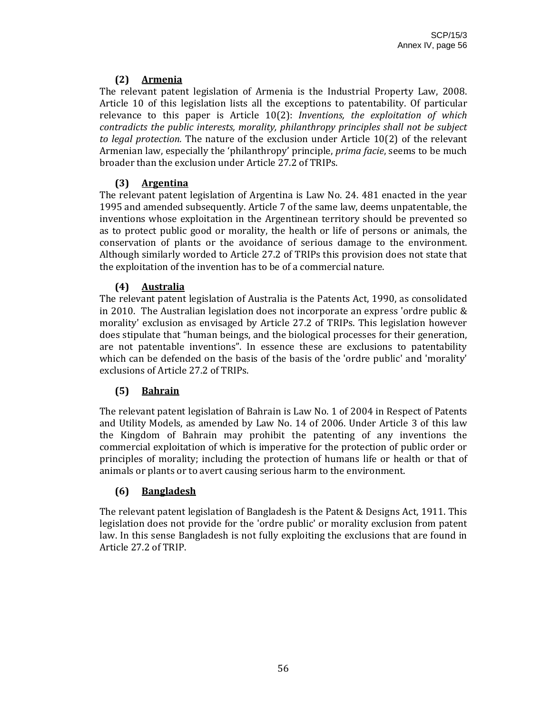# **(2) Armenia**

The relevant patent legislation of Armenia is the Industrial Property Law, 2008. Article 10 of this legislation lists all the exceptions to patentability. Of particular relevance to this paper is Article 10(2): *Inventions, the exploitation of which contradicts the public interests, morality, philanthropy principles shall not be subject to legal protection.* The nature of the exclusion under Article 10(2) of the relevant Armenian law, especially the 'philanthropy' principle, *prima facie*, seems to be much broader than the exclusion under Article 27.2 of TRIPs.

# **(3) Argentina**

The relevant patent legislation of Argentina is Law No. 24. 481 enacted in the year 1995 and amended subsequently. Article 7 of the same law, deems unpatentable, the inventions whose exploitation in the Argentinean territory should be prevented so as to protect public good or morality, the health or life of persons or animals, the conservation of plants or the avoidance of serious damage to the environment. Although similarly worded to Article 27.2 of TRIPs this provision does not state that the exploitation of the invention has to be of a commercial nature. 

# **(4) Australia**

The relevant patent legislation of Australia is the Patents Act, 1990, as consolidated in 2010. The Australian legislation does not incorporate an express 'ordre public & morality' exclusion as envisaged by Article 27.2 of TRIPs. This legislation however does stipulate that "human beings, and the biological processes for their generation, are not patentable inventions". In essence these are exclusions to patentability which can be defended on the basis of the basis of the 'ordre public' and 'morality' exclusions of Article 27.2 of TRIPs.

# **(5) Bahrain**

The relevant patent legislation of Bahrain is Law No. 1 of 2004 in Respect of Patents and Utility Models, as amended by Law No. 14 of 2006. Under Article 3 of this law the Kingdom of Bahrain may prohibit the patenting of any inventions the commercial exploitation of which is imperative for the protection of public order or principles of morality; including the protection of humans life or health or that of animals or plants or to avert causing serious harm to the environment.

# **(6) Bangladesh**

The relevant patent legislation of Bangladesh is the Patent & Designs Act, 1911. This legislation does not provide for the 'ordre public' or morality exclusion from patent law. In this sense Bangladesh is not fully exploiting the exclusions that are found in Article 27.2 of TRIP.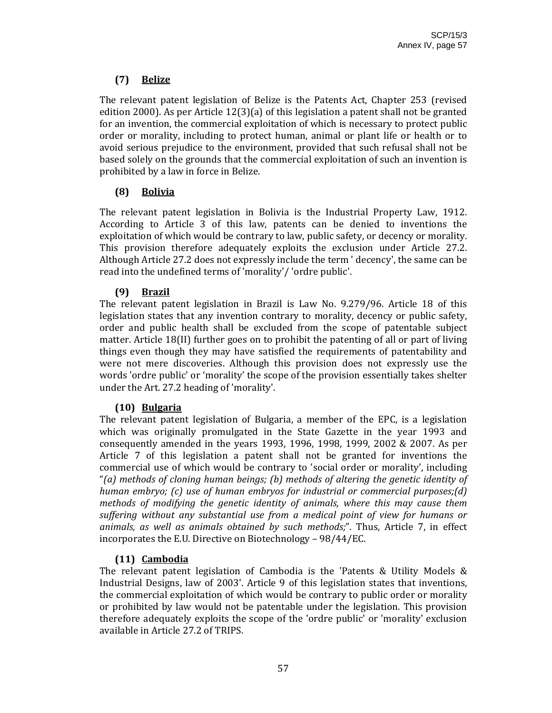# **(7) Belize**

The relevant patent legislation of Belize is the Patents Act, Chapter 253 (revised edition 2000). As per Article 12(3)(a) of this legislation a patent shall not be granted for an invention, the commercial exploitation of which is necessary to protect public order or morality, including to protect human, animal or plant life or health or to avoid serious prejudice to the environment, provided that such refusal shall not be based solely on the grounds that the commercial exploitation of such an invention is prohibited by a law in force in Belize.

# **(8) Bolivia**

The relevant patent legislation in Bolivia is the Industrial Property Law, 1912. According to Article 3 of this law, patents can be denied to inventions the exploitation of which would be contrary to law, public safety, or decency or morality. This provision therefore adequately exploits the exclusion under Article 27.2. Although Article 27.2 does not expressly include the term ' decency', the same can be read into the undefined terms of 'morality'/ 'ordre public'.

# **(9) Brazil**

The relevant patent legislation in Brazil is Law No. 9.279/96. Article 18 of this legislation states that any invention contrary to morality, decency or public safety, order and public health shall be excluded from the scope of patentable subject matter. Article 18(II) further goes on to prohibit the patenting of all or part of living things even though they may have satisfied the requirements of patentability and were not mere discoveries. Although this provision does not expressly use the words 'ordre public' or 'morality' the scope of the provision essentially takes shelter under the Art. 27.2 heading of 'morality'.

# **(10) Bulgaria**

The relevant patent legislation of Bulgaria, a member of the EPC, is a legislation which was originally promulgated in the State Gazette in the year 1993 and consequently amended in the years 1993, 1996, 1998, 1999, 2002 & 2007. As per Article 7 of this legislation a patent shall not be granted for inventions the commercial use of which would be contrary to 'social order or morality', including "*(a) methods of cloning human beings; (b) methods of altering the genetic identity of human embryo; (c) use of human embryos for industrial or commercial purposes;(d) methods of modifying the genetic identity of animals, where this may cause them suffering without any substantial use from a medical point of view for humans or animals, as well as animals obtained by such methods;*". Thus, Article 7, in effect incorporates the E.U. Directive on Biotechnology – 98/44/EC.

# **(11) Cambodia**

The relevant patent legislation of Cambodia is the 'Patents  $\&$  Utility Models  $\&$ Industrial Designs, law of 2003'. Article 9 of this legislation states that inventions, the commercial exploitation of which would be contrary to public order or morality or prohibited by law would not be patentable under the legislation. This provision therefore adequately exploits the scope of the 'ordre public' or 'morality' exclusion available in Article 27.2 of TRIPS.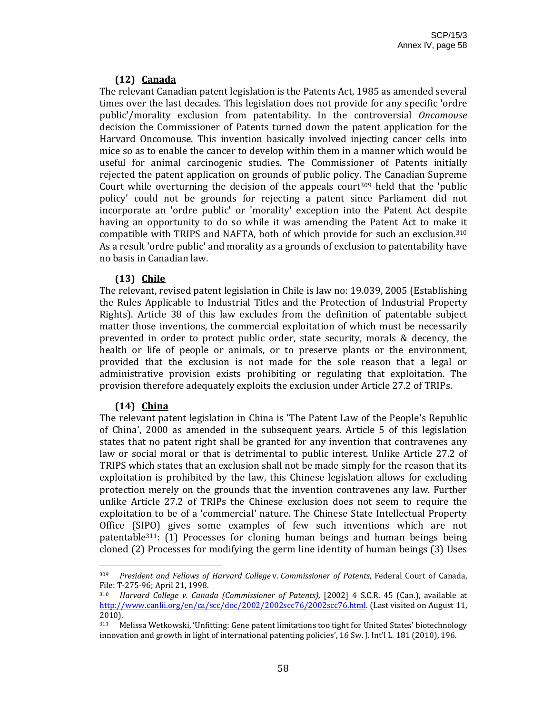## **(12) Canada**

The relevant Canadian patent legislation is the Patents Act, 1985 as amended several times over the last decades. This legislation does not provide for any specific 'ordre public'/morality exclusion from patentability. In the controversial *Oncomouse* decision the Commissioner of Patents turned down the patent application for the Harvard Oncomouse. This invention basically involved injecting cancer cells into mice so as to enable the cancer to develop within them in a manner which would be useful for animal carcinogenic studies. The Commissioner of Patents initially rejected the patent application on grounds of public policy. The Canadian Supreme Court while overturning the decision of the appeals court<sup>309</sup> held that the 'public policy' could not be grounds for rejecting a patent since Parliament did not incorporate an 'ordre public' or 'morality' exception into the Patent Act despite having an opportunity to do so while it was amending the Patent Act to make it compatible with TRIPS and NAFTA, both of which provide for such an exclusion.310 As a result 'ordre public' and morality as a grounds of exclusion to patentability have no basis in Canadian law.

## **(13) Chile**

The relevant, revised patent legislation in Chile is law no: 19.039, 2005 (Establishing the Rules Applicable to Industrial Titles and the Protection of Industrial Property Rights). Article 38 of this law excludes from the definition of patentable subject matter those inventions, the commercial exploitation of which must be necessarily prevented in order to protect public order, state security, morals & decency, the health or life of people or animals, or to preserve plants or the environment, provided that the exclusion is not made for the sole reason that a legal or administrative provision exists prohibiting or regulating that exploitation. The provision therefore adequately exploits the exclusion under Article 27.2 of TRIPs.

## **(14) China**

The relevant patent legislation in China is 'The Patent Law of the People's Republic of China', 2000 as amended in the subsequent years. Article 5 of this legislation states that no patent right shall be granted for any invention that contravenes any law or social moral or that is detrimental to public interest. Unlike Article 27.2 of TRIPS which states that an exclusion shall not be made simply for the reason that its exploitation is prohibited by the law, this Chinese legislation allows for excluding protection merely on the grounds that the invention contravenes any law. Further unlike Article 27.2 of TRIPs the Chinese exclusion does not seem to require the exploitation to be of a 'commercial' nature. The Chinese State Intellectual Property Office (SIPO) gives some examples of few such inventions which are not patentable311: (1) Processes for cloning human beings and human beings being cloned (2) Processes for modifying the germ line identity of human beings (3) Uses

<sup>309</sup> *President and Fellows of Harvard College* v. *Commissioner of Patents*, Federal Court of Canada, File: T‐275‐96; April 21, 1998.

<sup>310</sup> *Harvard College v. Canada (Commissioner of Patents)*, [2002] 4 S.C.R. 45 (Can.), available at http://www.canlii.org/en/ca/scc/doc/2002/2002scc76/2002scc76.html. (Last visited on August 11, 2010).

<sup>311</sup> Melissa Wetkowski, 'Unfitting: Gene patent limitations too tight for United States' biotechnology innovation and growth in light of international patenting policies', 16 Sw. J. Int'l L. 181 (2010), 196.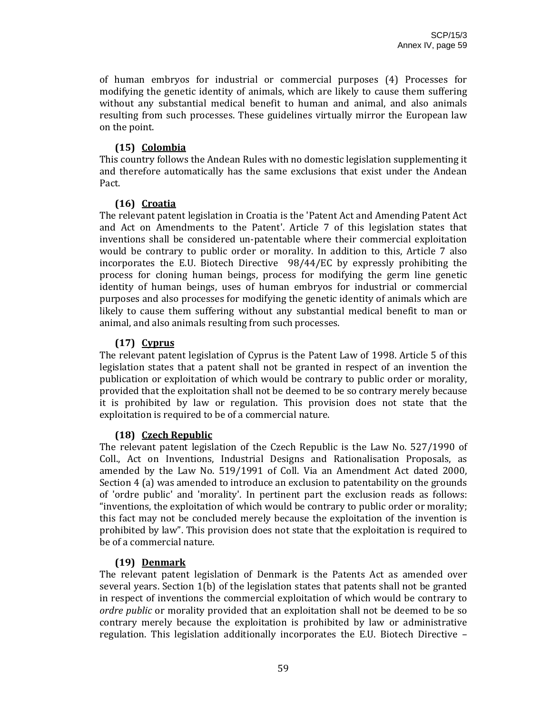of human embryos for industrial or commercial purposes (4) Processes for modifying the genetic identity of animals, which are likely to cause them suffering without any substantial medical benefit to human and animal, and also animals resulting from such processes. These guidelines virtually mirror the European law on the point.

#### **(15) Colombia**

This country follows the Andean Rules with no domestic legislation supplementing it and therefore automatically has the same exclusions that exist under the Andean Pact.

#### **(16) Croatia**

The relevant patent legislation in Croatia is the 'Patent Act and Amending Patent Act and Act on Amendments to the Patent'. Article 7 of this legislation states that inventions shall be considered un‐patentable where their commercial exploitation would be contrary to public order or morality. In addition to this, Article 7 also incorporates the E.U. Biotech Directive 98/44/EC by expressly prohibiting the process for cloning human beings, process for modifying the germ line genetic identity of human beings, uses of human embryos for industrial or commercial purposes and also processes for modifying the genetic identity of animals which are likely to cause them suffering without any substantial medical benefit to man or animal, and also animals resulting from such processes.

#### **(17) Cyprus**

The relevant patent legislation of Cyprus is the Patent Law of 1998. Article 5 of this legislation states that a patent shall not be granted in respect of an invention the publication or exploitation of which would be contrary to public order or morality, provided that the exploitation shall not be deemed to be so contrary merely because it is prohibited by law or regulation. This provision does not state that the exploitation is required to be of a commercial nature.

## **(18) Czech Republic**

The relevant patent legislation of the Czech Republic is the Law No. 527/1990 of Coll., Act on Inventions, Industrial Designs and Rationalisation Proposals, as amended by the Law No. 519/1991 of Coll. Via an Amendment Act dated 2000, Section 4 (a) was amended to introduce an exclusion to patentability on the grounds of 'ordre public' and 'morality'. In pertinent part the exclusion reads as follows: "inventions, the exploitation of which would be contrary to public order or morality; this fact may not be concluded merely because the exploitation of the invention is prohibited by law". This provision does not state that the exploitation is required to be of a commercial nature.

## **(19) Denmark**

The relevant patent legislation of Denmark is the Patents Act as amended over several years. Section 1(b) of the legislation states that patents shall not be granted in respect of inventions the commercial exploitation of which would be contrary to *ordre public* or morality provided that an exploitation shall not be deemed to be so contrary merely because the exploitation is prohibited by law or administrative regulation. This legislation additionally incorporates the E.U. Biotech Directive –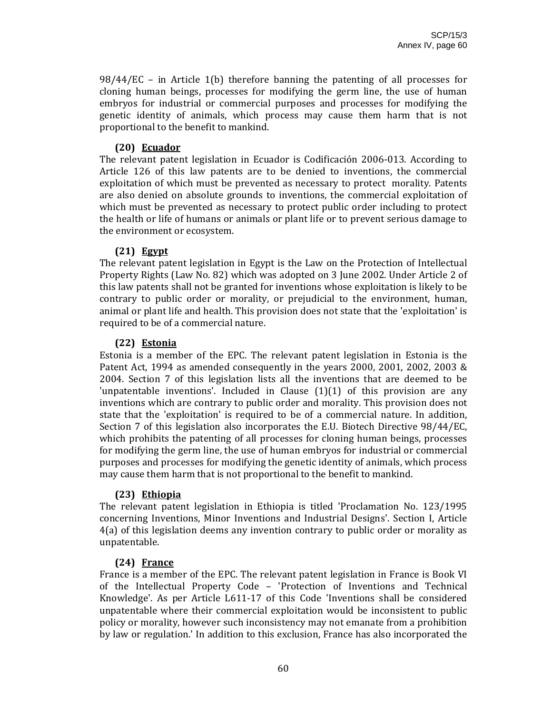$98/44/EC$  – in Article 1(b) therefore banning the patenting of all processes for cloning human beings, processes for modifying the germ line, the use of human embryos for industrial or commercial purposes and processes for modifying the genetic identity of animals, which process may cause them harm that is not proportional to the benefit to mankind.

#### **(20) Ecuador**

The relevant patent legislation in Ecuador is Codificación 2006‐013. According to Article 126 of this law patents are to be denied to inventions, the commercial exploitation of which must be prevented as necessary to protect morality. Patents are also denied on absolute grounds to inventions, the commercial exploitation of which must be prevented as necessary to protect public order including to protect the health or life of humans or animals or plant life or to prevent serious damage to the environment or ecosystem.

#### **(21) Egypt**

The relevant patent legislation in Egypt is the Law on the Protection of Intellectual Property Rights (Law No. 82) which was adopted on 3 June 2002. Under Article 2 of this law patents shall not be granted for inventions whose exploitation is likely to be contrary to public order or morality, or prejudicial to the environment, human, animal or plant life and health. This provision does not state that the 'exploitation' is required to be of a commercial nature.

#### **(22) Estonia**

Estonia is a member of the EPC. The relevant patent legislation in Estonia is the Patent Act, 1994 as amended consequently in the years 2000, 2001, 2002, 2003  $\&$ 2004. Section 7 of this legislation lists all the inventions that are deemed to be 'unpatentable inventions'. Included in Clause  $(1)(1)$  of this provision are any inventions which are contrary to public order and morality. This provision does not state that the 'exploitation' is required to be of a commercial nature. In addition, Section 7 of this legislation also incorporates the E.U. Biotech Directive 98/44/EC, which prohibits the patenting of all processes for cloning human beings, processes for modifying the germ line, the use of human embryos for industrial or commercial purposes and processes for modifying the genetic identity of animals, which process may cause them harm that is not proportional to the benefit to mankind.

## **(23) Ethiopia**

The relevant patent legislation in Ethiopia is titled 'Proclamation No. 123/1995 concerning Inventions, Minor Inventions and Industrial Designs'. Section I, Article 4(a) of this legislation deems any invention contrary to public order or morality as unpatentable.

#### **(24) France**

France is a member of the EPC. The relevant patent legislation in France is Book VI of the Intellectual Property Code – 'Protection of Inventions and Technical Knowledge'. As per Article L611-17 of this Code 'Inventions shall be considered unpatentable where their commercial exploitation would be inconsistent to public policy or morality, however such inconsistency may not emanate from a prohibition by law or regulation.' In addition to this exclusion, France has also incorporated the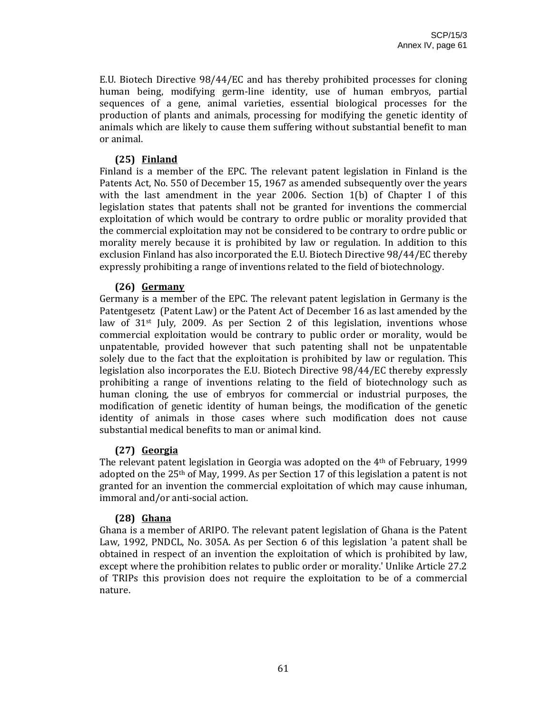E.U. Biotech Directive 98/44/EC and has thereby prohibited processes for cloning human being, modifying germ‐line identity, use of human embryos, partial sequences of a gene, animal varieties, essential biological processes for the production of plants and animals, processing for modifying the genetic identity of animals which are likely to cause them suffering without substantial benefit to man or animal.

#### **(25) Finland**

Finland is a member of the EPC. The relevant patent legislation in Finland is the Patents Act, No. 550 of December 15, 1967 as amended subsequently over the years with the last amendment in the year 2006. Section  $1(b)$  of Chapter I of this legislation states that patents shall not be granted for inventions the commercial exploitation of which would be contrary to ordre public or morality provided that the commercial exploitation may not be considered to be contrary to ordre public or morality merely because it is prohibited by law or regulation. In addition to this exclusion Finland has also incorporated the E.U. Biotech Directive 98/44/EC thereby expressly prohibiting a range of inventions related to the field of biotechnology.

#### **(26) Germany**

Germany is a member of the EPC. The relevant patent legislation in Germany is the Patentgesetz (Patent Law) or the Patent Act of December 16 as last amended by the law of  $31<sup>st</sup>$  July, 2009. As per Section 2 of this legislation, inventions whose commercial exploitation would be contrary to public order or morality, would be unpatentable, provided however that such patenting shall not be unpatentable solely due to the fact that the exploitation is prohibited by law or regulation. This legislation also incorporates the E.U. Biotech Directive 98/44/EC thereby expressly prohibiting a range of inventions relating to the field of biotechnology such as human cloning, the use of embryos for commercial or industrial purposes, the modification of genetic identity of human beings, the modification of the genetic identity of animals in those cases where such modification does not cause substantial medical benefits to man or animal kind.

#### **(27) Georgia**

The relevant patent legislation in Georgia was adopted on the 4th of February, 1999 adopted on the  $25<sup>th</sup>$  of May, 1999. As per Section 17 of this legislation a patent is not granted for an invention the commercial exploitation of which may cause inhuman, immoral and/or anti‐social action.

#### **(28) Ghana**

Ghana is a member of ARIPO. The relevant patent legislation of Ghana is the Patent Law, 1992, PNDCL, No. 305A. As per Section 6 of this legislation 'a patent shall be obtained in respect of an invention the exploitation of which is prohibited by law, except where the prohibition relates to public order or morality.' Unlike Article 27.2 of TRIPs this provision does not require the exploitation to be of a commercial nature.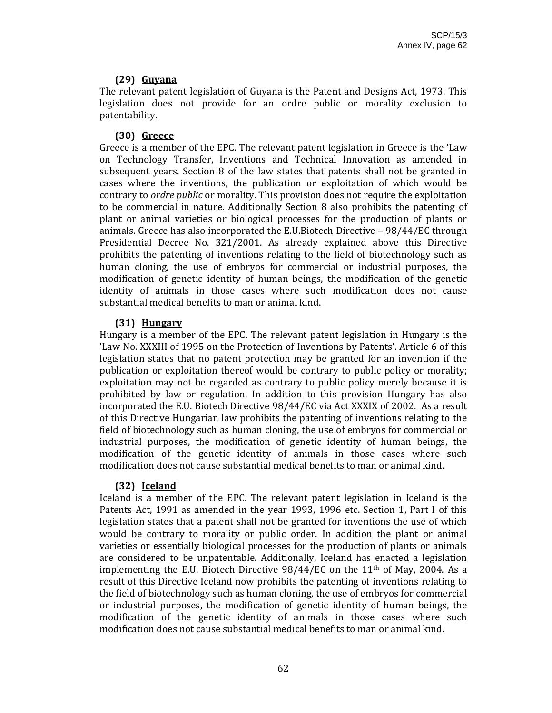## **(29) Guyana**

The relevant patent legislation of Guyana is the Patent and Designs Act, 1973. This legislation does not provide for an ordre public or morality exclusion to patentability.

## **(30) Greece**

Greece is a member of the EPC. The relevant patent legislation in Greece is the 'Law on Technology Transfer, Inventions and Technical Innovation as amended in subsequent years. Section 8 of the law states that patents shall not be granted in cases where the inventions, the publication or exploitation of which would be contrary to *ordre public* or morality. This provision does not require the exploitation to be commercial in nature. Additionally Section 8 also prohibits the patenting of plant or animal varieties or biological processes for the production of plants or animals. Greece has also incorporated the E.U.Biotech Directive – 98/44/EC through Presidential Decree No. 321/2001. As already explained above this Directive prohibits the patenting of inventions relating to the field of biotechnology such as human cloning, the use of embryos for commercial or industrial purposes, the modification of genetic identity of human beings, the modification of the genetic identity of animals in those cases where such modification does not cause substantial medical benefits to man or animal kind.

## **(31) Hungary**

Hungary is a member of the EPC. The relevant patent legislation in Hungary is the 'Law No. XXXIII of 1995 on the Protection of Inventions by Patents'. Article 6 of this legislation states that no patent protection may be granted for an invention if the publication or exploitation thereof would be contrary to public policy or morality; exploitation may not be regarded as contrary to public policy merely because it is prohibited by law or regulation. In addition to this provision Hungary has also incorporated the E.U. Biotech Directive 98/44/EC via Act XXXIX of 2002. As a result of this Directive Hungarian law prohibits the patenting of inventions relating to the field of biotechnology such as human cloning, the use of embryos for commercial or industrial purposes, the modification of genetic identity of human beings, the modification of the genetic identity of animals in those cases where such modification does not cause substantial medical benefits to man or animal kind.

# **(32) Iceland**

Iceland is a member of the EPC. The relevant patent legislation in Iceland is the Patents Act, 1991 as amended in the year 1993, 1996 etc. Section 1, Part I of this legislation states that a patent shall not be granted for inventions the use of which would be contrary to morality or public order. In addition the plant or animal varieties or essentially biological processes for the production of plants or animals are considered to be unpatentable. Additionally, Iceland has enacted a legislation implementing the E.U. Biotech Directive  $98/44/EC$  on the  $11<sup>th</sup>$  of May, 2004. As a result of this Directive Iceland now prohibits the patenting of inventions relating to the field of biotechnology such as human cloning, the use of embryos for commercial or industrial purposes, the modification of genetic identity of human beings, the modification of the genetic identity of animals in those cases where such modification does not cause substantial medical benefits to man or animal kind.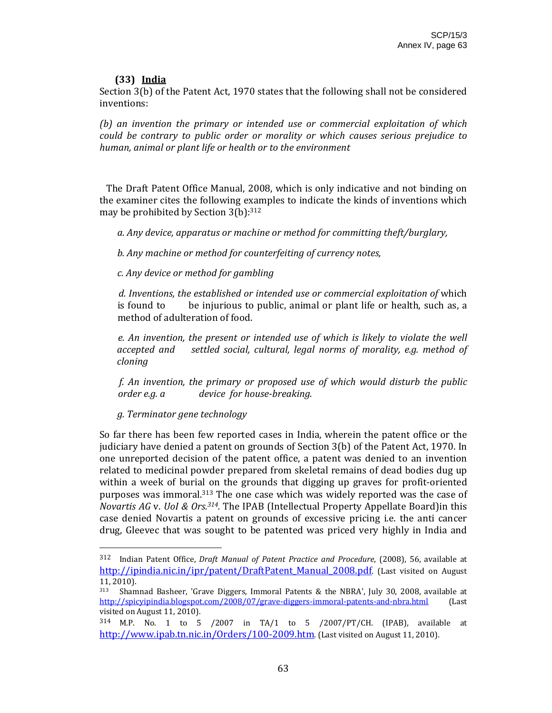## **(33) India**

Section 3(b) of the Patent Act, 1970 states that the following shall not be considered inventions:

*(b) an invention the primary or intended use or commercial exploitation of which could be contrary to public order or morality or which causes serious prejudice to human, animal or plant life or health or to the environment*

 The Draft Patent Office Manual, 2008, which is only indicative and not binding on the examiner cites the following examples to indicate the kinds of inventions which may be prohibited by Section 3(b): 312

 *a. Any device, apparatus or machine or method for committing theft/burglary,*

 *b. Any machine or method for counterfeiting of currency notes,*

 *c. Any device or method for gambling*

*d. Inventions, the established or intended use or commercial exploitation of* which is found to be injurious to public, animal or plant life or health, such as, a method of adulteration of food.

*e. An invention, the present or intended use of which is likely to violate the well accepted and settled social, cultural, legal norms of morality, e.g. method of cloning*

*f. An invention, the primary or proposed use of which would disturb the public order e.g. a device for housebreaking.*

 *g. Terminator gene technology* 

So far there has been few reported cases in India, wherein the patent office or the judiciary have denied a patent on grounds of Section 3(b) of the Patent Act, 1970. In one unreported decision of the patent office, a patent was denied to an invention related to medicinal powder prepared from skeletal remains of dead bodies dug up within a week of burial on the grounds that digging up graves for profit-oriented purposes was immoral.313 The one case which was widely reported was the case of *Novartis AG* v. *UoI & Ors.314.* The IPAB (Intellectual Property Appellate Board)in this case denied Novartis a patent on grounds of excessive pricing i.e. the anti cancer drug, Gleevec that was sought to be patented was priced very highly in India and

<sup>312</sup> Indian Patent Office, *Draft Manual of Patent Practice and Procedure*, (2008), 56, available at http://ipindia.nic.in/ipr/patent/DraftPatent\_Manual\_2008.pdf. (Last visited on August 11, 2010).

<sup>313</sup> Shamnad Basheer, 'Grave Diggers, Immoral Patents & the NBRA', July 30, 2008, available at http://spicyipindia.blogspot.com/2008/07/grave-diggers-immoral-patents-and-nbra.html (Last visited on August 11, 2010).

<sup>314</sup> M.P. No. 1 to 5 /2007 in TA/1 to 5 /2007/PT/CH. (IPAB), available at http://www.ipab.tn.nic.in/Orders/100-2009.htm. (Last visited on August 11, 2010).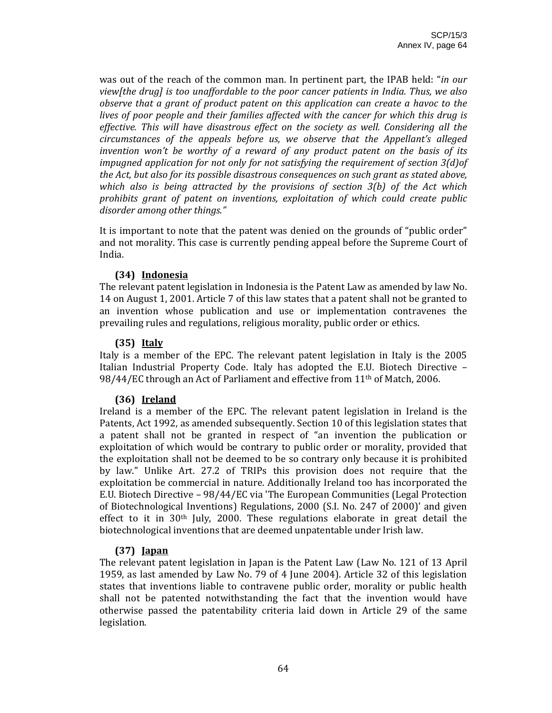was out of the reach of the common man. In pertinent part, the IPAB held: "*in our view[the drug] is too unaffordable to the poor cancer patients in India. Thus, we also observe that a grant of product patent on this application can create a havoc to the lives of poor people and their families affected with the cancer for which this drug is effective. This will have disastrous effect on the society as well. Considering all the circumstances of the appeals before us, we observe that the Appellant's alleged invention won't be worthy of a reward of any product patent on the basis of its impugned application for not only for not satisfying the requirement of section 3(d)of the Act, but also for its possible disastrous consequences on such grant as stated above, which also is being attracted by the provisions of section 3(b) of the Act which prohibits grant of patent on inventions, exploitation of which could create public disorder among other things."*

It is important to note that the patent was denied on the grounds of "public order" and not morality. This case is currently pending appeal before the Supreme Court of India.

## **(34) Indonesia**

The relevant patent legislation in Indonesia is the Patent Law as amended by law No. 14 on August 1, 2001. Article 7 of this law states that a patent shall not be granted to an invention whose publication and use or implementation contravenes the prevailing rules and regulations, religious morality, public order or ethics.

## **(35) Italy**

Italy is a member of the EPC. The relevant patent legislation in Italy is the 2005 Italian Industrial Property Code. Italy has adopted the E.U. Biotech Directive – 98/44/EC through an Act of Parliament and effective from 11th of Match, 2006.

# **(36) Ireland**

Ireland is a member of the EPC. The relevant patent legislation in Ireland is the Patents, Act 1992, as amended subsequently. Section 10 of this legislation states that a patent shall not be granted in respect of "an invention the publication or exploitation of which would be contrary to public order or morality, provided that the exploitation shall not be deemed to be so contrary only because it is prohibited by law." Unlike Art. 27.2 of TRIPs this provision does not require that the exploitation be commercial in nature. Additionally Ireland too has incorporated the E.U. Biotech Directive – 98/44/EC via 'The European Communities (Legal Protection of Biotechnological Inventions) Regulations, 2000 (S.I. No. 247 of 2000)' and given effect to it in  $30<sup>th</sup>$  July, 2000. These regulations elaborate in great detail the biotechnological inventions that are deemed unpatentable under Irish law.

# **(37) Japan**

The relevant patent legislation in Japan is the Patent Law (Law No. 121 of 13 April 1959, as last amended by Law No. 79 of 4 June 2004). Article 32 of this legislation states that inventions liable to contravene public order, morality or public health shall not be patented notwithstanding the fact that the invention would have otherwise passed the patentability criteria laid down in Article 29 of the same legislation.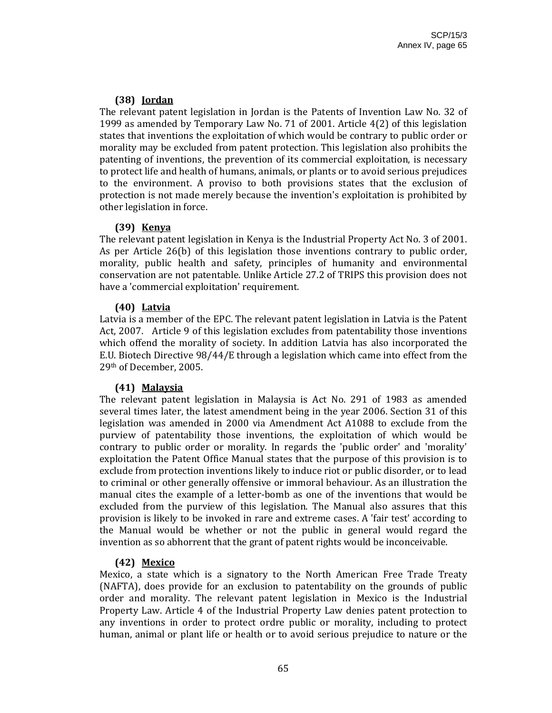## **(38) Jordan**

The relevant patent legislation in Jordan is the Patents of Invention Law No. 32 of 1999 as amended by Temporary Law No. 71 of 2001. Article 4(2) of this legislation states that inventions the exploitation of which would be contrary to public order or morality may be excluded from patent protection. This legislation also prohibits the patenting of inventions, the prevention of its commercial exploitation, is necessary to protect life and health of humans, animals, or plants or to avoid serious prejudices to the environment. A proviso to both provisions states that the exclusion of protection is not made merely because the invention's exploitation is prohibited by other legislation in force.

## **(39) Kenya**

The relevant patent legislation in Kenya is the Industrial Property Act No. 3 of 2001. As per Article 26(b) of this legislation those inventions contrary to public order, morality, public health and safety, principles of humanity and environmental conservation are not patentable. Unlike Article 27.2 of TRIPS this provision does not have a 'commercial exploitation' requirement.

## **(40) Latvia**

Latvia is a member of the EPC. The relevant patent legislation in Latvia is the Patent Act, 2007. Article 9 of this legislation excludes from patentability those inventions which offend the morality of society. In addition Latvia has also incorporated the E.U. Biotech Directive 98/44/E through a legislation which came into effect from the 29th of December, 2005.

## **(41) Malaysia**

The relevant patent legislation in Malaysia is Act No. 291 of 1983 as amended several times later, the latest amendment being in the year 2006. Section 31 of this legislation was amended in 2000 via Amendment Act A1088 to exclude from the purview of patentability those inventions, the exploitation of which would be contrary to public order or morality. In regards the 'public order' and 'morality' exploitation the Patent Office Manual states that the purpose of this provision is to exclude from protection inventions likely to induce riot or public disorder, or to lead to criminal or other generally offensive or immoral behaviour. As an illustration the manual cites the example of a letter-bomb as one of the inventions that would be excluded from the purview of this legislation. The Manual also assures that this provision is likely to be invoked in rare and extreme cases. A 'fair test' according to the Manual would be whether or not the public in general would regard the invention as so abhorrent that the grant of patent rights would be inconceivable.

# **(42) Mexico**

Mexico, a state which is a signatory to the North American Free Trade Treaty (NAFTA), does provide for an exclusion to patentability on the grounds of public order and morality. The relevant patent legislation in Mexico is the Industrial Property Law. Article 4 of the Industrial Property Law denies patent protection to any inventions in order to protect ordre public or morality, including to protect human, animal or plant life or health or to avoid serious prejudice to nature or the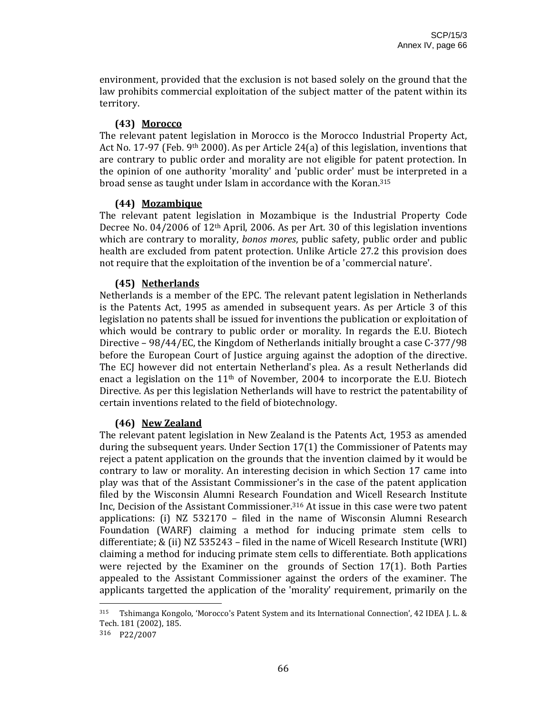environment, provided that the exclusion is not based solely on the ground that the law prohibits commercial exploitation of the subject matter of the patent within its territory.

## **(43) Morocco**

The relevant patent legislation in Morocco is the Morocco Industrial Property Act, Act No. 17-97 (Feb. 9<sup>th</sup> 2000). As per Article 24(a) of this legislation, inventions that are contrary to public order and morality are not eligible for patent protection. In the opinion of one authority 'morality' and 'public order' must be interpreted in a broad sense as taught under Islam in accordance with the Koran.315

#### **(44) Mozambique**

The relevant patent legislation in Mozambique is the Industrial Property Code Decree No.  $04/2006$  of  $12<sup>th</sup>$  April, 2006. As per Art. 30 of this legislation inventions which are contrary to morality, *bonos mores*, public safety, public order and public health are excluded from patent protection. Unlike Article 27.2 this provision does not require that the exploitation of the invention be of a 'commercial nature'.

#### **(45) Netherlands**

Netherlands is a member of the EPC. The relevant patent legislation in Netherlands is the Patents Act, 1995 as amended in subsequent years. As per Article 3 of this legislation no patents shall be issued for inventions the publication or exploitation of which would be contrary to public order or morality. In regards the E.U. Biotech Directive – 98/44/EC, the Kingdom of Netherlands initially brought a case C‐377/98 before the European Court of Justice arguing against the adoption of the directive. The ECJ however did not entertain Netherland's plea. As a result Netherlands did enact a legislation on the  $11<sup>th</sup>$  of November, 2004 to incorporate the E.U. Biotech Directive. As per this legislation Netherlands will have to restrict the patentability of certain inventions related to the field of biotechnology.

## **(46) New Zealand**

The relevant patent legislation in New Zealand is the Patents Act, 1953 as amended during the subsequent years. Under Section 17(1) the Commissioner of Patents may reject a patent application on the grounds that the invention claimed by it would be contrary to law or morality. An interesting decision in which Section 17 came into play was that of the Assistant Commissioner's in the case of the patent application filed by the Wisconsin Alumni Research Foundation and Wicell Research Institute Inc, Decision of the Assistant Commissioner.316 At issue in this case were two patent applications: (i) NZ 532170 – filed in the name of Wisconsin Alumni Research Foundation (WARF) claiming a method for inducing primate stem cells to differentiate; & (ii) NZ 535243 – filed in the name of Wicell Research Institute (WRI) claiming a method for inducing primate stem cells to differentiate. Both applications were rejected by the Examiner on the grounds of Section 17(1). Both Parties appealed to the Assistant Commissioner against the orders of the examiner. The applicants targetted the application of the 'morality' requirement, primarily on the

315 Tshimanga Kongolo, 'Morocco's Patent System and its International Connection', 42 IDEA J. L. & Tech. 181 (2002), 185.

316 P22/2007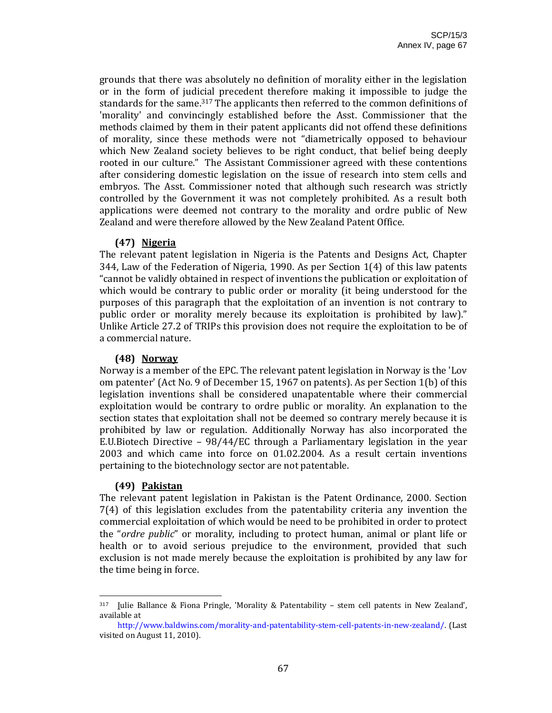grounds that there was absolutely no definition of morality either in the legislation or in the form of judicial precedent therefore making it impossible to judge the standards for the same.<sup>317</sup> The applicants then referred to the common definitions of 'morality' and convincingly established before the Asst. Commissioner that the methods claimed by them in their patent applicants did not offend these definitions of morality, since these methods were not "diametrically opposed to behaviour which New Zealand society believes to be right conduct, that belief being deeply rooted in our culture." The Assistant Commissioner agreed with these contentions after considering domestic legislation on the issue of research into stem cells and embryos. The Asst. Commissioner noted that although such research was strictly controlled by the Government it was not completely prohibited. As a result both applications were deemed not contrary to the morality and ordre public of New Zealand and were therefore allowed by the New Zealand Patent Office.

#### **(47) Nigeria**

The relevant patent legislation in Nigeria is the Patents and Designs Act, Chapter 344, Law of the Federation of Nigeria, 1990. As per Section 1(4) of this law patents "cannot be validly obtained in respect of inventions the publication or exploitation of which would be contrary to public order or morality (it being understood for the purposes of this paragraph that the exploitation of an invention is not contrary to public order or morality merely because its exploitation is prohibited by law)." Unlike Article 27.2 of TRIPs this provision does not require the exploitation to be of a commercial nature.

#### **(48) Norway**

Norway is a member of the EPC. The relevant patent legislation in Norway is the 'Lov om patenter' (Act No. 9 of December 15, 1967 on patents). As per Section 1(b) of this legislation inventions shall be considered unapatentable where their commercial exploitation would be contrary to ordre public or morality. An explanation to the section states that exploitation shall not be deemed so contrary merely because it is prohibited by law or regulation. Additionally Norway has also incorporated the E.U.Biotech Directive – 98/44/EC through a Parliamentary legislation in the year 2003 and which came into force on 01.02.2004. As a result certain inventions pertaining to the biotechnology sector are not patentable.

## **(49) Pakistan**

The relevant patent legislation in Pakistan is the Patent Ordinance, 2000. Section 7(4) of this legislation excludes from the patentability criteria any invention the commercial exploitation of which would be need to be prohibited in order to protect the "*ordre public*" or morality, including to protect human, animal or plant life or health or to avoid serious prejudice to the environment, provided that such exclusion is not made merely because the exploitation is prohibited by any law for the time being in force.

 $317$  Julie Ballance & Fiona Pringle, 'Morality & Patentability – stem cell patents in New Zealand', available at

http://www.baldwins.com/morality‐and‐patentability‐stem‐cell‐patents‐in‐new‐zealand/. (Last visited on August 11, 2010).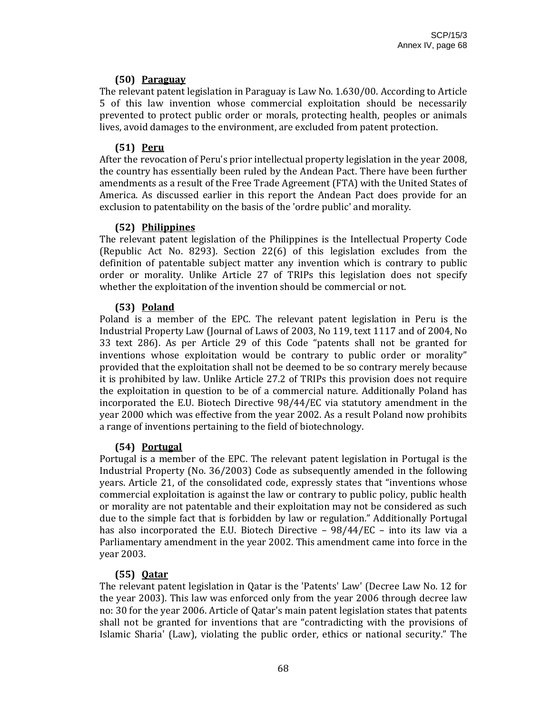## **(50) Paraguay**

The relevant patent legislation in Paraguay is Law No. 1.630/00. According to Article 5 of this law invention whose commercial exploitation should be necessarily prevented to protect public order or morals, protecting health, peoples or animals lives, avoid damages to the environment, are excluded from patent protection.

## **(51) Peru**

After the revocation of Peru's prior intellectual property legislation in the year 2008, the country has essentially been ruled by the Andean Pact. There have been further amendments as a result of the Free Trade Agreement (FTA) with the United States of America. As discussed earlier in this report the Andean Pact does provide for an exclusion to patentability on the basis of the 'ordre public' and morality.

## **(52) Philippines**

The relevant patent legislation of the Philippines is the Intellectual Property Code (Republic Act No. 8293). Section 22(6) of this legislation excludes from the definition of patentable subject matter any invention which is contrary to public order or morality. Unlike Article 27 of TRIPs this legislation does not specify whether the exploitation of the invention should be commercial or not.

# **(53) Poland**

Poland is a member of the EPC. The relevant patent legislation in Peru is the Industrial Property Law (Journal of Laws of 2003, No 119, text 1117 and of 2004, No 33 text 286). As per Article 29 of this Code "patents shall not be granted for inventions whose exploitation would be contrary to public order or morality" provided that the exploitation shall not be deemed to be so contrary merely because it is prohibited by law. Unlike Article 27.2 of TRIPs this provision does not require the exploitation in question to be of a commercial nature. Additionally Poland has incorporated the E.U. Biotech Directive 98/44/EC via statutory amendment in the year 2000 which was effective from the year 2002. As a result Poland now prohibits a range of inventions pertaining to the field of biotechnology.

## **(54) Portugal**

Portugal is a member of the EPC. The relevant patent legislation in Portugal is the Industrial Property (No. 36/2003) Code as subsequently amended in the following years. Article 21, of the consolidated code, expressly states that "inventions whose commercial exploitation is against the law or contrary to public policy, public health or morality are not patentable and their exploitation may not be considered as such due to the simple fact that is forbidden by law or regulation." Additionally Portugal has also incorporated the E.U. Biotech Directive  $-98/44/EC$  – into its law via a Parliamentary amendment in the year 2002. This amendment came into force in the year 2003.

# **(55) Qatar**

The relevant patent legislation in Qatar is the 'Patents' Law' (Decree Law No. 12 for the year 2003). This law was enforced only from the year 2006 through decree law no: 30 for the year 2006. Article of Qatar's main patent legislation states that patents shall not be granted for inventions that are "contradicting with the provisions of Islamic Sharia' (Law), violating the public order, ethics or national security." The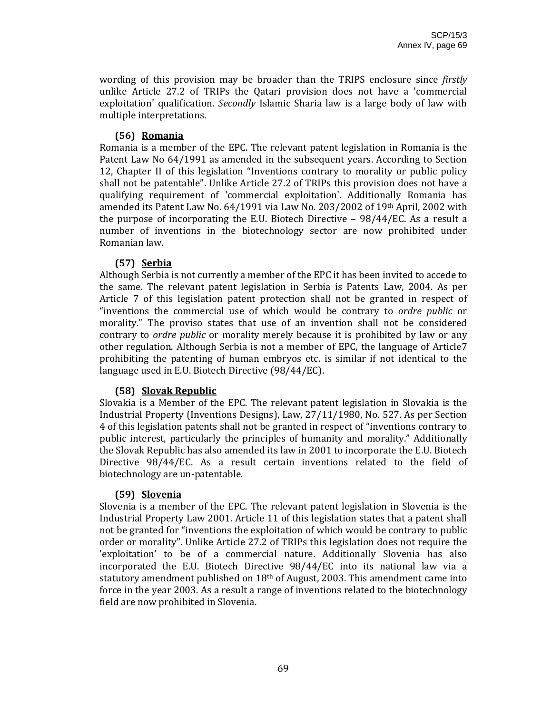wording of this provision may be broader than the TRIPS enclosure since *firstly* unlike Article 27.2 of TRIPs the Qatari provision does not have a 'commercial exploitation' qualification. *Secondly* Islamic Sharia law is a large body of law with multiple interpretations.

#### **(56) Romania**

Romania is a member of the EPC. The relevant patent legislation in Romania is the Patent Law No 64/1991 as amended in the subsequent years. According to Section 12, Chapter II of this legislation "Inventions contrary to morality or public policy shall not be patentable". Unlike Article 27.2 of TRIPs this provision does not have a qualifying requirement of 'commercial exploitation'. Additionally Romania has amended its Patent Law No. 64/1991 via Law No. 203/2002 of 19th April, 2002 with the purpose of incorporating the E.U. Biotech Directive  $-98/44/EC$ . As a result a number of inventions in the biotechnology sector are now prohibited under Romanian law.

## **(57) Serbia**

Although Serbia is not currently a member of the EPC it has been invited to accede to the same. The relevant patent legislation in Serbia is Patents Law, 2004. As per Article 7 of this legislation patent protection shall not be granted in respect of "inventions the commercial use of which would be contrary to *ordre public* or morality." The proviso states that use of an invention shall not be considered contrary to *ordre public* or morality merely because it is prohibited by law or any other regulation. Although Serbia is not a member of EPC, the language of Article7 prohibiting the patenting of human embryos etc. is similar if not identical to the language used in E.U. Biotech Directive (98/44/EC).

## **(58) Slovak Republic**

Slovakia is a Member of the EPC. The relevant patent legislation in Slovakia is the Industrial Property (Inventions Designs), Law, 27/11/1980, No. 527. As per Section 4 of this legislation patents shall not be granted in respect of "inventions contrary to public interest, particularly the principles of humanity and morality." Additionally the Slovak Republic has also amended its law in 2001 to incorporate the E.U. Biotech Directive 98/44/EC. As a result certain inventions related to the field of biotechnology are un‐patentable.

## **(59) Slovenia**

Slovenia is a member of the EPC. The relevant patent legislation in Slovenia is the Industrial Property Law 2001. Article 11 of this legislation states that a patent shall not be granted for "inventions the exploitation of which would be contrary to public order or morality". Unlike Article 27.2 of TRIPs this legislation does not require the 'exploitation' to be of a commercial nature. Additionally Slovenia has also incorporated the E.U. Biotech Directive 98/44/EC into its national law via a statutory amendment published on 18th of August, 2003. This amendment came into force in the year 2003. As a result a range of inventions related to the biotechnology field are now prohibited in Slovenia.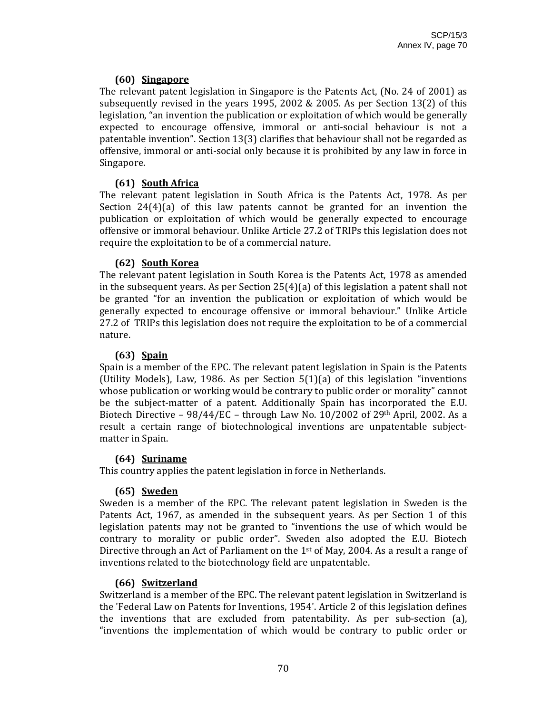## **(60) Singapore**

The relevant patent legislation in Singapore is the Patents Act, (No. 24 of 2001) as subsequently revised in the years 1995, 2002 & 2005. As per Section 13(2) of this legislation, "an invention the publication or exploitation of which would be generally expected to encourage offensive, immoral or anti-social behaviour is not a patentable invention". Section 13(3) clarifies that behaviour shall not be regarded as offensive, immoral or anti‐social only because it is prohibited by any law in force in Singapore.

# **(61) South Africa**

The relevant patent legislation in South Africa is the Patents Act, 1978. As per Section  $24(4)(a)$  of this law patents cannot be granted for an invention the publication or exploitation of which would be generally expected to encourage offensive or immoral behaviour. Unlike Article 27.2 of TRIPs this legislation does not require the exploitation to be of a commercial nature.

## **(62) South Korea**

The relevant patent legislation in South Korea is the Patents Act, 1978 as amended in the subsequent years. As per Section 25(4)(a) of this legislation a patent shall not be granted "for an invention the publication or exploitation of which would be generally expected to encourage offensive or immoral behaviour." Unlike Article 27.2 of TRIPs this legislation does not require the exploitation to be of a commercial nature.

## **(63) Spain**

Spain is a member of the EPC. The relevant patent legislation in Spain is the Patents (Utility Models), Law, 1986. As per Section  $5(1)(a)$  of this legislation "inventions" whose publication or working would be contrary to public order or morality" cannot be the subject-matter of a patent. Additionally Spain has incorporated the E.U. Biotech Directive –  $98/44/EC$  – through Law No. 10/2002 of 29<sup>th</sup> April, 2002. As a result a certain range of biotechnological inventions are unpatentable subjectmatter in Spain.

# **(64) Suriname**

This country applies the patent legislation in force in Netherlands.

# **(65) Sweden**

Sweden is a member of the EPC. The relevant patent legislation in Sweden is the Patents Act, 1967, as amended in the subsequent years. As per Section 1 of this legislation patents may not be granted to "inventions the use of which would be contrary to morality or public order". Sweden also adopted the E.U. Biotech Directive through an Act of Parliament on the 1st of May, 2004. As a result a range of inventions related to the biotechnology field are unpatentable.

## **(66) Switzerland**

Switzerland is a member of the EPC. The relevant patent legislation in Switzerland is the 'Federal Law on Patents for Inventions, 1954'. Article 2 of this legislation defines the inventions that are excluded from patentability. As per sub‐section (a), "inventions the implementation of which would be contrary to public order or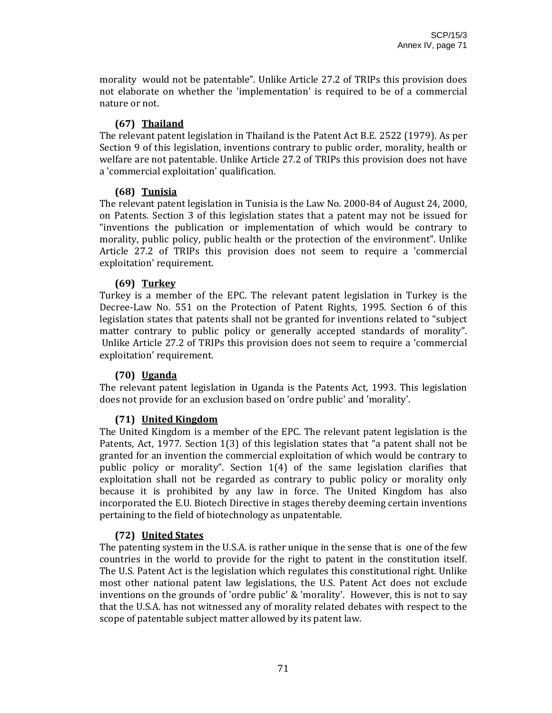morality would not be patentable". Unlike Article 27.2 of TRIPs this provision does not elaborate on whether the 'implementation' is required to be of a commercial nature or not.

## **(67) Thailand**

The relevant patent legislation in Thailand is the Patent Act B.E. 2522 (1979). As per Section 9 of this legislation, inventions contrary to public order, morality, health or welfare are not patentable. Unlike Article 27.2 of TRIPs this provision does not have a 'commercial exploitation' qualification.

## **(68) Tunisia**

The relevant patent legislation in Tunisia is the Law No. 2000‐84 of August 24, 2000, on Patents. Section 3 of this legislation states that a patent may not be issued for "inventions the publication or implementation of which would be contrary to morality, public policy, public health or the protection of the environment". Unlike Article 27.2 of TRIPs this provision does not seem to require a 'commercial exploitation' requirement.

## **(69) Turkey**

Turkey is a member of the EPC. The relevant patent legislation in Turkey is the Decree-Law No. 551 on the Protection of Patent Rights, 1995. Section 6 of this legislation states that patents shall not be granted for inventions related to "subject matter contrary to public policy or generally accepted standards of morality". Unlike Article 27.2 of TRIPs this provision does not seem to require a 'commercial exploitation' requirement.

# **(70) Uganda**

The relevant patent legislation in Uganda is the Patents Act, 1993. This legislation does not provide for an exclusion based on 'ordre public' and 'morality'.

# **(71) United Kingdom**

The United Kingdom is a member of the EPC. The relevant patent legislation is the Patents, Act, 1977. Section 1(3) of this legislation states that "a patent shall not be granted for an invention the commercial exploitation of which would be contrary to public policy or morality". Section  $1(4)$  of the same legislation clarifies that exploitation shall not be regarded as contrary to public policy or morality only because it is prohibited by any law in force. The United Kingdom has also incorporated the E.U. Biotech Directive in stages thereby deeming certain inventions pertaining to the field of biotechnology as unpatentable.

# **(72) United States**

The patenting system in the U.S.A. is rather unique in the sense that is one of the few countries in the world to provide for the right to patent in the constitution itself. The U.S. Patent Act is the legislation which regulates this constitutional right. Unlike most other national patent law legislations, the U.S. Patent Act does not exclude inventions on the grounds of 'ordre public' & 'morality'. However, this is not to say that the U.S.A. has not witnessed any of morality related debates with respect to the scope of patentable subject matter allowed by its patent law.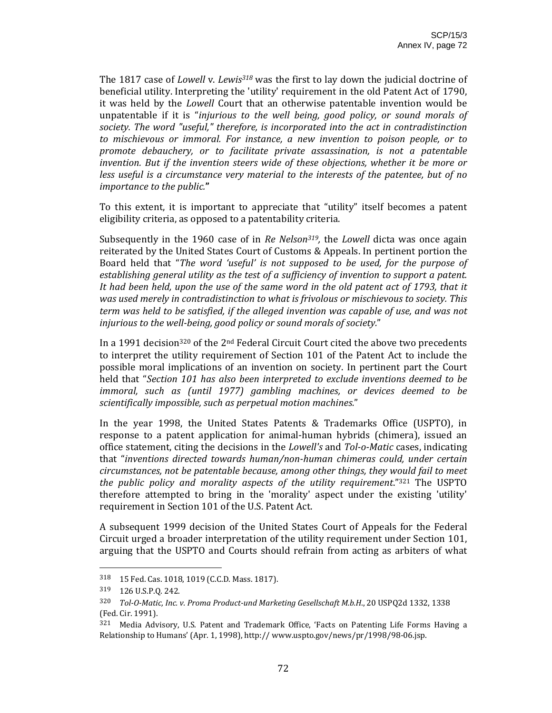The 1817 case of *Lowell* v. *Lewis318* was the first to lay down the judicial doctrine of beneficial utility. Interpreting the 'utility' requirement in the old Patent Act of 1790, it was held by the *Lowell* Court that an otherwise patentable invention would be unpatentable if it is "*injurious to the well being, good policy, or sound morals of society. The word "useful," therefore, is incorporated into the act in contradistinction to mischievous or immoral. For instance, a new invention to poison people, or to promote debauchery, or to facilitate private assassination, is not a patentable invention. But if the invention steers wide of these objections, whether it be more or less useful is a circumstance very material to the interests of the patentee, but of no importance to the public.***"** 

To this extent, it is important to appreciate that "utility" itself becomes a patent eligibility criteria, as opposed to a patentability criteria.

Subsequently in the 1960 case of in *Re Nelson319,* the *Lowell* dicta was once again reiterated by the United States Court of Customs & Appeals. In pertinent portion the Board held that "*The word 'useful' is not supposed to be used, for the purpose of establishing general utility as the test of a sufficiency of invention to support a patent.* It had been held, upon the use of the same word in the old patent act of 1793, that it *was used merely in contradistinction to what is frivolous or mischievous to society. This term was held to be satisfied, if the alleged invention was capable of use, and was not injurious to the wellbeing, good policy or sound morals of society.*"

In a 1991 decision<sup>320</sup> of the  $2<sup>nd</sup>$  Federal Circuit Court cited the above two precedents to interpret the utility requirement of Section 101 of the Patent Act to include the possible moral implications of an invention on society. In pertinent part the Court held that "*Section 101 has also been interpreted to exclude inventions deemed to be immoral, such as (until 1977) gambling machines, or devices deemed to be scientifically impossible, such as perpetual motion machines.*"

In the year 1998, the United States Patents & Trademarks Office (USPTO), in response to a patent application for animal-human hybrids (chimera), issued an office statement, citing the decisions in the *Lowell's* and *ToloMatic* cases, indicating that "*inventions directed towards human/nonhuman chimeras could, under certain circumstances, not be patentable because, among other things, they would fail to meet the public policy and morality aspects of the utility requirement*."321 The USPTO therefore attempted to bring in the 'morality' aspect under the existing 'utility' requirement in Section 101 of the U.S. Patent Act.

A subsequent 1999 decision of the United States Court of Appeals for the Federal Circuit urged a broader interpretation of the utility requirement under Section 101, arguing that the USPTO and Courts should refrain from acting as arbiters of what

<sup>318 15</sup> Fed. Cas. 1018, 1019 (C.C.D. Mass. 1817).

<sup>319 126</sup> U.S.P.Q. 242.

<sup>320</sup> *TolOMatic, Inc. v. Proma Productund Marketing Gesellschaft M.b.H*., 20 USPQ2d 1332, 1338 (Fed. Cir. 1991).

<sup>321</sup> Media Advisory, U.S. Patent and Trademark Office, 'Facts on Patenting Life Forms Having a Relationship to Humans' (Apr. 1, 1998), http:// www.uspto.gov/news/pr/1998/98‐06.jsp.